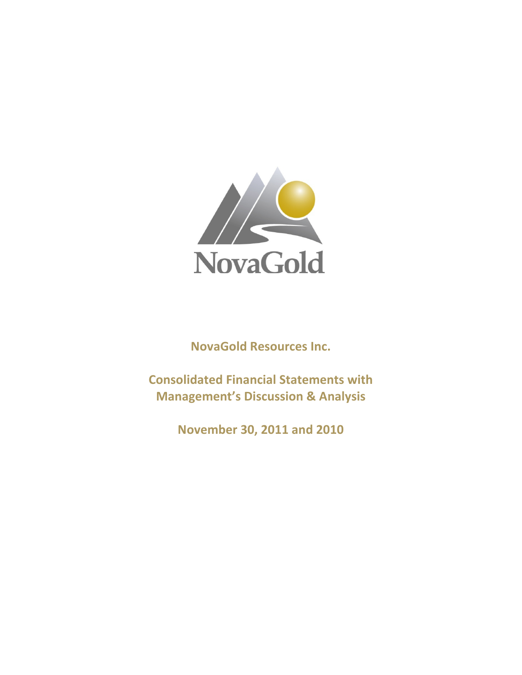

NovaGold Resources Inc.

Consolidated Financial Statements with Management's Discussion & Analysis

November 30, 2011 and 2010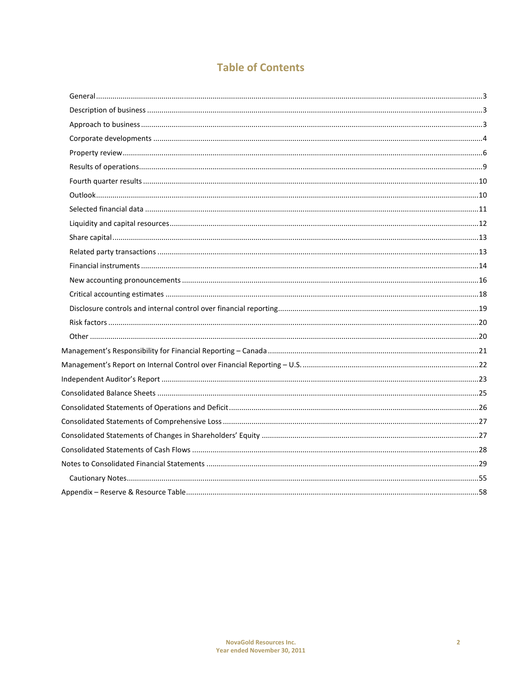# **Table of Contents**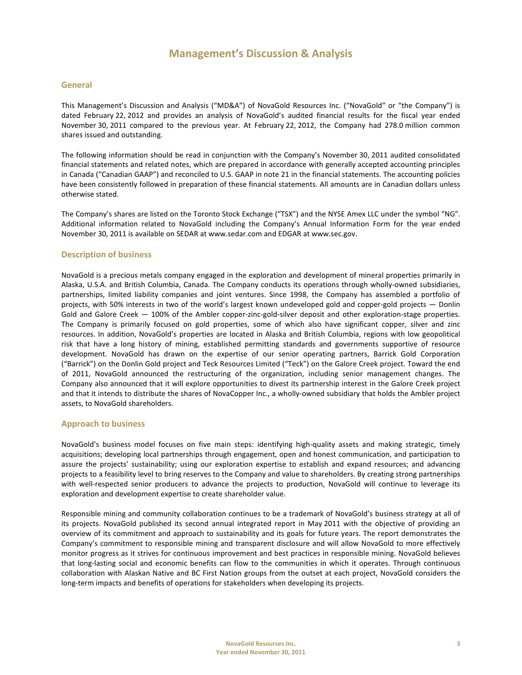### General

This Management's Discussion and Analysis ("MD&A") of NovaGold Resources Inc. ("NovaGold" or "the Company") is dated February 22, 2012 and provides an analysis of NovaGold's audited financial results for the fiscal year ended November 30, 2011 compared to the previous year. At February 22, 2012, the Company had 278.0 million common shares issued and outstanding.

The following information should be read in conjunction with the Company's November 30, 2011 audited consolidated financial statements and related notes, which are prepared in accordance with generally accepted accounting principles in Canada ("Canadian GAAP") and reconciled to U.S. GAAP in note 21 in the financial statements. The accounting policies have been consistently followed in preparation of these financial statements. All amounts are in Canadian dollars unless otherwise stated.

The Company's shares are listed on the Toronto Stock Exchange ("TSX") and the NYSE Amex LLC under the symbol "NG". Additional information related to NovaGold including the Company's Annual Information Form for the year ended November 30, 2011 is available on SEDAR at www.sedar.com and EDGAR at www.sec.gov.

### Description of business

NovaGold is a precious metals company engaged in the exploration and development of mineral properties primarily in Alaska, U.S.A. and British Columbia, Canada. The Company conducts its operations through wholly-owned subsidiaries, partnerships, limited liability companies and joint ventures. Since 1998, the Company has assembled a portfolio of projects, with 50% interests in two of the world's largest known undeveloped gold and copper-gold projects — Donlin Gold and Galore Creek — 100% of the Ambler copper-zinc-gold-silver deposit and other exploration-stage properties. The Company is primarily focused on gold properties, some of which also have significant copper, silver and zinc resources. In addition, NovaGold's properties are located in Alaska and British Columbia, regions with low geopolitical risk that have a long history of mining, established permitting standards and governments supportive of resource development. NovaGold has drawn on the expertise of our senior operating partners, Barrick Gold Corporation ("Barrick") on the Donlin Gold project and Teck Resources Limited ("Teck") on the Galore Creek project. Toward the end of 2011, NovaGold announced the restructuring of the organization, including senior management changes. The Company also announced that it will explore opportunities to divest its partnership interest in the Galore Creek project and that it intends to distribute the shares of NovaCopper Inc., a wholly-owned subsidiary that holds the Ambler project assets, to NovaGold shareholders.

### Approach to business

NovaGold's business model focuses on five main steps: identifying high-quality assets and making strategic, timely acquisitions; developing local partnerships through engagement, open and honest communication, and participation to assure the projects' sustainability; using our exploration expertise to establish and expand resources; and advancing projects to a feasibility level to bring reserves to the Company and value to shareholders. By creating strong partnerships with well-respected senior producers to advance the projects to production, NovaGold will continue to leverage its exploration and development expertise to create shareholder value.

Responsible mining and community collaboration continues to be a trademark of NovaGold's business strategy at all of its projects. NovaGold published its second annual integrated report in May 2011 with the objective of providing an overview of its commitment and approach to sustainability and its goals for future years. The report demonstrates the Company's commitment to responsible mining and transparent disclosure and will allow NovaGold to more effectively monitor progress as it strives for continuous improvement and best practices in responsible mining. NovaGold believes that long-lasting social and economic benefits can flow to the communities in which it operates. Through continuous collaboration with Alaskan Native and BC First Nation groups from the outset at each project, NovaGold considers the long-term impacts and benefits of operations for stakeholders when developing its projects.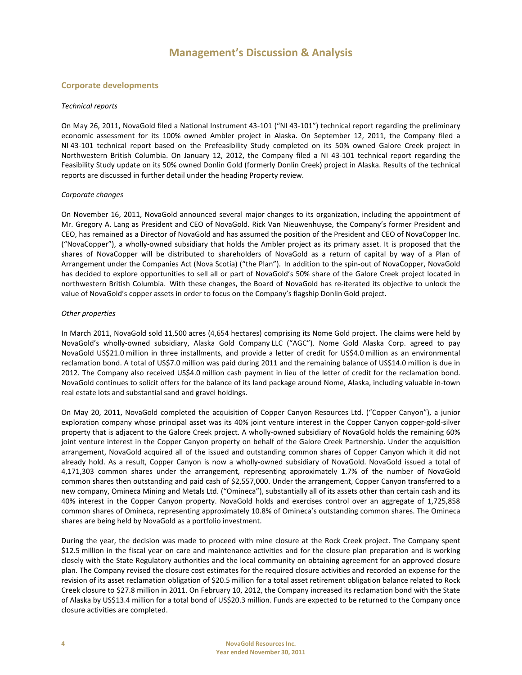### Corporate developments

#### Technical reports

On May 26, 2011, NovaGold filed a National Instrument 43-101 ("NI 43-101") technical report regarding the preliminary economic assessment for its 100% owned Ambler project in Alaska. On September 12, 2011, the Company filed a NI 43-101 technical report based on the Prefeasibility Study completed on its 50% owned Galore Creek project in Northwestern British Columbia. On January 12, 2012, the Company filed a NI 43-101 technical report regarding the Feasibility Study update on its 50% owned Donlin Gold (formerly Donlin Creek) project in Alaska. Results of the technical reports are discussed in further detail under the heading Property review.

#### Corporate changes

On November 16, 2011, NovaGold announced several major changes to its organization, including the appointment of Mr. Gregory A. Lang as President and CEO of NovaGold. Rick Van Nieuwenhuyse, the Company's former President and CEO, has remained as a Director of NovaGold and has assumed the position of the President and CEO of NovaCopper Inc. ("NovaCopper"), a wholly-owned subsidiary that holds the Ambler project as its primary asset. It is proposed that the shares of NovaCopper will be distributed to shareholders of NovaGold as a return of capital by way of a Plan of Arrangement under the Companies Act (Nova Scotia) ("the Plan"). In addition to the spin-out of NovaCopper, NovaGold has decided to explore opportunities to sell all or part of NovaGold's 50% share of the Galore Creek project located in northwestern British Columbia. With these changes, the Board of NovaGold has re-iterated its objective to unlock the value of NovaGold's copper assets in order to focus on the Company's flagship Donlin Gold project.

#### Other properties

In March 2011, NovaGold sold 11,500 acres (4,654 hectares) comprising its Nome Gold project. The claims were held by NovaGold's wholly-owned subsidiary, Alaska Gold Company LLC ("AGC"). Nome Gold Alaska Corp. agreed to pay NovaGold US\$21.0 million in three installments, and provide a letter of credit for US\$4.0 million as an environmental reclamation bond. A total of US\$7.0 million was paid during 2011 and the remaining balance of US\$14.0 million is due in 2012. The Company also received US\$4.0 million cash payment in lieu of the letter of credit for the reclamation bond. NovaGold continues to solicit offers for the balance of its land package around Nome, Alaska, including valuable in-town real estate lots and substantial sand and gravel holdings.

On May 20, 2011, NovaGold completed the acquisition of Copper Canyon Resources Ltd. ("Copper Canyon"), a junior exploration company whose principal asset was its 40% joint venture interest in the Copper Canyon copper-gold-silver property that is adjacent to the Galore Creek project. A wholly-owned subsidiary of NovaGold holds the remaining 60% joint venture interest in the Copper Canyon property on behalf of the Galore Creek Partnership. Under the acquisition arrangement, NovaGold acquired all of the issued and outstanding common shares of Copper Canyon which it did not already hold. As a result, Copper Canyon is now a wholly-owned subsidiary of NovaGold. NovaGold issued a total of 4,171,303 common shares under the arrangement, representing approximately 1.7% of the number of NovaGold common shares then outstanding and paid cash of \$2,557,000. Under the arrangement, Copper Canyon transferred to a new company, Omineca Mining and Metals Ltd. ("Omineca"), substantially all of its assets other than certain cash and its 40% interest in the Copper Canyon property. NovaGold holds and exercises control over an aggregate of 1,725,858 common shares of Omineca, representing approximately 10.8% of Omineca's outstanding common shares. The Omineca shares are being held by NovaGold as a portfolio investment.

During the year, the decision was made to proceed with mine closure at the Rock Creek project. The Company spent \$12.5 million in the fiscal year on care and maintenance activities and for the closure plan preparation and is working closely with the State Regulatory authorities and the local community on obtaining agreement for an approved closure plan. The Company revised the closure cost estimates for the required closure activities and recorded an expense for the revision of its asset reclamation obligation of \$20.5 million for a total asset retirement obligation balance related to Rock Creek closure to \$27.8 million in 2011. On February 10, 2012, the Company increased its reclamation bond with the State of Alaska by US\$13.4 million for a total bond of US\$20.3 million. Funds are expected to be returned to the Company once closure activities are completed.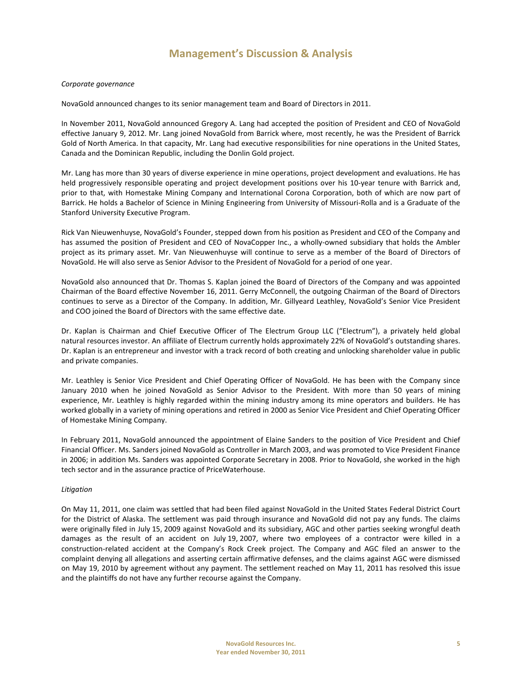#### Corporate governance

NovaGold announced changes to its senior management team and Board of Directors in 2011.

In November 2011, NovaGold announced Gregory A. Lang had accepted the position of President and CEO of NovaGold effective January 9, 2012. Mr. Lang joined NovaGold from Barrick where, most recently, he was the President of Barrick Gold of North America. In that capacity, Mr. Lang had executive responsibilities for nine operations in the United States, Canada and the Dominican Republic, including the Donlin Gold project.

Mr. Lang has more than 30 years of diverse experience in mine operations, project development and evaluations. He has held progressively responsible operating and project development positions over his 10-year tenure with Barrick and, prior to that, with Homestake Mining Company and International Corona Corporation, both of which are now part of Barrick. He holds a Bachelor of Science in Mining Engineering from University of Missouri-Rolla and is a Graduate of the Stanford University Executive Program.

Rick Van Nieuwenhuyse, NovaGold's Founder, stepped down from his position as President and CEO of the Company and has assumed the position of President and CEO of NovaCopper Inc., a wholly-owned subsidiary that holds the Ambler project as its primary asset. Mr. Van Nieuwenhuyse will continue to serve as a member of the Board of Directors of NovaGold. He will also serve as Senior Advisor to the President of NovaGold for a period of one year.

NovaGold also announced that Dr. Thomas S. Kaplan joined the Board of Directors of the Company and was appointed Chairman of the Board effective November 16, 2011. Gerry McConnell, the outgoing Chairman of the Board of Directors continues to serve as a Director of the Company. In addition, Mr. Gillyeard Leathley, NovaGold's Senior Vice President and COO joined the Board of Directors with the same effective date.

Dr. Kaplan is Chairman and Chief Executive Officer of The Electrum Group LLC ("Electrum"), a privately held global natural resources investor. An affiliate of Electrum currently holds approximately 22% of NovaGold's outstanding shares. Dr. Kaplan is an entrepreneur and investor with a track record of both creating and unlocking shareholder value in public and private companies.

Mr. Leathley is Senior Vice President and Chief Operating Officer of NovaGold. He has been with the Company since January 2010 when he joined NovaGold as Senior Advisor to the President. With more than 50 years of mining experience, Mr. Leathley is highly regarded within the mining industry among its mine operators and builders. He has worked globally in a variety of mining operations and retired in 2000 as Senior Vice President and Chief Operating Officer of Homestake Mining Company.

In February 2011, NovaGold announced the appointment of Elaine Sanders to the position of Vice President and Chief Financial Officer. Ms. Sanders joined NovaGold as Controller in March 2003, and was promoted to Vice President Finance in 2006; in addition Ms. Sanders was appointed Corporate Secretary in 2008. Prior to NovaGold, she worked in the high tech sector and in the assurance practice of PriceWaterhouse.

#### Litigation

On May 11, 2011, one claim was settled that had been filed against NovaGold in the United States Federal District Court for the District of Alaska. The settlement was paid through insurance and NovaGold did not pay any funds. The claims were originally filed in July 15, 2009 against NovaGold and its subsidiary, AGC and other parties seeking wrongful death damages as the result of an accident on July 19, 2007, where two employees of a contractor were killed in a construction-related accident at the Company's Rock Creek project. The Company and AGC filed an answer to the complaint denying all allegations and asserting certain affirmative defenses, and the claims against AGC were dismissed on May 19, 2010 by agreement without any payment. The settlement reached on May 11, 2011 has resolved this issue and the plaintiffs do not have any further recourse against the Company.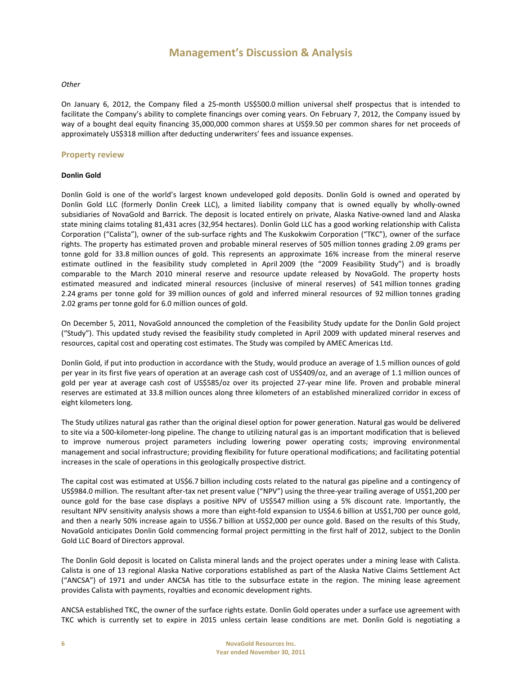### **Other**

On January 6, 2012, the Company filed a 25-month US\$500.0 million universal shelf prospectus that is intended to facilitate the Company's ability to complete financings over coming years. On February 7, 2012, the Company issued by way of a bought deal equity financing 35,000,000 common shares at US\$9.50 per common shares for net proceeds of approximately US\$318 million after deducting underwriters' fees and issuance expenses.

### Property review

### Donlin Gold

Donlin Gold is one of the world's largest known undeveloped gold deposits. Donlin Gold is owned and operated by Donlin Gold LLC (formerly Donlin Creek LLC), a limited liability company that is owned equally by wholly-owned subsidiaries of NovaGold and Barrick. The deposit is located entirely on private, Alaska Native-owned land and Alaska state mining claims totaling 81,431 acres (32,954 hectares). Donlin Gold LLC has a good working relationship with Calista Corporation ("Calista"), owner of the sub-surface rights and The Kuskokwim Corporation ("TKC"), owner of the surface rights. The property has estimated proven and probable mineral reserves of 505 million tonnes grading 2.09 grams per tonne gold for 33.8 million ounces of gold. This represents an approximate 16% increase from the mineral reserve estimate outlined in the feasibility study completed in April 2009 (the "2009 Feasibility Study") and is broadly comparable to the March 2010 mineral reserve and resource update released by NovaGold. The property hosts estimated measured and indicated mineral resources (inclusive of mineral reserves) of 541 million tonnes grading 2.24 grams per tonne gold for 39 million ounces of gold and inferred mineral resources of 92 million tonnes grading 2.02 grams per tonne gold for 6.0 million ounces of gold.

On December 5, 2011, NovaGold announced the completion of the Feasibility Study update for the Donlin Gold project ("Study"). This updated study revised the feasibility study completed in April 2009 with updated mineral reserves and resources, capital cost and operating cost estimates. The Study was compiled by AMEC Americas Ltd.

Donlin Gold, if put into production in accordance with the Study, would produce an average of 1.5 million ounces of gold per year in its first five years of operation at an average cash cost of US\$409/oz, and an average of 1.1 million ounces of gold per year at average cash cost of US\$585/oz over its projected 27-year mine life. Proven and probable mineral reserves are estimated at 33.8 million ounces along three kilometers of an established mineralized corridor in excess of eight kilometers long.

The Study utilizes natural gas rather than the original diesel option for power generation. Natural gas would be delivered to site via a 500-kilometer-long pipeline. The change to utilizing natural gas is an important modification that is believed to improve numerous project parameters including lowering power operating costs; improving environmental management and social infrastructure; providing flexibility for future operational modifications; and facilitating potential increases in the scale of operations in this geologically prospective district.

The capital cost was estimated at US\$6.7 billion including costs related to the natural gas pipeline and a contingency of US\$984.0 million. The resultant after-tax net present value ("NPV") using the three-year trailing average of US\$1,200 per ounce gold for the base case displays a positive NPV of US\$547 million using a 5% discount rate. Importantly, the resultant NPV sensitivity analysis shows a more than eight-fold expansion to US\$4.6 billion at US\$1,700 per ounce gold, and then a nearly 50% increase again to US\$6.7 billion at US\$2,000 per ounce gold. Based on the results of this Study, NovaGold anticipates Donlin Gold commencing formal project permitting in the first half of 2012, subject to the Donlin Gold LLC Board of Directors approval.

The Donlin Gold deposit is located on Calista mineral lands and the project operates under a mining lease with Calista. Calista is one of 13 regional Alaska Native corporations established as part of the Alaska Native Claims Settlement Act ("ANCSA") of 1971 and under ANCSA has title to the subsurface estate in the region. The mining lease agreement provides Calista with payments, royalties and economic development rights.

ANCSA established TKC, the owner of the surface rights estate. Donlin Gold operates under a surface use agreement with TKC which is currently set to expire in 2015 unless certain lease conditions are met. Donlin Gold is negotiating a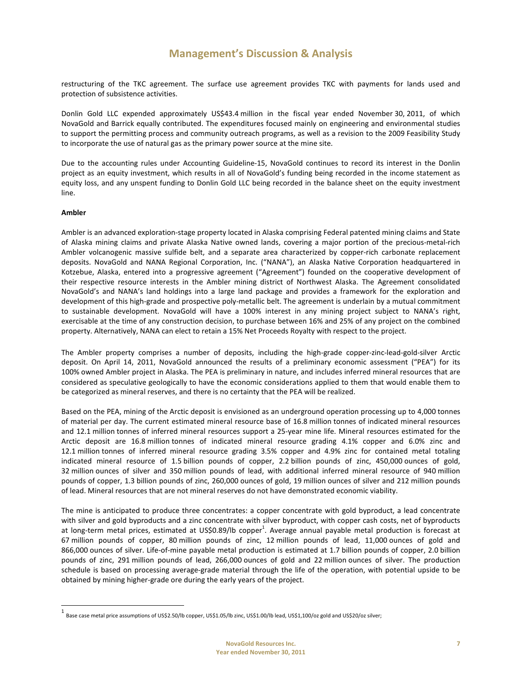restructuring of the TKC agreement. The surface use agreement provides TKC with payments for lands used and protection of subsistence activities.

Donlin Gold LLC expended approximately US\$43.4 million in the fiscal year ended November 30, 2011, of which NovaGold and Barrick equally contributed. The expenditures focused mainly on engineering and environmental studies to support the permitting process and community outreach programs, as well as a revision to the 2009 Feasibility Study to incorporate the use of natural gas as the primary power source at the mine site.

Due to the accounting rules under Accounting Guideline-15, NovaGold continues to record its interest in the Donlin project as an equity investment, which results in all of NovaGold's funding being recorded in the income statement as equity loss, and any unspent funding to Donlin Gold LLC being recorded in the balance sheet on the equity investment line.

### Ambler

 $\overline{a}$ 

Ambler is an advanced exploration-stage property located in Alaska comprising Federal patented mining claims and State of Alaska mining claims and private Alaska Native owned lands, covering a major portion of the precious-metal-rich Ambler volcanogenic massive sulfide belt, and a separate area characterized by copper-rich carbonate replacement deposits. NovaGold and NANA Regional Corporation, Inc. ("NANA"), an Alaska Native Corporation headquartered in Kotzebue, Alaska, entered into a progressive agreement ("Agreement") founded on the cooperative development of their respective resource interests in the Ambler mining district of Northwest Alaska. The Agreement consolidated NovaGold's and NANA's land holdings into a large land package and provides a framework for the exploration and development of this high-grade and prospective poly-metallic belt. The agreement is underlain by a mutual commitment to sustainable development. NovaGold will have a 100% interest in any mining project subject to NANA's right, exercisable at the time of any construction decision, to purchase between 16% and 25% of any project on the combined property. Alternatively, NANA can elect to retain a 15% Net Proceeds Royalty with respect to the project.

The Ambler property comprises a number of deposits, including the high-grade copper-zinc-lead-gold-silver Arctic deposit. On April 14, 2011, NovaGold announced the results of a preliminary economic assessment ("PEA") for its 100% owned Ambler project in Alaska. The PEA is preliminary in nature, and includes inferred mineral resources that are considered as speculative geologically to have the economic considerations applied to them that would enable them to be categorized as mineral reserves, and there is no certainty that the PEA will be realized.

Based on the PEA, mining of the Arctic deposit is envisioned as an underground operation processing up to 4,000 tonnes of material per day. The current estimated mineral resource base of 16.8 million tonnes of indicated mineral resources and 12.1 million tonnes of inferred mineral resources support a 25-year mine life. Mineral resources estimated for the Arctic deposit are 16.8 million tonnes of indicated mineral resource grading 4.1% copper and 6.0% zinc and 12.1 million tonnes of inferred mineral resource grading 3.5% copper and 4.9% zinc for contained metal totaling indicated mineral resource of 1.5 billion pounds of copper, 2.2 billion pounds of zinc, 450,000 ounces of gold, 32 million ounces of silver and 350 million pounds of lead, with additional inferred mineral resource of 940 million pounds of copper, 1.3 billion pounds of zinc, 260,000 ounces of gold, 19 million ounces of silver and 212 million pounds of lead. Mineral resources that are not mineral reserves do not have demonstrated economic viability.

The mine is anticipated to produce three concentrates: a copper concentrate with gold byproduct, a lead concentrate with silver and gold byproducts and a zinc concentrate with silver byproduct, with copper cash costs, net of byproducts at long-term metal prices, estimated at US\$0.89/lb copper<sup>1</sup>. Average annual payable metal production is forecast at 67 million pounds of copper, 80 million pounds of zinc, 12 million pounds of lead, 11,000 ounces of gold and 866,000 ounces of silver. Life-of-mine payable metal production is estimated at 1.7 billion pounds of copper, 2.0 billion pounds of zinc, 291 million pounds of lead, 266,000 ounces of gold and 22 million ounces of silver. The production schedule is based on processing average-grade material through the life of the operation, with potential upside to be obtained by mining higher-grade ore during the early years of the project.

<sup>1</sup> Base case metal price assumptions of US\$2.50/lb copper, US\$1.05/lb zinc, US\$1.00/lb lead, US\$1,100/oz gold and US\$20/oz silver;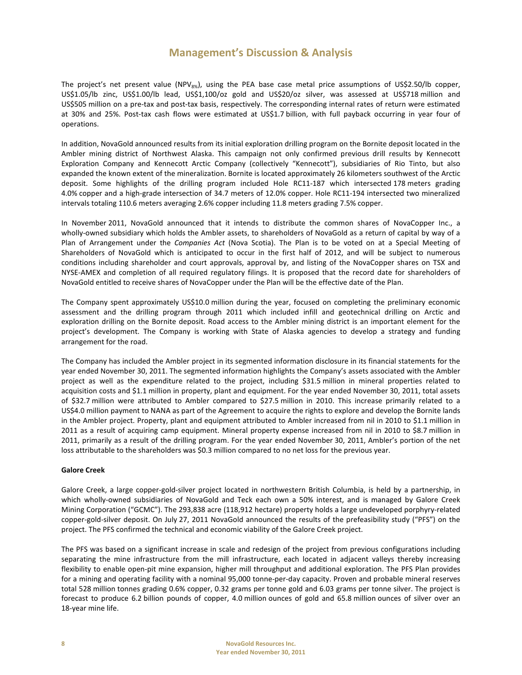The project's net present value (NPV<sub>8%</sub>), using the PEA base case metal price assumptions of US\$2.50/lb copper, US\$1.05/lb zinc, US\$1.00/lb lead, US\$1,100/oz gold and US\$20/oz silver, was assessed at US\$718 million and US\$505 million on a pre-tax and post-tax basis, respectively. The corresponding internal rates of return were estimated at 30% and 25%. Post-tax cash flows were estimated at US\$1.7 billion, with full payback occurring in year four of operations.

In addition, NovaGold announced results from its initial exploration drilling program on the Bornite deposit located in the Ambler mining district of Northwest Alaska. This campaign not only confirmed previous drill results by Kennecott Exploration Company and Kennecott Arctic Company (collectively "Kennecott"), subsidiaries of Rio Tinto, but also expanded the known extent of the mineralization. Bornite is located approximately 26 kilometers southwest of the Arctic deposit. Some highlights of the drilling program included Hole RC11-187 which intersected 178 meters grading 4.0% copper and a high-grade intersection of 34.7 meters of 12.0% copper. Hole RC11-194 intersected two mineralized intervals totaling 110.6 meters averaging 2.6% copper including 11.8 meters grading 7.5% copper.

In November 2011, NovaGold announced that it intends to distribute the common shares of NovaCopper Inc., a wholly-owned subsidiary which holds the Ambler assets, to shareholders of NovaGold as a return of capital by way of a Plan of Arrangement under the Companies Act (Nova Scotia). The Plan is to be voted on at a Special Meeting of Shareholders of NovaGold which is anticipated to occur in the first half of 2012, and will be subject to numerous conditions including shareholder and court approvals, approval by, and listing of the NovaCopper shares on TSX and NYSE-AMEX and completion of all required regulatory filings. It is proposed that the record date for shareholders of NovaGold entitled to receive shares of NovaCopper under the Plan will be the effective date of the Plan.

The Company spent approximately US\$10.0 million during the year, focused on completing the preliminary economic assessment and the drilling program through 2011 which included infill and geotechnical drilling on Arctic and exploration drilling on the Bornite deposit. Road access to the Ambler mining district is an important element for the project's development. The Company is working with State of Alaska agencies to develop a strategy and funding arrangement for the road.

The Company has included the Ambler project in its segmented information disclosure in its financial statements for the year ended November 30, 2011. The segmented information highlights the Company's assets associated with the Ambler project as well as the expenditure related to the project, including \$31.5 million in mineral properties related to acquisition costs and \$1.1 million in property, plant and equipment. For the year ended November 30, 2011, total assets of \$32.7 million were attributed to Ambler compared to \$27.5 million in 2010. This increase primarily related to a US\$4.0 million payment to NANA as part of the Agreement to acquire the rights to explore and develop the Bornite lands in the Ambler project. Property, plant and equipment attributed to Ambler increased from nil in 2010 to \$1.1 million in 2011 as a result of acquiring camp equipment. Mineral property expense increased from nil in 2010 to \$8.7 million in 2011, primarily as a result of the drilling program. For the year ended November 30, 2011, Ambler's portion of the net loss attributable to the shareholders was \$0.3 million compared to no net loss for the previous year.

### Galore Creek

Galore Creek, a large copper-gold-silver project located in northwestern British Columbia, is held by a partnership, in which wholly-owned subsidiaries of NovaGold and Teck each own a 50% interest, and is managed by Galore Creek Mining Corporation ("GCMC"). The 293,838 acre (118,912 hectare) property holds a large undeveloped porphyry-related copper-gold-silver deposit. On July 27, 2011 NovaGold announced the results of the prefeasibility study ("PFS") on the project. The PFS confirmed the technical and economic viability of the Galore Creek project.

The PFS was based on a significant increase in scale and redesign of the project from previous configurations including separating the mine infrastructure from the mill infrastructure, each located in adjacent valleys thereby increasing flexibility to enable open-pit mine expansion, higher mill throughput and additional exploration. The PFS Plan provides for a mining and operating facility with a nominal 95,000 tonne-per-day capacity. Proven and probable mineral reserves total 528 million tonnes grading 0.6% copper, 0.32 grams per tonne gold and 6.03 grams per tonne silver. The project is forecast to produce 6.2 billion pounds of copper, 4.0 million ounces of gold and 65.8 million ounces of silver over an 18-year mine life.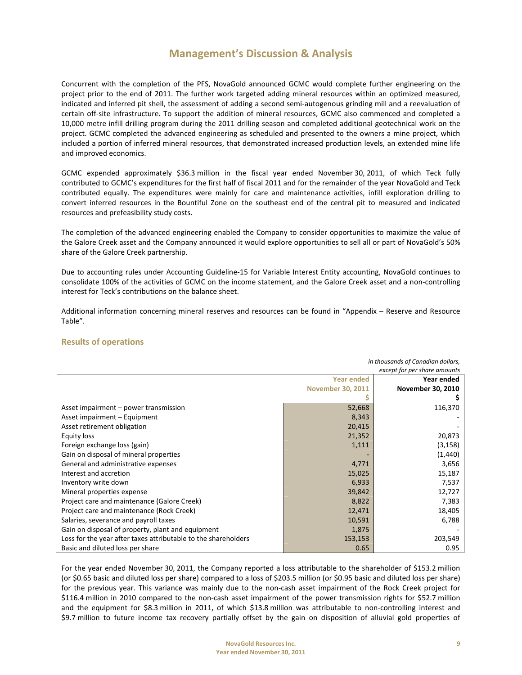Concurrent with the completion of the PFS, NovaGold announced GCMC would complete further engineering on the project prior to the end of 2011. The further work targeted adding mineral resources within an optimized measured, indicated and inferred pit shell, the assessment of adding a second semi-autogenous grinding mill and a reevaluation of certain off-site infrastructure. To support the addition of mineral resources, GCMC also commenced and completed a 10,000 metre infill drilling program during the 2011 drilling season and completed additional geotechnical work on the project. GCMC completed the advanced engineering as scheduled and presented to the owners a mine project, which included a portion of inferred mineral resources, that demonstrated increased production levels, an extended mine life and improved economics.

GCMC expended approximately \$36.3 million in the fiscal year ended November 30, 2011, of which Teck fully contributed to GCMC's expenditures for the first half of fiscal 2011 and for the remainder of the year NovaGold and Teck contributed equally. The expenditures were mainly for care and maintenance activities, infill exploration drilling to convert inferred resources in the Bountiful Zone on the southeast end of the central pit to measured and indicated resources and prefeasibility study costs.

The completion of the advanced engineering enabled the Company to consider opportunities to maximize the value of the Galore Creek asset and the Company announced it would explore opportunities to sell all or part of NovaGold's 50% share of the Galore Creek partnership.

Due to accounting rules under Accounting Guideline-15 for Variable Interest Entity accounting, NovaGold continues to consolidate 100% of the activities of GCMC on the income statement, and the Galore Creek asset and a non-controlling interest for Teck's contributions on the balance sheet.

Additional information concerning mineral reserves and resources can be found in "Appendix – Reserve and Resource Table".

## Results of operations

| in thousands of Canadian dollars,<br>except for per share amounts |                          |                   |  |  |
|-------------------------------------------------------------------|--------------------------|-------------------|--|--|
|                                                                   | <b>Year ended</b>        | Year ended        |  |  |
|                                                                   | <b>November 30, 2011</b> | November 30, 2010 |  |  |
|                                                                   |                          |                   |  |  |
| Asset impairment – power transmission                             | 52,668                   | 116,370           |  |  |
| Asset impairment - Equipment                                      | 8,343                    |                   |  |  |
| Asset retirement obligation                                       | 20,415                   |                   |  |  |
| Equity loss                                                       | 21,352                   | 20,873            |  |  |
| Foreign exchange loss (gain)                                      | 1,111                    | (3, 158)          |  |  |
| Gain on disposal of mineral properties                            |                          | (1, 440)          |  |  |
| General and administrative expenses                               | 4,771                    | 3,656             |  |  |
| Interest and accretion                                            | 15,025                   | 15,187            |  |  |
| Inventory write down                                              | 6,933                    | 7,537             |  |  |
| Mineral properties expense                                        | 39,842                   | 12,727            |  |  |
| Project care and maintenance (Galore Creek)                       | 8,822                    | 7,383             |  |  |
| Project care and maintenance (Rock Creek)                         | 12,471                   | 18,405            |  |  |
| Salaries, severance and payroll taxes                             | 10,591                   | 6,788             |  |  |
| Gain on disposal of property, plant and equipment                 | 1,875                    |                   |  |  |
| Loss for the year after taxes attributable to the shareholders    | 153,153                  | 203,549           |  |  |
| Basic and diluted loss per share                                  | 0.65                     | 0.95              |  |  |

For the year ended November 30, 2011, the Company reported a loss attributable to the shareholder of \$153.2 million (or \$0.65 basic and diluted loss per share) compared to a loss of \$203.5 million (or \$0.95 basic and diluted loss per share) for the previous year. This variance was mainly due to the non-cash asset impairment of the Rock Creek project for \$116.4 million in 2010 compared to the non-cash asset impairment of the power transmission rights for \$52.7 million and the equipment for \$8.3 million in 2011, of which \$13.8 million was attributable to non-controlling interest and \$9.7 million to future income tax recovery partially offset by the gain on disposition of alluvial gold properties of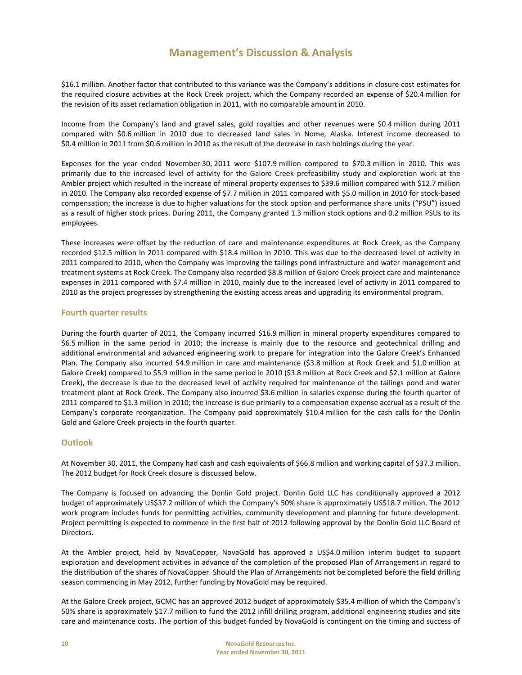\$16.1 million. Another factor that contributed to this variance was the Company's additions in closure cost estimates for the required closure activities at the Rock Creek project, which the Company recorded an expense of \$20.4 million for the revision of its asset reclamation obligation in 2011, with no comparable amount in 2010.

Income from the Company's land and gravel sales, gold royalties and other revenues were \$0.4 million during 2011 compared with \$0.6 million in 2010 due to decreased land sales in Nome, Alaska. Interest income decreased to \$0.4 million in 2011 from \$0.6 million in 2010 as the result of the decrease in cash holdings during the year.

Expenses for the year ended November 30, 2011 were \$107.9 million compared to \$70.3 million in 2010. This was primarily due to the increased level of activity for the Galore Creek prefeasibility study and exploration work at the Ambler project which resulted in the increase of mineral property expenses to \$39.6 million compared with \$12.7 million in 2010. The Company also recorded expense of \$7.7 million in 2011 compared with \$5.0 million in 2010 for stock-based compensation; the increase is due to higher valuations for the stock option and performance share units ("PSU") issued as a result of higher stock prices. During 2011, the Company granted 1.3 million stock options and 0.2 million PSUs to its employees.

These increases were offset by the reduction of care and maintenance expenditures at Rock Creek, as the Company recorded \$12.5 million in 2011 compared with \$18.4 million in 2010. This was due to the decreased level of activity in 2011 compared to 2010, when the Company was improving the tailings pond infrastructure and water management and treatment systems at Rock Creek. The Company also recorded \$8.8 million of Galore Creek project care and maintenance expenses in 2011 compared with \$7.4 million in 2010, mainly due to the increased level of activity in 2011 compared to 2010 as the project progresses by strengthening the existing access areas and upgrading its environmental program.

## Fourth quarter results

During the fourth quarter of 2011, the Company incurred \$16.9 million in mineral property expenditures compared to \$6.5 million in the same period in 2010; the increase is mainly due to the resource and geotechnical drilling and additional environmental and advanced engineering work to prepare for integration into the Galore Creek's Enhanced Plan. The Company also incurred \$4.9 million in care and maintenance (\$3.8 million at Rock Creek and \$1.0 million at Galore Creek) compared to \$5.9 million in the same period in 2010 (\$3.8 million at Rock Creek and \$2.1 million at Galore Creek), the decrease is due to the decreased level of activity required for maintenance of the tailings pond and water treatment plant at Rock Creek. The Company also incurred \$3.6 million in salaries expense during the fourth quarter of 2011 compared to \$1.3 million in 2010; the increase is due primarily to a compensation expense accrual as a result of the Company's corporate reorganization. The Company paid approximately \$10.4 million for the cash calls for the Donlin Gold and Galore Creek projects in the fourth quarter.

## **Outlook**

At November 30, 2011, the Company had cash and cash equivalents of \$66.8 million and working capital of \$37.3 million. The 2012 budget for Rock Creek closure is discussed below.

The Company is focused on advancing the Donlin Gold project. Donlin Gold LLC has conditionally approved a 2012 budget of approximately US\$37.2 million of which the Company's 50% share is approximately US\$18.7 million. The 2012 work program includes funds for permitting activities, community development and planning for future development. Project permitting is expected to commence in the first half of 2012 following approval by the Donlin Gold LLC Board of Directors.

At the Ambler project, held by NovaCopper, NovaGold has approved a US\$4.0 million interim budget to support exploration and development activities in advance of the completion of the proposed Plan of Arrangement in regard to the distribution of the shares of NovaCopper. Should the Plan of Arrangements not be completed before the field drilling season commencing in May 2012, further funding by NovaGold may be required.

At the Galore Creek project, GCMC has an approved 2012 budget of approximately \$35.4 million of which the Company's 50% share is approximately \$17.7 million to fund the 2012 infill drilling program, additional engineering studies and site care and maintenance costs. The portion of this budget funded by NovaGold is contingent on the timing and success of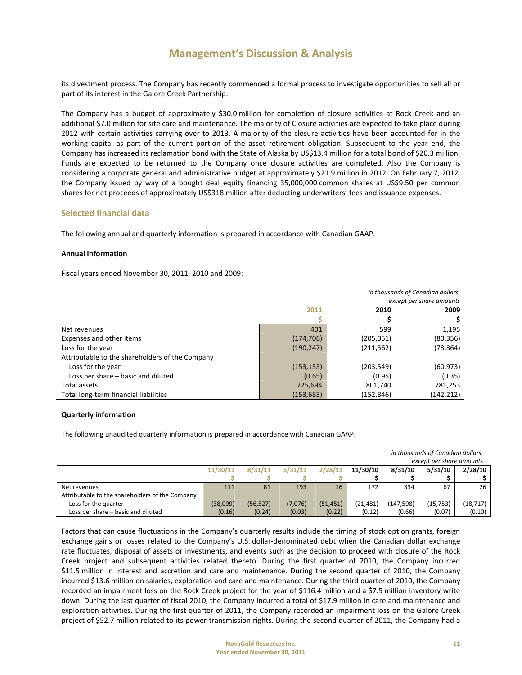its divestment process. The Company has recently commenced a formal process to investigate opportunities to sell all or part of its interest in the Galore Creek Partnership.

The Company has a budget of approximately \$30.0 million for completion of closure activities at Rock Creek and an additional \$7.0 million for site care and maintenance. The majority of Closure activities are expected to take place during 2012 with certain activities carrying over to 2013. A majority of the closure activities have been accounted for in the working capital as part of the current portion of the asset retirement obligation. Subsequent to the year end, the Company has increased its reclamation bond with the State of Alaska by US\$13.4 million for a total bond of \$20.3 million. Funds are expected to be returned to the Company once closure activities are completed. Also the Company is considering a corporate general and administrative budget at approximately \$21.9 million in 2012. On February 7, 2012, the Company issued by way of a bought deal equity financing 35,000,000 common shares at US\$9.50 per common shares for net proceeds of approximately US\$318 million after deducting underwriters' fees and issuance expenses.

## Selected financial data

The following annual and quarterly information is prepared in accordance with Canadian GAAP.

#### Annual information

Fiscal years ended November 30, 2011, 2010 and 2009:

| in thousands of Canadian dollars,               |            |            |                          |
|-------------------------------------------------|------------|------------|--------------------------|
|                                                 |            |            | except per share amounts |
|                                                 | 2011       | 2010       | 2009                     |
|                                                 |            |            |                          |
| Net revenues                                    | 401        | 599        | 1,195                    |
| Expenses and other items                        | (174, 706) | (205, 051) | (80, 356)                |
| Loss for the year                               | (190, 247) | (211, 562) | (73, 364)                |
| Attributable to the shareholders of the Company |            |            |                          |
| Loss for the year                               | (153, 153) | (203, 549) | (60, 973)                |
| Loss per share - basic and diluted              | (0.65)     | (0.95)     | (0.35)                   |
| Total assets                                    | 725,694    | 801,740    | 781,253                  |
| Total long-term financial liabilities           | (153, 683) | (152, 846) | (142,212)                |

#### Quarterly information

The following unaudited quarterly information is prepared in accordance with Canadian GAAP.

|                                                 |          |           |         |           |           |           | in thousands of Canadian dollars, |           |
|-------------------------------------------------|----------|-----------|---------|-----------|-----------|-----------|-----------------------------------|-----------|
|                                                 |          |           |         |           |           |           | except per share amounts          |           |
|                                                 | 11/30/11 | 8/31/11   | 5/31/11 | 2/28/11   | 11/30/10  | 8/31/10   | 5/31/10                           | 2/28/10   |
|                                                 |          |           |         |           |           |           |                                   |           |
| Net revenues                                    | 111      | 81        | 193     | 16        | 172       | 334       | 67                                | 26        |
| Attributable to the shareholders of the Company |          |           |         |           |           |           |                                   |           |
| Loss for the quarter                            | (38,099) | (56, 527) | (7,076) | (51, 451) | (21, 481) | (147,598) | (15, 753)                         | (18, 717) |
| Loss per share - basic and diluted              | (0.16)   | (0.24)    | (0.03)  | (0.22)    | (0.12)    | (0.66)    | (0.07)                            | (0.10)    |

Factors that can cause fluctuations in the Company's quarterly results include the timing of stock option grants, foreign exchange gains or losses related to the Company's U.S. dollar-denominated debt when the Canadian dollar exchange rate fluctuates, disposal of assets or investments, and events such as the decision to proceed with closure of the Rock Creek project and subsequent activities related thereto. During the first quarter of 2010, the Company incurred \$11.5 million in interest and accretion and care and maintenance. During the second quarter of 2010, the Company incurred \$13.6 million on salaries, exploration and care and maintenance. During the third quarter of 2010, the Company recorded an impairment loss on the Rock Creek project for the year of \$116.4 million and a \$7.5 million inventory write down. During the last quarter of fiscal 2010, the Company incurred a total of \$17.9 million in care and maintenance and exploration activities. During the first quarter of 2011, the Company recorded an impairment loss on the Galore Creek project of \$52.7 million related to its power transmission rights. During the second quarter of 2011, the Company had a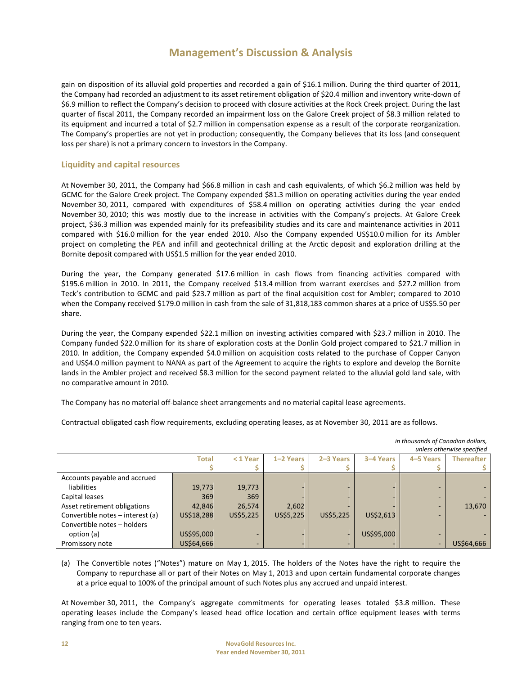gain on disposition of its alluvial gold properties and recorded a gain of \$16.1 million. During the third quarter of 2011, the Company had recorded an adjustment to its asset retirement obligation of \$20.4 million and inventory write-down of \$6.9 million to reflect the Company's decision to proceed with closure activities at the Rock Creek project. During the last quarter of fiscal 2011, the Company recorded an impairment loss on the Galore Creek project of \$8.3 million related to its equipment and incurred a total of \$2.7 million in compensation expense as a result of the corporate reorganization. The Company's properties are not yet in production; consequently, the Company believes that its loss (and consequent loss per share) is not a primary concern to investors in the Company.

## Liquidity and capital resources

At November 30, 2011, the Company had \$66.8 million in cash and cash equivalents, of which \$6.2 million was held by GCMC for the Galore Creek project. The Company expended \$81.3 million on operating activities during the year ended November 30, 2011, compared with expenditures of \$58.4 million on operating activities during the year ended November 30, 2010; this was mostly due to the increase in activities with the Company's projects. At Galore Creek project, \$36.3 million was expended mainly for its prefeasibility studies and its care and maintenance activities in 2011 compared with \$16.0 million for the year ended 2010. Also the Company expended US\$10.0 million for its Ambler project on completing the PEA and infill and geotechnical drilling at the Arctic deposit and exploration drilling at the Bornite deposit compared with US\$1.5 million for the year ended 2010.

During the year, the Company generated \$17.6 million in cash flows from financing activities compared with \$195.6 million in 2010. In 2011, the Company received \$13.4 million from warrant exercises and \$27.2 million from Teck's contribution to GCMC and paid \$23.7 million as part of the final acquisition cost for Ambler; compared to 2010 when the Company received \$179.0 million in cash from the sale of 31,818,183 common shares at a price of US\$5.50 per share.

During the year, the Company expended \$22.1 million on investing activities compared with \$23.7 million in 2010. The Company funded \$22.0 million for its share of exploration costs at the Donlin Gold project compared to \$21.7 million in 2010. In addition, the Company expended \$4.0 million on acquisition costs related to the purchase of Copper Canyon and US\$4.0 million payment to NANA as part of the Agreement to acquire the rights to explore and develop the Bornite lands in the Ambler project and received \$8.3 million for the second payment related to the alluvial gold land sale, with no comparative amount in 2010.

The Company has no material off-balance sheet arrangements and no material capital lease agreements.

Contractual obligated cash flow requirements, excluding operating leases, as at November 30, 2011 are as follows.

| unless otherwise specified       |              |            |           |           |            |           |                   |
|----------------------------------|--------------|------------|-----------|-----------|------------|-----------|-------------------|
|                                  | <b>Total</b> | $<$ 1 Year | 1-2 Years | 2-3 Years | 3-4 Years  | 4-5 Years | <b>Thereafter</b> |
|                                  |              |            |           |           |            |           |                   |
| Accounts payable and accrued     |              |            |           |           |            |           |                   |
| liabilities                      | 19,773       | 19,773     |           | -         | -          | -         |                   |
| Capital leases                   | 369          | 369        | -         | -         | -          | -         |                   |
| Asset retirement obligations     | 42,846       | 26,574     | 2,602     | -         |            | -         | 13,670            |
| Convertible notes - interest (a) | US\$18,288   | US\$5,225  | US\$5,225 | US\$5,225 | US\$2,613  |           |                   |
| Convertible notes - holders      |              |            |           |           |            |           |                   |
| option (a)                       | US\$95,000   | -          | ۰         | ÷         | US\$95,000 | -         |                   |
| Promissory note                  | US\$64,666   |            | ۰         | ۰         |            | -         | US\$64,666        |

in thousands of Canadian dollars,

(a) The Convertible notes ("Notes") mature on May 1, 2015. The holders of the Notes have the right to require the Company to repurchase all or part of their Notes on May 1, 2013 and upon certain fundamental corporate changes at a price equal to 100% of the principal amount of such Notes plus any accrued and unpaid interest.

At November 30, 2011, the Company's aggregate commitments for operating leases totaled \$3.8 million. These operating leases include the Company's leased head office location and certain office equipment leases with terms ranging from one to ten years.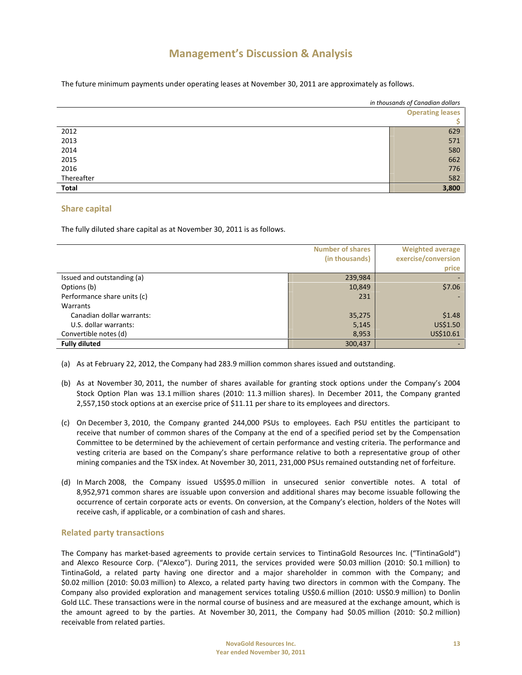The future minimum payments under operating leases at November 30, 2011 are approximately as follows.

|              | in thousands of Canadian dollars |  |
|--------------|----------------------------------|--|
|              | <b>Operating leases</b>          |  |
|              |                                  |  |
| 2012         | 629                              |  |
| 2013         | 571                              |  |
| 2014         | 580                              |  |
| 2015         | 662                              |  |
| 2016         | 776                              |  |
| Thereafter   | 582                              |  |
| <b>Total</b> | 3,800                            |  |

## Share capital

The fully diluted share capital as at November 30, 2011 is as follows.

|                             | <b>Number of shares</b> | <b>Weighted average</b> |
|-----------------------------|-------------------------|-------------------------|
|                             | (in thousands)          | exercise/conversion     |
|                             |                         | price                   |
| Issued and outstanding (a)  | 239,984                 |                         |
| Options (b)                 | 10,849                  | \$7.06                  |
| Performance share units (c) | 231                     |                         |
| Warrants                    |                         |                         |
| Canadian dollar warrants:   | 35,275                  | \$1.48                  |
| U.S. dollar warrants:       | 5,145                   | US\$1.50                |
| Convertible notes (d)       | 8,953                   | US\$10.61               |
| <b>Fully diluted</b>        | 300,437                 |                         |

(a) As at February 22, 2012, the Company had 283.9 million common shares issued and outstanding.

- (b) As at November 30, 2011, the number of shares available for granting stock options under the Company's 2004 Stock Option Plan was 13.1 million shares (2010: 11.3 million shares). In December 2011, the Company granted 2,557,150 stock options at an exercise price of \$11.11 per share to its employees and directors.
- (c) On December 3, 2010, the Company granted 244,000 PSUs to employees. Each PSU entitles the participant to receive that number of common shares of the Company at the end of a specified period set by the Compensation Committee to be determined by the achievement of certain performance and vesting criteria. The performance and vesting criteria are based on the Company's share performance relative to both a representative group of other mining companies and the TSX index. At November 30, 2011, 231,000 PSUs remained outstanding net of forfeiture.
- (d) In March 2008, the Company issued US\$95.0 million in unsecured senior convertible notes. A total of 8,952,971 common shares are issuable upon conversion and additional shares may become issuable following the occurrence of certain corporate acts or events. On conversion, at the Company's election, holders of the Notes will receive cash, if applicable, or a combination of cash and shares.

## Related party transactions

The Company has market-based agreements to provide certain services to TintinaGold Resources Inc. ("TintinaGold") and Alexco Resource Corp. ("Alexco"). During 2011, the services provided were \$0.03 million (2010: \$0.1 million) to TintinaGold, a related party having one director and a major shareholder in common with the Company; and \$0.02 million (2010: \$0.03 million) to Alexco, a related party having two directors in common with the Company. The Company also provided exploration and management services totaling US\$0.6 million (2010: US\$0.9 million) to Donlin Gold LLC. These transactions were in the normal course of business and are measured at the exchange amount, which is the amount agreed to by the parties. At November 30, 2011, the Company had \$0.05 million (2010: \$0.2 million) receivable from related parties.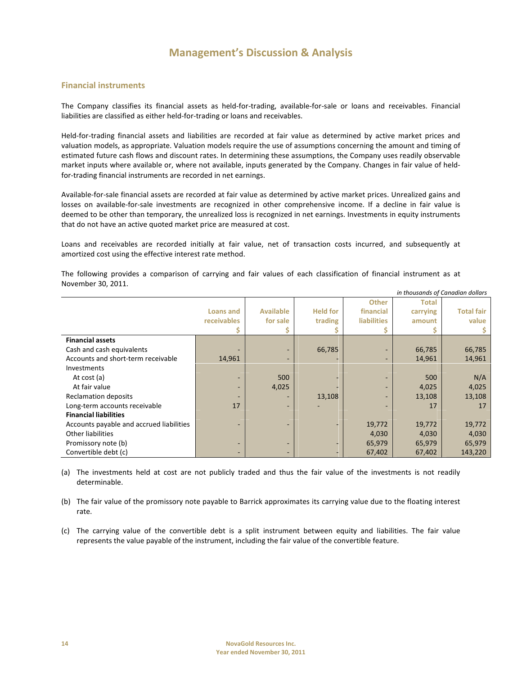## Financial instruments

The Company classifies its financial assets as held-for-trading, available-for-sale or loans and receivables. Financial liabilities are classified as either held-for-trading or loans and receivables.

Held-for-trading financial assets and liabilities are recorded at fair value as determined by active market prices and valuation models, as appropriate. Valuation models require the use of assumptions concerning the amount and timing of estimated future cash flows and discount rates. In determining these assumptions, the Company uses readily observable market inputs where available or, where not available, inputs generated by the Company. Changes in fair value of heldfor-trading financial instruments are recorded in net earnings.

Available-for-sale financial assets are recorded at fair value as determined by active market prices. Unrealized gains and losses on available-for-sale investments are recognized in other comprehensive income. If a decline in fair value is deemed to be other than temporary, the unrealized loss is recognized in net earnings. Investments in equity instruments that do not have an active quoted market price are measured at cost.

Loans and receivables are recorded initially at fair value, net of transaction costs incurred, and subsequently at amortized cost using the effective interest rate method.

The following provides a comparison of carrying and fair values of each classification of financial instrument as at November 30, 2011.

| in thousands of Canadian dollars         |                    |                  |                 |                    |              |                   |
|------------------------------------------|--------------------|------------------|-----------------|--------------------|--------------|-------------------|
|                                          |                    |                  |                 | <b>Other</b>       | <b>Total</b> |                   |
|                                          | <b>Loans and</b>   | <b>Available</b> | <b>Held for</b> | financial          | carrying     | <b>Total fair</b> |
|                                          | <b>receivables</b> | for sale         | trading         | <b>liabilities</b> | amount       | value             |
|                                          |                    |                  |                 |                    |              |                   |
| <b>Financial assets</b>                  |                    |                  |                 |                    |              |                   |
| Cash and cash equivalents                |                    |                  | 66,785          |                    | 66,785       | 66,785            |
| Accounts and short-term receivable       | 14,961             |                  |                 | ٠                  | 14,961       | 14,961            |
| Investments                              |                    |                  |                 |                    |              |                   |
| At cost $(a)$                            |                    | 500              | ۰               | ٠                  | 500          | N/A               |
| At fair value                            |                    | 4,025            |                 | ٠                  | 4,025        | 4,025             |
| <b>Reclamation deposits</b>              |                    |                  | 13,108          |                    | 13,108       | 13,108            |
| Long-term accounts receivable            | 17                 |                  |                 |                    | 17           | 17                |
| <b>Financial liabilities</b>             |                    |                  |                 |                    |              |                   |
| Accounts payable and accrued liabilities |                    |                  |                 | 19,772             | 19,772       | 19,772            |
| Other liabilities                        |                    |                  |                 | 4,030              | 4,030        | 4,030             |
| Promissory note (b)                      |                    |                  | ۰               | 65,979             | 65,979       | 65,979            |
| Convertible debt (c)                     |                    |                  | ۰               | 67,402             | 67,402       | 143,220           |

(a) The investments held at cost are not publicly traded and thus the fair value of the investments is not readily determinable.

(b) The fair value of the promissory note payable to Barrick approximates its carrying value due to the floating interest rate.

(c) The carrying value of the convertible debt is a split instrument between equity and liabilities. The fair value represents the value payable of the instrument, including the fair value of the convertible feature.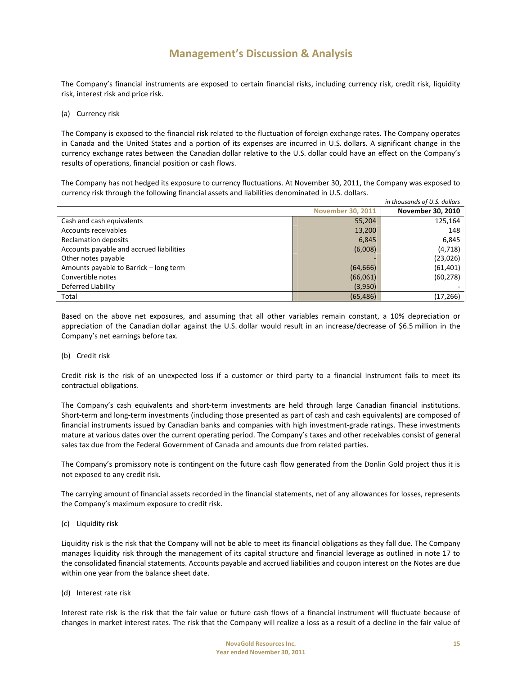The Company's financial instruments are exposed to certain financial risks, including currency risk, credit risk, liquidity risk, interest risk and price risk.

### (a) Currency risk

The Company is exposed to the financial risk related to the fluctuation of foreign exchange rates. The Company operates in Canada and the United States and a portion of its expenses are incurred in U.S. dollars. A significant change in the currency exchange rates between the Canadian dollar relative to the U.S. dollar could have an effect on the Company's results of operations, financial position or cash flows.

The Company has not hedged its exposure to currency fluctuations. At November 30, 2011, the Company was exposed to currency risk through the following financial assets and liabilities denominated in U.S. dollars.

|                                          |                          | in thousands of U.S. dollars |
|------------------------------------------|--------------------------|------------------------------|
|                                          | <b>November 30, 2011</b> | November 30, 2010            |
| Cash and cash equivalents                | 55,204                   | 125,164                      |
| Accounts receivables                     | 13,200                   | 148                          |
| <b>Reclamation deposits</b>              | 6,845                    | 6,845                        |
| Accounts payable and accrued liabilities | (6,008)                  | (4, 718)                     |
| Other notes payable                      |                          | (23,026)                     |
| Amounts payable to Barrick – long term   | (64, 666)                | (61, 401)                    |
| Convertible notes                        | (66,061)                 | (60, 278)                    |
| Deferred Liability                       | (3,950)                  |                              |
| Total                                    | (65, 486)                | (17, 266)                    |

Based on the above net exposures, and assuming that all other variables remain constant, a 10% depreciation or appreciation of the Canadian dollar against the U.S. dollar would result in an increase/decrease of \$6.5 million in the Company's net earnings before tax.

### (b) Credit risk

Credit risk is the risk of an unexpected loss if a customer or third party to a financial instrument fails to meet its contractual obligations.

The Company's cash equivalents and short-term investments are held through large Canadian financial institutions. Short-term and long-term investments (including those presented as part of cash and cash equivalents) are composed of financial instruments issued by Canadian banks and companies with high investment-grade ratings. These investments mature at various dates over the current operating period. The Company's taxes and other receivables consist of general sales tax due from the Federal Government of Canada and amounts due from related parties.

The Company's promissory note is contingent on the future cash flow generated from the Donlin Gold project thus it is not exposed to any credit risk.

The carrying amount of financial assets recorded in the financial statements, net of any allowances for losses, represents the Company's maximum exposure to credit risk.

#### (c) Liquidity risk

Liquidity risk is the risk that the Company will not be able to meet its financial obligations as they fall due. The Company manages liquidity risk through the management of its capital structure and financial leverage as outlined in note 17 to the consolidated financial statements. Accounts payable and accrued liabilities and coupon interest on the Notes are due within one year from the balance sheet date.

#### (d) Interest rate risk

Interest rate risk is the risk that the fair value or future cash flows of a financial instrument will fluctuate because of changes in market interest rates. The risk that the Company will realize a loss as a result of a decline in the fair value of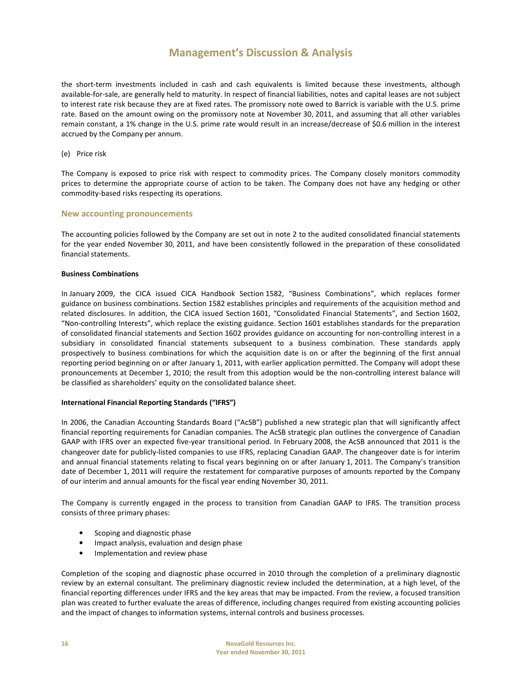the short-term investments included in cash and cash equivalents is limited because these investments, although available-for-sale, are generally held to maturity. In respect of financial liabilities, notes and capital leases are not subject to interest rate risk because they are at fixed rates. The promissory note owed to Barrick is variable with the U.S. prime rate. Based on the amount owing on the promissory note at November 30, 2011, and assuming that all other variables remain constant, a 1% change in the U.S. prime rate would result in an increase/decrease of \$0.6 million in the interest accrued by the Company per annum.

(e) Price risk

The Company is exposed to price risk with respect to commodity prices. The Company closely monitors commodity prices to determine the appropriate course of action to be taken. The Company does not have any hedging or other commodity-based risks respecting its operations.

## New accounting pronouncements

The accounting policies followed by the Company are set out in note 2 to the audited consolidated financial statements for the year ended November 30, 2011, and have been consistently followed in the preparation of these consolidated financial statements.

### Business Combinations

In January 2009, the CICA issued CICA Handbook Section 1582, "Business Combinations", which replaces former guidance on business combinations. Section 1582 establishes principles and requirements of the acquisition method and related disclosures. In addition, the CICA issued Section 1601, "Consolidated Financial Statements", and Section 1602, "Non-controlling Interests", which replace the existing guidance. Section 1601 establishes standards for the preparation of consolidated financial statements and Section 1602 provides guidance on accounting for non-controlling interest in a subsidiary in consolidated financial statements subsequent to a business combination. These standards apply prospectively to business combinations for which the acquisition date is on or after the beginning of the first annual reporting period beginning on or after January 1, 2011, with earlier application permitted. The Company will adopt these pronouncements at December 1, 2010; the result from this adoption would be the non-controlling interest balance will be classified as shareholders' equity on the consolidated balance sheet.

### International Financial Reporting Standards ("IFRS")

In 2006, the Canadian Accounting Standards Board ("AcSB") published a new strategic plan that will significantly affect financial reporting requirements for Canadian companies. The AcSB strategic plan outlines the convergence of Canadian GAAP with IFRS over an expected five-year transitional period. In February 2008, the AcSB announced that 2011 is the changeover date for publicly-listed companies to use IFRS, replacing Canadian GAAP. The changeover date is for interim and annual financial statements relating to fiscal years beginning on or after January 1, 2011. The Company's transition date of December 1, 2011 will require the restatement for comparative purposes of amounts reported by the Company of our interim and annual amounts for the fiscal year ending November 30, 2011.

The Company is currently engaged in the process to transition from Canadian GAAP to IFRS. The transition process consists of three primary phases:

- Scoping and diagnostic phase
- Impact analysis, evaluation and design phase
- Implementation and review phase

Completion of the scoping and diagnostic phase occurred in 2010 through the completion of a preliminary diagnostic review by an external consultant. The preliminary diagnostic review included the determination, at a high level, of the financial reporting differences under IFRS and the key areas that may be impacted. From the review, a focused transition plan was created to further evaluate the areas of difference, including changes required from existing accounting policies and the impact of changes to information systems, internal controls and business processes.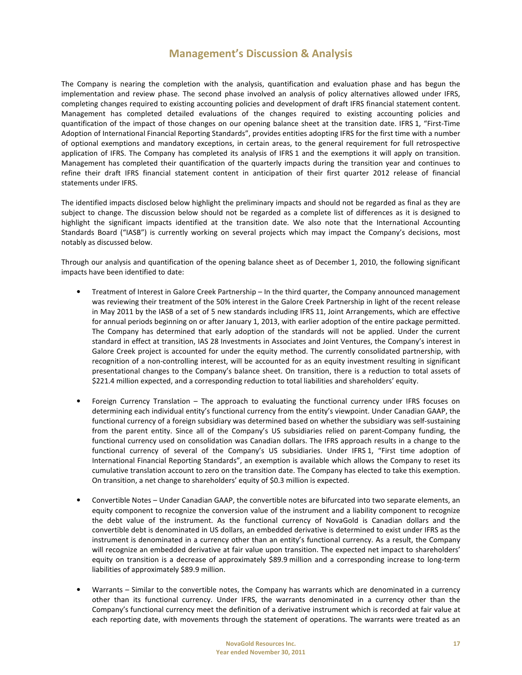The Company is nearing the completion with the analysis, quantification and evaluation phase and has begun the implementation and review phase. The second phase involved an analysis of policy alternatives allowed under IFRS, completing changes required to existing accounting policies and development of draft IFRS financial statement content. Management has completed detailed evaluations of the changes required to existing accounting policies and quantification of the impact of those changes on our opening balance sheet at the transition date. IFRS 1, "First-Time Adoption of International Financial Reporting Standards", provides entities adopting IFRS for the first time with a number of optional exemptions and mandatory exceptions, in certain areas, to the general requirement for full retrospective application of IFRS. The Company has completed its analysis of IFRS 1 and the exemptions it will apply on transition. Management has completed their quantification of the quarterly impacts during the transition year and continues to refine their draft IFRS financial statement content in anticipation of their first quarter 2012 release of financial statements under IFRS.

The identified impacts disclosed below highlight the preliminary impacts and should not be regarded as final as they are subject to change. The discussion below should not be regarded as a complete list of differences as it is designed to highlight the significant impacts identified at the transition date. We also note that the International Accounting Standards Board ("IASB") is currently working on several projects which may impact the Company's decisions, most notably as discussed below.

Through our analysis and quantification of the opening balance sheet as of December 1, 2010, the following significant impacts have been identified to date:

- Treatment of Interest in Galore Creek Partnership In the third quarter, the Company announced management was reviewing their treatment of the 50% interest in the Galore Creek Partnership in light of the recent release in May 2011 by the IASB of a set of 5 new standards including IFRS 11, Joint Arrangements, which are effective for annual periods beginning on or after January 1, 2013, with earlier adoption of the entire package permitted. The Company has determined that early adoption of the standards will not be applied. Under the current standard in effect at transition, IAS 28 Investments in Associates and Joint Ventures, the Company's interest in Galore Creek project is accounted for under the equity method. The currently consolidated partnership, with recognition of a non-controlling interest, will be accounted for as an equity investment resulting in significant presentational changes to the Company's balance sheet. On transition, there is a reduction to total assets of \$221.4 million expected, and a corresponding reduction to total liabilities and shareholders' equity.
- Foreign Currency Translation The approach to evaluating the functional currency under IFRS focuses on determining each individual entity's functional currency from the entity's viewpoint. Under Canadian GAAP, the functional currency of a foreign subsidiary was determined based on whether the subsidiary was self-sustaining from the parent entity. Since all of the Company's US subsidiaries relied on parent-Company funding, the functional currency used on consolidation was Canadian dollars. The IFRS approach results in a change to the functional currency of several of the Company's US subsidiaries. Under IFRS 1, "First time adoption of International Financial Reporting Standards", an exemption is available which allows the Company to reset its cumulative translation account to zero on the transition date. The Company has elected to take this exemption. On transition, a net change to shareholders' equity of \$0.3 million is expected.
- Convertible Notes Under Canadian GAAP, the convertible notes are bifurcated into two separate elements, an equity component to recognize the conversion value of the instrument and a liability component to recognize the debt value of the instrument. As the functional currency of NovaGold is Canadian dollars and the convertible debt is denominated in US dollars, an embedded derivative is determined to exist under IFRS as the instrument is denominated in a currency other than an entity's functional currency. As a result, the Company will recognize an embedded derivative at fair value upon transition. The expected net impact to shareholders' equity on transition is a decrease of approximately \$89.9 million and a corresponding increase to long-term liabilities of approximately \$89.9 million.
- Warrants Similar to the convertible notes, the Company has warrants which are denominated in a currency other than its functional currency. Under IFRS, the warrants denominated in a currency other than the Company's functional currency meet the definition of a derivative instrument which is recorded at fair value at each reporting date, with movements through the statement of operations. The warrants were treated as an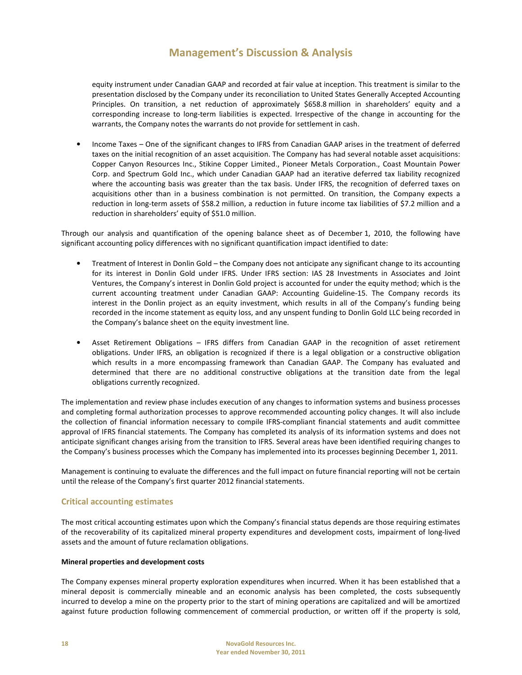equity instrument under Canadian GAAP and recorded at fair value at inception. This treatment is similar to the presentation disclosed by the Company under its reconciliation to United States Generally Accepted Accounting Principles. On transition, a net reduction of approximately \$658.8 million in shareholders' equity and a corresponding increase to long-term liabilities is expected. Irrespective of the change in accounting for the warrants, the Company notes the warrants do not provide for settlement in cash.

• Income Taxes – One of the significant changes to IFRS from Canadian GAAP arises in the treatment of deferred taxes on the initial recognition of an asset acquisition. The Company has had several notable asset acquisitions: Copper Canyon Resources Inc., Stikine Copper Limited., Pioneer Metals Corporation., Coast Mountain Power Corp. and Spectrum Gold Inc., which under Canadian GAAP had an iterative deferred tax liability recognized where the accounting basis was greater than the tax basis. Under IFRS, the recognition of deferred taxes on acquisitions other than in a business combination is not permitted. On transition, the Company expects a reduction in long-term assets of \$58.2 million, a reduction in future income tax liabilities of \$7.2 million and a reduction in shareholders' equity of \$51.0 million.

Through our analysis and quantification of the opening balance sheet as of December 1, 2010, the following have significant accounting policy differences with no significant quantification impact identified to date:

- Treatment of Interest in Donlin Gold the Company does not anticipate any significant change to its accounting for its interest in Donlin Gold under IFRS. Under IFRS section: IAS 28 Investments in Associates and Joint Ventures, the Company's interest in Donlin Gold project is accounted for under the equity method; which is the current accounting treatment under Canadian GAAP: Accounting Guideline-15. The Company records its interest in the Donlin project as an equity investment, which results in all of the Company's funding being recorded in the income statement as equity loss, and any unspent funding to Donlin Gold LLC being recorded in the Company's balance sheet on the equity investment line.
- Asset Retirement Obligations IFRS differs from Canadian GAAP in the recognition of asset retirement obligations. Under IFRS, an obligation is recognized if there is a legal obligation or a constructive obligation which results in a more encompassing framework than Canadian GAAP. The Company has evaluated and determined that there are no additional constructive obligations at the transition date from the legal obligations currently recognized.

The implementation and review phase includes execution of any changes to information systems and business processes and completing formal authorization processes to approve recommended accounting policy changes. It will also include the collection of financial information necessary to compile IFRS-compliant financial statements and audit committee approval of IFRS financial statements. The Company has completed its analysis of its information systems and does not anticipate significant changes arising from the transition to IFRS. Several areas have been identified requiring changes to the Company's business processes which the Company has implemented into its processes beginning December 1, 2011.

Management is continuing to evaluate the differences and the full impact on future financial reporting will not be certain until the release of the Company's first quarter 2012 financial statements.

## Critical accounting estimates

The most critical accounting estimates upon which the Company's financial status depends are those requiring estimates of the recoverability of its capitalized mineral property expenditures and development costs, impairment of long-lived assets and the amount of future reclamation obligations.

### Mineral properties and development costs

The Company expenses mineral property exploration expenditures when incurred. When it has been established that a mineral deposit is commercially mineable and an economic analysis has been completed, the costs subsequently incurred to develop a mine on the property prior to the start of mining operations are capitalized and will be amortized against future production following commencement of commercial production, or written off if the property is sold,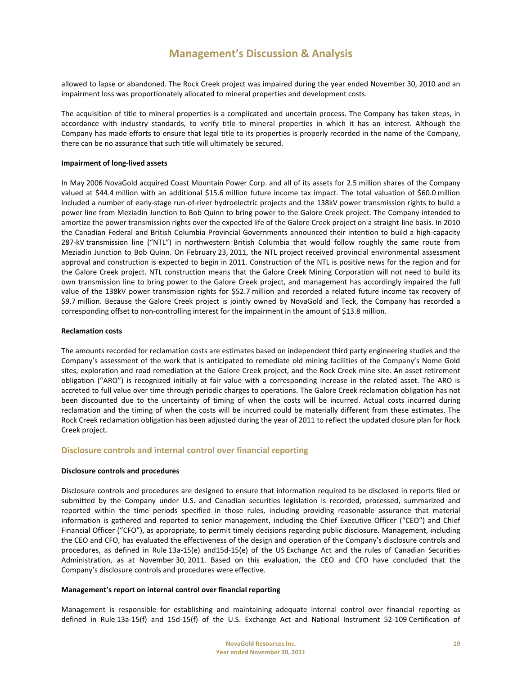allowed to lapse or abandoned. The Rock Creek project was impaired during the year ended November 30, 2010 and an impairment loss was proportionately allocated to mineral properties and development costs.

The acquisition of title to mineral properties is a complicated and uncertain process. The Company has taken steps, in accordance with industry standards, to verify title to mineral properties in which it has an interest. Although the Company has made efforts to ensure that legal title to its properties is properly recorded in the name of the Company, there can be no assurance that such title will ultimately be secured.

### Impairment of long-lived assets

In May 2006 NovaGold acquired Coast Mountain Power Corp. and all of its assets for 2.5 million shares of the Company valued at \$44.4 million with an additional \$15.6 million future income tax impact. The total valuation of \$60.0 million included a number of early-stage run-of-river hydroelectric projects and the 138kV power transmission rights to build a power line from Meziadin Junction to Bob Quinn to bring power to the Galore Creek project. The Company intended to amortize the power transmission rights over the expected life of the Galore Creek project on a straight-line basis. In 2010 the Canadian Federal and British Columbia Provincial Governments announced their intention to build a high-capacity 287-kV transmission line ("NTL") in northwestern British Columbia that would follow roughly the same route from Meziadin Junction to Bob Quinn. On February 23, 2011, the NTL project received provincial environmental assessment approval and construction is expected to begin in 2011. Construction of the NTL is positive news for the region and for the Galore Creek project. NTL construction means that the Galore Creek Mining Corporation will not need to build its own transmission line to bring power to the Galore Creek project, and management has accordingly impaired the full value of the 138kV power transmission rights for \$52.7 million and recorded a related future income tax recovery of \$9.7 million. Because the Galore Creek project is jointly owned by NovaGold and Teck, the Company has recorded a corresponding offset to non-controlling interest for the impairment in the amount of \$13.8 million.

#### Reclamation costs

The amounts recorded for reclamation costs are estimates based on independent third party engineering studies and the Company's assessment of the work that is anticipated to remediate old mining facilities of the Company's Nome Gold sites, exploration and road remediation at the Galore Creek project, and the Rock Creek mine site. An asset retirement obligation ("ARO") is recognized initially at fair value with a corresponding increase in the related asset. The ARO is accreted to full value over time through periodic charges to operations. The Galore Creek reclamation obligation has not been discounted due to the uncertainty of timing of when the costs will be incurred. Actual costs incurred during reclamation and the timing of when the costs will be incurred could be materially different from these estimates. The Rock Creek reclamation obligation has been adjusted during the year of 2011 to reflect the updated closure plan for Rock Creek project.

### Disclosure controls and internal control over financial reporting

#### Disclosure controls and procedures

Disclosure controls and procedures are designed to ensure that information required to be disclosed in reports filed or submitted by the Company under U.S. and Canadian securities legislation is recorded, processed, summarized and reported within the time periods specified in those rules, including providing reasonable assurance that material information is gathered and reported to senior management, including the Chief Executive Officer ("CEO") and Chief Financial Officer ("CFO"), as appropriate, to permit timely decisions regarding public disclosure. Management, including the CEO and CFO, has evaluated the effectiveness of the design and operation of the Company's disclosure controls and procedures, as defined in Rule 13a-15(e) and15d-15(e) of the US Exchange Act and the rules of Canadian Securities Administration, as at November 30, 2011. Based on this evaluation, the CEO and CFO have concluded that the Company's disclosure controls and procedures were effective.

### Management's report on internal control over financial reporting

Management is responsible for establishing and maintaining adequate internal control over financial reporting as defined in Rule 13a-15(f) and 15d-15(f) of the U.S. Exchange Act and National Instrument 52-109 Certification of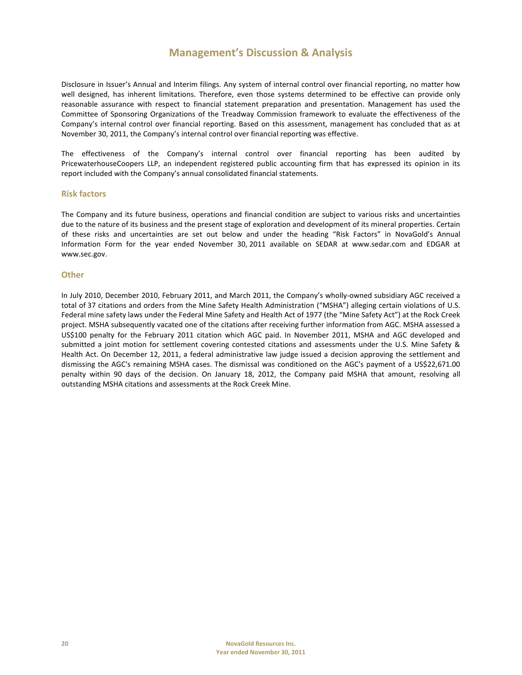Disclosure in Issuer's Annual and Interim filings. Any system of internal control over financial reporting, no matter how well designed, has inherent limitations. Therefore, even those systems determined to be effective can provide only reasonable assurance with respect to financial statement preparation and presentation. Management has used the Committee of Sponsoring Organizations of the Treadway Commission framework to evaluate the effectiveness of the Company's internal control over financial reporting. Based on this assessment, management has concluded that as at November 30, 2011, the Company's internal control over financial reporting was effective.

The effectiveness of the Company's internal control over financial reporting has been audited by PricewaterhouseCoopers LLP, an independent registered public accounting firm that has expressed its opinion in its report included with the Company's annual consolidated financial statements.

### Risk factors

The Company and its future business, operations and financial condition are subject to various risks and uncertainties due to the nature of its business and the present stage of exploration and development of its mineral properties. Certain of these risks and uncertainties are set out below and under the heading "Risk Factors" in NovaGold's Annual Information Form for the year ended November 30, 2011 available on SEDAR at www.sedar.com and EDGAR at www.sec.gov.

### **Other**

In July 2010, December 2010, February 2011, and March 2011, the Company's wholly-owned subsidiary AGC received a total of 37 citations and orders from the Mine Safety Health Administration ("MSHA") alleging certain violations of U.S. Federal mine safety laws under the Federal Mine Safety and Health Act of 1977 (the "Mine Safety Act") at the Rock Creek project. MSHA subsequently vacated one of the citations after receiving further information from AGC. MSHA assessed a US\$100 penalty for the February 2011 citation which AGC paid. In November 2011, MSHA and AGC developed and submitted a joint motion for settlement covering contested citations and assessments under the U.S. Mine Safety & Health Act. On December 12, 2011, a federal administrative law judge issued a decision approving the settlement and dismissing the AGC's remaining MSHA cases. The dismissal was conditioned on the AGC's payment of a US\$22,671.00 penalty within 90 days of the decision. On January 18, 2012, the Company paid MSHA that amount, resolving all outstanding MSHA citations and assessments at the Rock Creek Mine.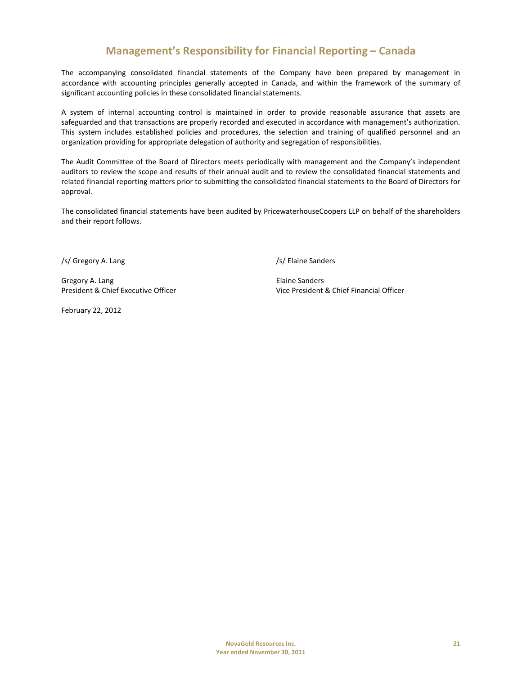## Management's Responsibility for Financial Reporting – Canada

The accompanying consolidated financial statements of the Company have been prepared by management in accordance with accounting principles generally accepted in Canada, and within the framework of the summary of significant accounting policies in these consolidated financial statements.

A system of internal accounting control is maintained in order to provide reasonable assurance that assets are safeguarded and that transactions are properly recorded and executed in accordance with management's authorization. This system includes established policies and procedures, the selection and training of qualified personnel and an organization providing for appropriate delegation of authority and segregation of responsibilities.

The Audit Committee of the Board of Directors meets periodically with management and the Company's independent auditors to review the scope and results of their annual audit and to review the consolidated financial statements and related financial reporting matters prior to submitting the consolidated financial statements to the Board of Directors for approval.

The consolidated financial statements have been audited by PricewaterhouseCoopers LLP on behalf of the shareholders and their report follows.

/s/ Gregory A. Lang /s/ Elaine Sanders

Gregory A. Lang **Elaine Sanders** 

President & Chief Executive Officer Vice President & Chief Financial Officer

February 22, 2012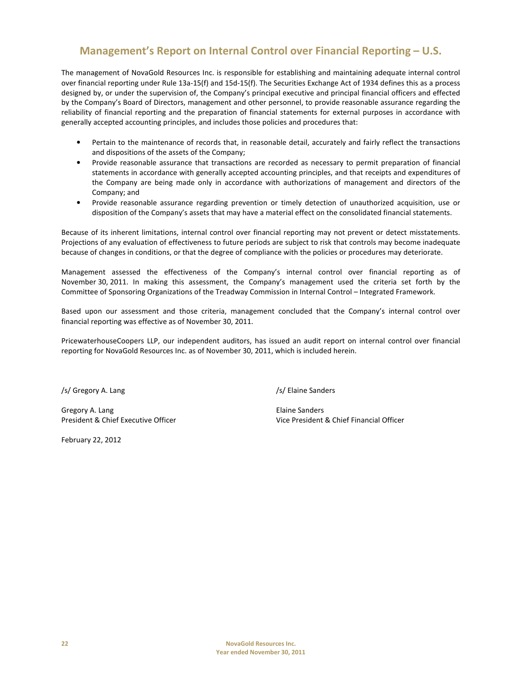## Management's Report on Internal Control over Financial Reporting – U.S.

The management of NovaGold Resources Inc. is responsible for establishing and maintaining adequate internal control over financial reporting under Rule 13a-15(f) and 15d-15(f). The Securities Exchange Act of 1934 defines this as a process designed by, or under the supervision of, the Company's principal executive and principal financial officers and effected by the Company's Board of Directors, management and other personnel, to provide reasonable assurance regarding the reliability of financial reporting and the preparation of financial statements for external purposes in accordance with generally accepted accounting principles, and includes those policies and procedures that:

- Pertain to the maintenance of records that, in reasonable detail, accurately and fairly reflect the transactions and dispositions of the assets of the Company;
- Provide reasonable assurance that transactions are recorded as necessary to permit preparation of financial statements in accordance with generally accepted accounting principles, and that receipts and expenditures of the Company are being made only in accordance with authorizations of management and directors of the Company; and
- Provide reasonable assurance regarding prevention or timely detection of unauthorized acquisition, use or disposition of the Company's assets that may have a material effect on the consolidated financial statements.

Because of its inherent limitations, internal control over financial reporting may not prevent or detect misstatements. Projections of any evaluation of effectiveness to future periods are subject to risk that controls may become inadequate because of changes in conditions, or that the degree of compliance with the policies or procedures may deteriorate.

Management assessed the effectiveness of the Company's internal control over financial reporting as of November 30, 2011. In making this assessment, the Company's management used the criteria set forth by the Committee of Sponsoring Organizations of the Treadway Commission in Internal Control – Integrated Framework.

Based upon our assessment and those criteria, management concluded that the Company's internal control over financial reporting was effective as of November 30, 2011.

PricewaterhouseCoopers LLP, our independent auditors, has issued an audit report on internal control over financial reporting for NovaGold Resources Inc. as of November 30, 2011, which is included herein.

/s/ Gregory A. Lang /s/ Claine Sanders

Gregory A. Lang **Elaine Sanders** 

February 22, 2012

President & Chief Executive Officer Vice President & Chief Financial Officer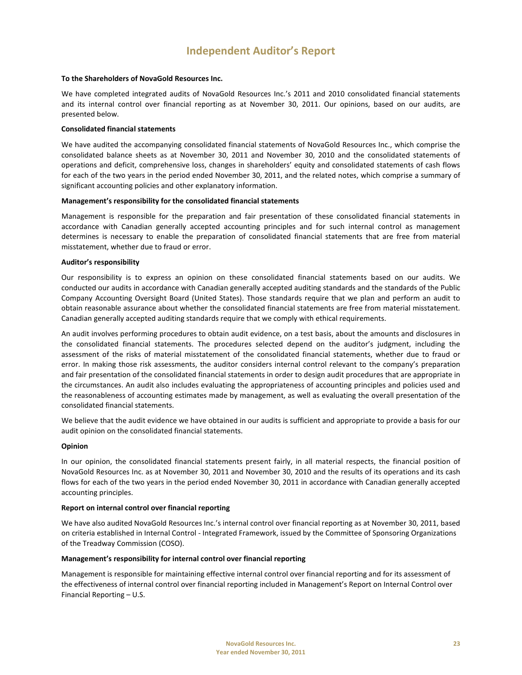# Independent Auditor's Report

### To the Shareholders of NovaGold Resources Inc.

We have completed integrated audits of NovaGold Resources Inc.'s 2011 and 2010 consolidated financial statements and its internal control over financial reporting as at November 30, 2011. Our opinions, based on our audits, are presented below.

### Consolidated financial statements

We have audited the accompanying consolidated financial statements of NovaGold Resources Inc., which comprise the consolidated balance sheets as at November 30, 2011 and November 30, 2010 and the consolidated statements of operations and deficit, comprehensive loss, changes in shareholders' equity and consolidated statements of cash flows for each of the two years in the period ended November 30, 2011, and the related notes, which comprise a summary of significant accounting policies and other explanatory information.

### Management's responsibility for the consolidated financial statements

Management is responsible for the preparation and fair presentation of these consolidated financial statements in accordance with Canadian generally accepted accounting principles and for such internal control as management determines is necessary to enable the preparation of consolidated financial statements that are free from material misstatement, whether due to fraud or error.

### Auditor's responsibility

Our responsibility is to express an opinion on these consolidated financial statements based on our audits. We conducted our audits in accordance with Canadian generally accepted auditing standards and the standards of the Public Company Accounting Oversight Board (United States). Those standards require that we plan and perform an audit to obtain reasonable assurance about whether the consolidated financial statements are free from material misstatement. Canadian generally accepted auditing standards require that we comply with ethical requirements.

An audit involves performing procedures to obtain audit evidence, on a test basis, about the amounts and disclosures in the consolidated financial statements. The procedures selected depend on the auditor's judgment, including the assessment of the risks of material misstatement of the consolidated financial statements, whether due to fraud or error. In making those risk assessments, the auditor considers internal control relevant to the company's preparation and fair presentation of the consolidated financial statements in order to design audit procedures that are appropriate in the circumstances. An audit also includes evaluating the appropriateness of accounting principles and policies used and the reasonableness of accounting estimates made by management, as well as evaluating the overall presentation of the consolidated financial statements.

We believe that the audit evidence we have obtained in our audits is sufficient and appropriate to provide a basis for our audit opinion on the consolidated financial statements.

### Opinion

In our opinion, the consolidated financial statements present fairly, in all material respects, the financial position of NovaGold Resources Inc. as at November 30, 2011 and November 30, 2010 and the results of its operations and its cash flows for each of the two years in the period ended November 30, 2011 in accordance with Canadian generally accepted accounting principles.

#### Report on internal control over financial reporting

We have also audited NovaGold Resources Inc.'s internal control over financial reporting as at November 30, 2011, based on criteria established in Internal Control - Integrated Framework, issued by the Committee of Sponsoring Organizations of the Treadway Commission (COSO).

### Management's responsibility for internal control over financial reporting

Management is responsible for maintaining effective internal control over financial reporting and for its assessment of the effectiveness of internal control over financial reporting included in Management's Report on Internal Control over Financial Reporting – U.S.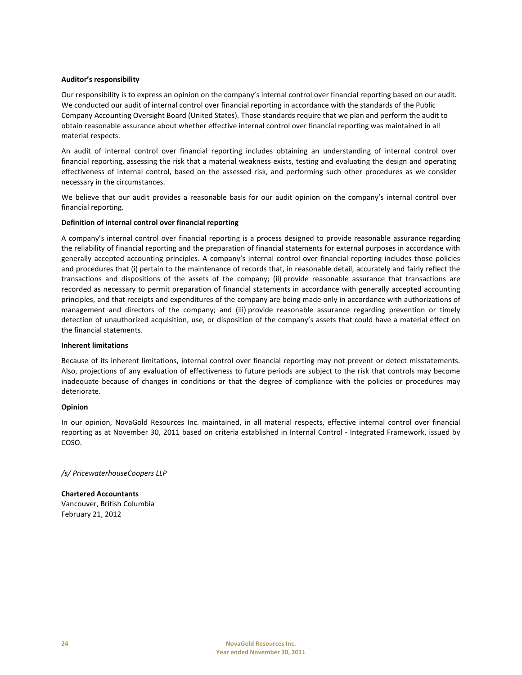### Auditor's responsibility

Our responsibility is to express an opinion on the company's internal control over financial reporting based on our audit. We conducted our audit of internal control over financial reporting in accordance with the standards of the Public Company Accounting Oversight Board (United States). Those standards require that we plan and perform the audit to obtain reasonable assurance about whether effective internal control over financial reporting was maintained in all material respects.

An audit of internal control over financial reporting includes obtaining an understanding of internal control over financial reporting, assessing the risk that a material weakness exists, testing and evaluating the design and operating effectiveness of internal control, based on the assessed risk, and performing such other procedures as we consider necessary in the circumstances.

We believe that our audit provides a reasonable basis for our audit opinion on the company's internal control over financial reporting.

### Definition of internal control over financial reporting

A company's internal control over financial reporting is a process designed to provide reasonable assurance regarding the reliability of financial reporting and the preparation of financial statements for external purposes in accordance with generally accepted accounting principles. A company's internal control over financial reporting includes those policies and procedures that (i) pertain to the maintenance of records that, in reasonable detail, accurately and fairly reflect the transactions and dispositions of the assets of the company; (ii) provide reasonable assurance that transactions are recorded as necessary to permit preparation of financial statements in accordance with generally accepted accounting principles, and that receipts and expenditures of the company are being made only in accordance with authorizations of management and directors of the company; and (iii) provide reasonable assurance regarding prevention or timely detection of unauthorized acquisition, use, or disposition of the company's assets that could have a material effect on the financial statements.

#### Inherent limitations

Because of its inherent limitations, internal control over financial reporting may not prevent or detect misstatements. Also, projections of any evaluation of effectiveness to future periods are subject to the risk that controls may become inadequate because of changes in conditions or that the degree of compliance with the policies or procedures may deteriorate.

#### Opinion

In our opinion, NovaGold Resources Inc. maintained, in all material respects, effective internal control over financial reporting as at November 30, 2011 based on criteria established in Internal Control - Integrated Framework, issued by COSO.

### /s/ PricewaterhouseCoopers LLP

Chartered Accountants Vancouver, British Columbia February 21, 2012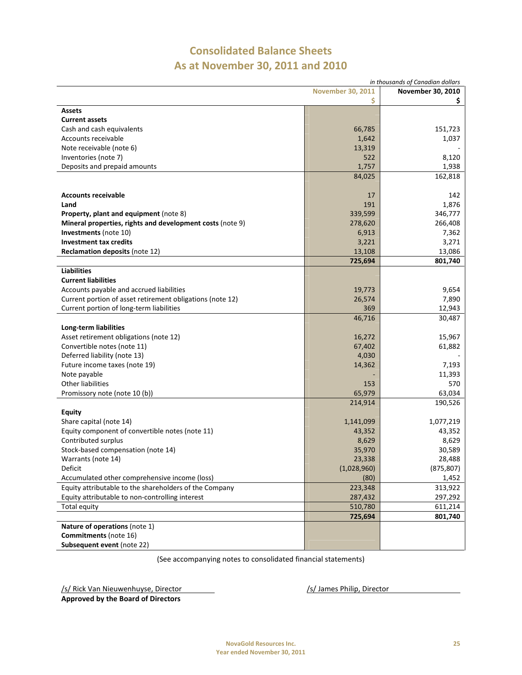# Consolidated Balance Sheets As at November 30, 2011 and 2010

| in thousands of Canadian dollars                          |                                |                         |  |
|-----------------------------------------------------------|--------------------------------|-------------------------|--|
|                                                           | <b>November 30, 2011</b><br>\$ | November 30, 2010<br>Ş. |  |
| Assets                                                    |                                |                         |  |
| <b>Current assets</b>                                     |                                |                         |  |
| Cash and cash equivalents                                 | 66,785                         | 151,723                 |  |
| Accounts receivable                                       | 1,642                          | 1,037                   |  |
| Note receivable (note 6)                                  | 13,319                         |                         |  |
| Inventories (note 7)                                      | 522                            | 8,120                   |  |
| Deposits and prepaid amounts                              | 1,757                          | 1,938                   |  |
|                                                           | 84,025                         | 162,818                 |  |
|                                                           |                                |                         |  |
| <b>Accounts receivable</b>                                | 17                             | 142                     |  |
| Land                                                      | 191                            | 1,876                   |  |
| Property, plant and equipment (note 8)                    | 339,599                        | 346,777                 |  |
| Mineral properties, rights and development costs (note 9) | 278,620                        | 266,408                 |  |
| <b>Investments</b> (note 10)                              | 6,913                          | 7,362                   |  |
| <b>Investment tax credits</b>                             | 3,221                          | 3,271                   |  |
| <b>Reclamation deposits (note 12)</b>                     | 13,108                         | 13,086                  |  |
|                                                           | 725,694                        | 801,740                 |  |
| <b>Liabilities</b>                                        |                                |                         |  |
| <b>Current liabilities</b>                                |                                |                         |  |
| Accounts payable and accrued liabilities                  | 19,773                         | 9,654                   |  |
| Current portion of asset retirement obligations (note 12) | 26,574                         | 7,890                   |  |
| Current portion of long-term liabilities                  | 369                            | 12,943                  |  |
|                                                           | 46,716                         | 30,487                  |  |
| Long-term liabilities                                     |                                |                         |  |
| Asset retirement obligations (note 12)                    | 16,272                         | 15,967                  |  |
| Convertible notes (note 11)                               | 67,402                         | 61,882                  |  |
| Deferred liability (note 13)                              | 4,030                          |                         |  |
| Future income taxes (note 19)                             | 14,362                         | 7,193                   |  |
| Note payable                                              |                                | 11,393                  |  |
| <b>Other liabilities</b>                                  | 153                            | 570                     |  |
| Promissory note (note 10 (b))                             | 65,979                         | 63,034                  |  |
| <b>Equity</b>                                             | 214,914                        | 190,526                 |  |
| Share capital (note 14)                                   | 1,141,099                      | 1,077,219               |  |
| Equity component of convertible notes (note 11)           | 43,352                         | 43,352                  |  |
| Contributed surplus                                       | 8,629                          | 8,629                   |  |
| Stock-based compensation (note 14)                        | 35,970                         | 30,589                  |  |
| Warrants (note 14)                                        | 23,338                         | 28,488                  |  |
| Deficit                                                   | (1,028,960)                    | (875, 807)              |  |
| Accumulated other comprehensive income (loss)             | (80)                           | 1,452                   |  |
| Equity attributable to the shareholders of the Company    | 223,348                        | 313,922                 |  |
| Equity attributable to non-controlling interest           | 287,432                        | 297,292                 |  |
| Total equity                                              | 510,780                        | 611,214                 |  |
|                                                           | 725,694                        | 801,740                 |  |
| Nature of operations (note 1)                             |                                |                         |  |
| Commitments (note 16)                                     |                                |                         |  |
| Subsequent event (note 22)                                |                                |                         |  |

(See accompanying notes to consolidated financial statements)

/s/ Rick Van Nieuwenhuyse, Director /s/ James Philip, Director

Approved by the Board of Directors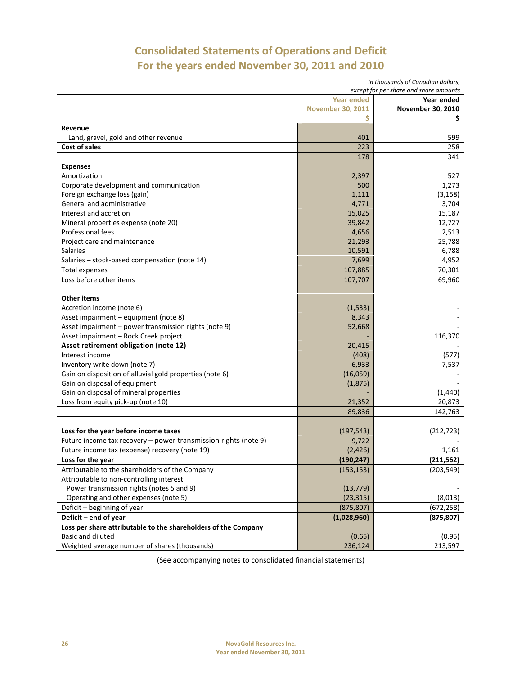# Consolidated Statements of Operations and Deficit For the years ended November 30, 2011 and 2010

| in thousands of Canadian dollars,                               |                                        |                   |  |
|-----------------------------------------------------------------|----------------------------------------|-------------------|--|
|                                                                 | except for per share and share amounts |                   |  |
|                                                                 | <b>Year ended</b>                      | Year ended        |  |
|                                                                 | <b>November 30, 2011</b>               | November 30, 2010 |  |
|                                                                 |                                        | Ş                 |  |
| Revenue                                                         |                                        |                   |  |
| Land, gravel, gold and other revenue                            | 401                                    | 599               |  |
| Cost of sales                                                   | 223                                    | 258               |  |
|                                                                 | 178                                    | 341               |  |
| <b>Expenses</b>                                                 |                                        |                   |  |
| Amortization                                                    | 2,397                                  | 527               |  |
| Corporate development and communication                         | 500                                    | 1,273             |  |
| Foreign exchange loss (gain)                                    | 1,111                                  | (3, 158)          |  |
| General and administrative                                      | 4,771                                  | 3,704             |  |
| Interest and accretion                                          | 15,025                                 | 15,187            |  |
| Mineral properties expense (note 20)                            | 39,842                                 | 12,727            |  |
| <b>Professional fees</b>                                        | 4,656                                  | 2,513             |  |
| Project care and maintenance                                    | 21,293                                 | 25,788            |  |
| <b>Salaries</b>                                                 | 10,591                                 | 6,788             |  |
| Salaries - stock-based compensation (note 14)                   | 7,699                                  | 4,952             |  |
| Total expenses                                                  | 107,885                                | 70,301            |  |
| Loss before other items                                         | 107,707                                | 69,960            |  |
|                                                                 |                                        |                   |  |
| <b>Other items</b>                                              |                                        |                   |  |
| Accretion income (note 6)                                       | (1, 533)                               |                   |  |
| Asset impairment – equipment (note 8)                           | 8,343                                  |                   |  |
| Asset impairment - power transmission rights (note 9)           | 52,668                                 |                   |  |
| Asset impairment - Rock Creek project                           |                                        | 116,370           |  |
|                                                                 |                                        |                   |  |
| Asset retirement obligation (note 12)                           | 20,415                                 |                   |  |
| Interest income                                                 | (408)                                  | (577)             |  |
| Inventory write down (note 7)                                   | 6,933                                  | 7,537             |  |
| Gain on disposition of alluvial gold properties (note 6)        | (16,059)                               |                   |  |
| Gain on disposal of equipment                                   | (1,875)                                |                   |  |
| Gain on disposal of mineral properties                          |                                        | (1,440)           |  |
| Loss from equity pick-up (note 10)                              | 21,352                                 | 20,873            |  |
|                                                                 | 89,836                                 | 142,763           |  |
|                                                                 |                                        |                   |  |
| Loss for the year before income taxes                           | (197, 543)                             | (212, 723)        |  |
| Future income tax recovery - power transmission rights (note 9) | 9,722                                  |                   |  |
| Future income tax (expense) recovery (note 19)                  | (2,426)                                | 1,161             |  |
| Loss for the year                                               | (190, 247)                             | (211, 562)        |  |
| Attributable to the shareholders of the Company                 | (153, 153)                             | (203, 549)        |  |
| Attributable to non-controlling interest                        |                                        |                   |  |
| Power transmission rights (notes 5 and 9)                       | (13, 779)                              |                   |  |
| Operating and other expenses (note 5)                           | (23, 315)                              | (8,013)           |  |
| Deficit - beginning of year                                     | (875, 807)                             | (672, 258)        |  |
| Deficit - end of year                                           | (1,028,960)                            | (875, 807)        |  |
| Loss per share attributable to the shareholders of the Company  |                                        |                   |  |
| Basic and diluted                                               | (0.65)                                 | (0.95)            |  |
| Weighted average number of shares (thousands)                   | 236,124                                | 213,597           |  |

(See accompanying notes to consolidated financial statements)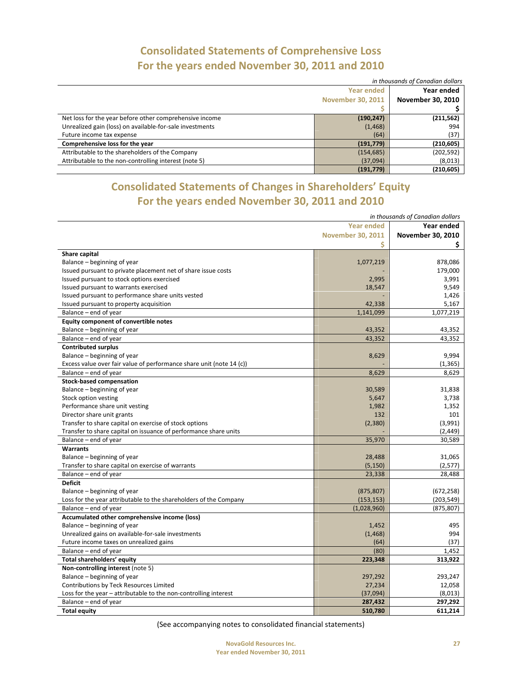# Consolidated Statements of Comprehensive Loss For the years ended November 30, 2011 and 2010

| in thousands of Canadian dollars                         |                          |                          |
|----------------------------------------------------------|--------------------------|--------------------------|
|                                                          | <b>Year ended</b>        | Year ended               |
|                                                          | <b>November 30, 2011</b> | <b>November 30, 2010</b> |
|                                                          |                          |                          |
| Net loss for the year before other comprehensive income  | (190, 247)               | (211, 562)               |
| Unrealized gain (loss) on available-for-sale investments | (1, 468)                 | 994                      |
| Future income tax expense                                | (64)                     | (37)                     |
| Comprehensive loss for the year                          | (191, 779)               | (210, 605)               |
| Attributable to the shareholders of the Company          | (154, 685)               | (202, 592)               |
| Attributable to the non-controlling interest (note 5)    | (37,094)                 | (8,013)                  |
|                                                          | (191, 779)               | (210, 605)               |

# Consolidated Statements of Changes in Shareholders' Equity For the years ended November 30, 2011 and 2010

|                                                                      | in thousands of Canadian dollars |                   |  |
|----------------------------------------------------------------------|----------------------------------|-------------------|--|
|                                                                      | <b>Year ended</b>                | Year ended        |  |
|                                                                      | <b>November 30, 2011</b>         | November 30, 2010 |  |
|                                                                      | Ś                                | \$                |  |
| Share capital                                                        |                                  |                   |  |
| Balance - beginning of year                                          | 1,077,219                        | 878,086           |  |
| Issued pursuant to private placement net of share issue costs        |                                  | 179,000           |  |
| Issued pursuant to stock options exercised                           | 2,995                            | 3,991             |  |
| Issued pursuant to warrants exercised                                | 18,547                           | 9,549             |  |
| Issued pursuant to performance share units vested                    |                                  | 1,426             |  |
| Issued pursuant to property acquisition                              | 42,338                           | 5,167             |  |
| Balance - end of year                                                | 1,141,099                        | 1,077,219         |  |
| <b>Equity component of convertible notes</b>                         |                                  |                   |  |
| Balance - beginning of year                                          | 43,352                           | 43,352            |  |
| Balance – end of year                                                | 43,352                           | 43,352            |  |
| <b>Contributed surplus</b>                                           |                                  |                   |  |
| Balance – beginning of year                                          | 8,629                            | 9,994             |  |
| Excess value over fair value of performance share unit (note 14 (c)) |                                  | (1, 365)          |  |
| Balance – end of year                                                | 8,629                            | 8,629             |  |
| <b>Stock-based compensation</b>                                      |                                  |                   |  |
| Balance – beginning of year                                          | 30,589                           | 31,838            |  |
| Stock option vesting                                                 | 5,647                            | 3,738             |  |
| Performance share unit vesting                                       | 1,982                            | 1,352             |  |
| Director share unit grants                                           | 132                              | 101               |  |
| Transfer to share capital on exercise of stock options               | (2,380)                          | (3,991)           |  |
| Transfer to share capital on issuance of performance share units     |                                  | (2, 449)          |  |
| Balance – end of year                                                | 35,970                           | 30,589            |  |
| Warrants                                                             |                                  |                   |  |
| Balance - beginning of year                                          | 28,488                           | 31,065            |  |
| Transfer to share capital on exercise of warrants                    | (5, 150)                         | (2,577)           |  |
| Balance – end of year                                                | 23,338                           | 28,488            |  |
| <b>Deficit</b>                                                       |                                  |                   |  |
| Balance – beginning of year                                          | (875, 807)                       | (672, 258)        |  |
| Loss for the year attributable to the shareholders of the Company    | (153, 153)                       | (203, 549)        |  |
| Balance – end of year                                                | (1,028,960)                      | (875, 807)        |  |
| Accumulated other comprehensive income (loss)                        |                                  |                   |  |
| Balance – beginning of year                                          | 1,452                            | 495               |  |
| Unrealized gains on available-for-sale investments                   | (1, 468)                         | 994               |  |
| Future income taxes on unrealized gains                              | (64)                             | (37)              |  |
| Balance - end of year                                                | (80)                             | 1,452             |  |
| Total shareholders' equity                                           | 223,348                          | 313,922           |  |
| Non-controlling interest (note 5)                                    |                                  |                   |  |
| Balance – beginning of year                                          | 297,292                          | 293,247           |  |
| Contributions by Teck Resources Limited                              | 27,234                           | 12,058            |  |
| Loss for the year - attributable to the non-controlling interest     | (37,094)                         | (8,013)           |  |
| Balance - end of year                                                | 287,432                          | 297,292           |  |
| <b>Total equity</b>                                                  | 510,780                          | 611,214           |  |

(See accompanying notes to consolidated financial statements)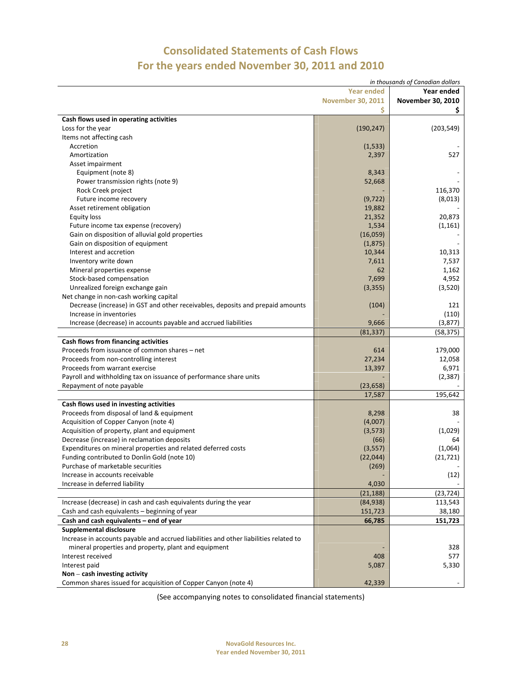# Consolidated Statements of Cash Flows For the years ended November 30, 2011 and 2010

|                                                                                       |                          | in thousands of Canadian dollars |
|---------------------------------------------------------------------------------------|--------------------------|----------------------------------|
|                                                                                       | <b>Year ended</b>        | Year ended                       |
|                                                                                       | <b>November 30, 2011</b> | <b>November 30, 2010</b>         |
|                                                                                       | Ś                        | \$                               |
| Cash flows used in operating activities                                               |                          |                                  |
| Loss for the year                                                                     | (190, 247)               | (203, 549)                       |
| Items not affecting cash                                                              |                          |                                  |
| Accretion                                                                             | (1, 533)                 |                                  |
| Amortization                                                                          | 2,397                    | 527                              |
| Asset impairment                                                                      |                          |                                  |
| Equipment (note 8)                                                                    | 8,343                    |                                  |
| Power transmission rights (note 9)                                                    | 52,668                   |                                  |
| Rock Creek project                                                                    |                          | 116,370                          |
| Future income recovery                                                                | (9, 722)                 | (8,013)                          |
| Asset retirement obligation                                                           | 19,882                   |                                  |
| <b>Equity loss</b>                                                                    | 21,352                   | 20,873                           |
| Future income tax expense (recovery)                                                  | 1,534                    | (1, 161)                         |
| Gain on disposition of alluvial gold properties                                       | (16,059)                 |                                  |
| Gain on disposition of equipment                                                      | (1,875)                  |                                  |
| Interest and accretion                                                                | 10,344                   | 10,313                           |
| Inventory write down                                                                  | 7,611                    | 7,537                            |
| Mineral properties expense                                                            | 62                       | 1,162                            |
| Stock-based compensation                                                              | 7,699                    | 4,952                            |
| Unrealized foreign exchange gain                                                      | (3, 355)                 | (3,520)                          |
| Net change in non-cash working capital                                                |                          |                                  |
| Decrease (increase) in GST and other receivables, deposits and prepaid amounts        | (104)                    | 121                              |
| Increase in inventories                                                               |                          | (110)                            |
| Increase (decrease) in accounts payable and accrued liabilities                       | 9,666                    | (3,877)                          |
|                                                                                       | (81, 337)                | (58, 375)                        |
| Cash flows from financing activities                                                  |                          |                                  |
| Proceeds from issuance of common shares - net                                         | 614                      | 179,000                          |
| Proceeds from non-controlling interest                                                | 27,234                   | 12,058                           |
| Proceeds from warrant exercise                                                        | 13,397                   | 6,971                            |
| Payroll and withholding tax on issuance of performance share units                    |                          | (2, 387)                         |
| Repayment of note payable                                                             | (23, 658)                |                                  |
|                                                                                       | 17,587                   | 195,642                          |
| Cash flows used in investing activities                                               |                          |                                  |
| Proceeds from disposal of land & equipment                                            | 8,298                    | 38                               |
| Acquisition of Copper Canyon (note 4)                                                 | (4,007)                  |                                  |
| Acquisition of property, plant and equipment                                          | (3, 573)                 | (1,029)                          |
| Decrease (increase) in reclamation deposits                                           | (66)                     | 64                               |
| Expenditures on mineral properties and related deferred costs                         | (3, 557)                 | (1,064)                          |
| Funding contributed to Donlin Gold (note 10)                                          | (22, 044)                | (21, 721)                        |
| Purchase of marketable securities<br>Increase in accounts receivable                  | (269)                    |                                  |
| Increase in deferred liability                                                        | 4,030                    | (12)                             |
|                                                                                       | (21, 188)                | (23, 724)                        |
| Increase (decrease) in cash and cash equivalents during the year                      | (84, 938)                | 113,543                          |
| Cash and cash equivalents - beginning of year                                         | 151,723                  | 38,180                           |
| Cash and cash equivalents - end of year                                               | 66,785                   | 151,723                          |
| Supplemental disclosure                                                               |                          |                                  |
| Increase in accounts payable and accrued liabilities and other liabilities related to |                          |                                  |
| mineral properties and property, plant and equipment                                  |                          | 328                              |
| Interest received                                                                     | 408                      | 577                              |
| Interest paid                                                                         | 5,087                    | 5,330                            |
| Non - cash investing activity                                                         |                          |                                  |
| Common shares issued for acquisition of Copper Canyon (note 4)                        | 42,339                   | $\sim$                           |

(See accompanying notes to consolidated financial statements)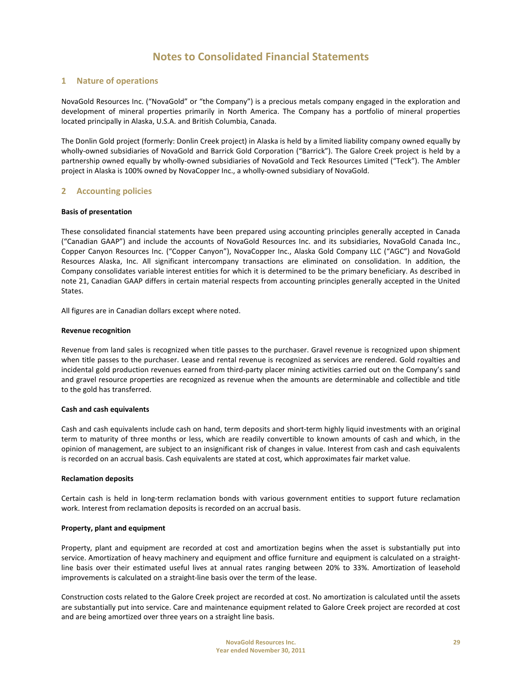## 1 Nature of operations

NovaGold Resources Inc. ("NovaGold" or "the Company") is a precious metals company engaged in the exploration and development of mineral properties primarily in North America. The Company has a portfolio of mineral properties located principally in Alaska, U.S.A. and British Columbia, Canada.

The Donlin Gold project (formerly: Donlin Creek project) in Alaska is held by a limited liability company owned equally by wholly-owned subsidiaries of NovaGold and Barrick Gold Corporation ("Barrick"). The Galore Creek project is held by a partnership owned equally by wholly-owned subsidiaries of NovaGold and Teck Resources Limited ("Teck"). The Ambler project in Alaska is 100% owned by NovaCopper Inc., a wholly-owned subsidiary of NovaGold.

## 2 Accounting policies

### Basis of presentation

These consolidated financial statements have been prepared using accounting principles generally accepted in Canada ("Canadian GAAP") and include the accounts of NovaGold Resources Inc. and its subsidiaries, NovaGold Canada Inc., Copper Canyon Resources Inc. ("Copper Canyon"), NovaCopper Inc., Alaska Gold Company LLC ("AGC") and NovaGold Resources Alaska, Inc. All significant intercompany transactions are eliminated on consolidation. In addition, the Company consolidates variable interest entities for which it is determined to be the primary beneficiary. As described in note 21, Canadian GAAP differs in certain material respects from accounting principles generally accepted in the United States.

All figures are in Canadian dollars except where noted.

#### Revenue recognition

Revenue from land sales is recognized when title passes to the purchaser. Gravel revenue is recognized upon shipment when title passes to the purchaser. Lease and rental revenue is recognized as services are rendered. Gold royalties and incidental gold production revenues earned from third-party placer mining activities carried out on the Company's sand and gravel resource properties are recognized as revenue when the amounts are determinable and collectible and title to the gold has transferred.

#### Cash and cash equivalents

Cash and cash equivalents include cash on hand, term deposits and short-term highly liquid investments with an original term to maturity of three months or less, which are readily convertible to known amounts of cash and which, in the opinion of management, are subject to an insignificant risk of changes in value. Interest from cash and cash equivalents is recorded on an accrual basis. Cash equivalents are stated at cost, which approximates fair market value.

#### Reclamation deposits

Certain cash is held in long-term reclamation bonds with various government entities to support future reclamation work. Interest from reclamation deposits is recorded on an accrual basis.

#### Property, plant and equipment

Property, plant and equipment are recorded at cost and amortization begins when the asset is substantially put into service. Amortization of heavy machinery and equipment and office furniture and equipment is calculated on a straightline basis over their estimated useful lives at annual rates ranging between 20% to 33%. Amortization of leasehold improvements is calculated on a straight-line basis over the term of the lease.

Construction costs related to the Galore Creek project are recorded at cost. No amortization is calculated until the assets are substantially put into service. Care and maintenance equipment related to Galore Creek project are recorded at cost and are being amortized over three years on a straight line basis.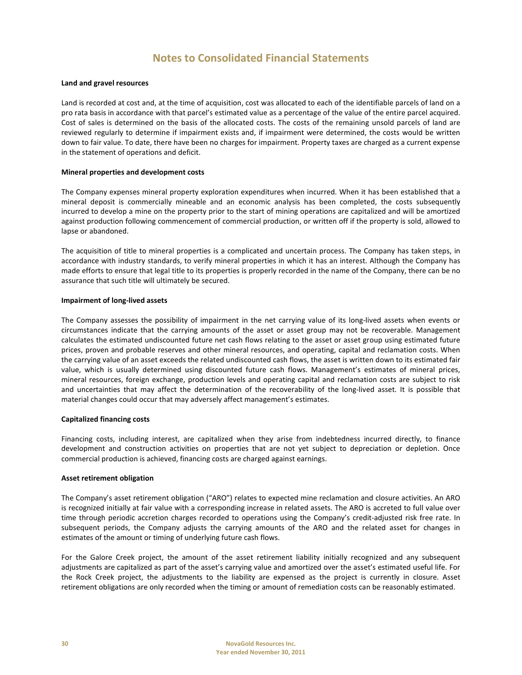### Land and gravel resources

Land is recorded at cost and, at the time of acquisition, cost was allocated to each of the identifiable parcels of land on a pro rata basis in accordance with that parcel's estimated value as a percentage of the value of the entire parcel acquired. Cost of sales is determined on the basis of the allocated costs. The costs of the remaining unsold parcels of land are reviewed regularly to determine if impairment exists and, if impairment were determined, the costs would be written down to fair value. To date, there have been no charges for impairment. Property taxes are charged as a current expense in the statement of operations and deficit.

#### Mineral properties and development costs

The Company expenses mineral property exploration expenditures when incurred. When it has been established that a mineral deposit is commercially mineable and an economic analysis has been completed, the costs subsequently incurred to develop a mine on the property prior to the start of mining operations are capitalized and will be amortized against production following commencement of commercial production, or written off if the property is sold, allowed to lapse or abandoned.

The acquisition of title to mineral properties is a complicated and uncertain process. The Company has taken steps, in accordance with industry standards, to verify mineral properties in which it has an interest. Although the Company has made efforts to ensure that legal title to its properties is properly recorded in the name of the Company, there can be no assurance that such title will ultimately be secured.

### Impairment of long-lived assets

The Company assesses the possibility of impairment in the net carrying value of its long-lived assets when events or circumstances indicate that the carrying amounts of the asset or asset group may not be recoverable. Management calculates the estimated undiscounted future net cash flows relating to the asset or asset group using estimated future prices, proven and probable reserves and other mineral resources, and operating, capital and reclamation costs. When the carrying value of an asset exceeds the related undiscounted cash flows, the asset is written down to its estimated fair value, which is usually determined using discounted future cash flows. Management's estimates of mineral prices, mineral resources, foreign exchange, production levels and operating capital and reclamation costs are subject to risk and uncertainties that may affect the determination of the recoverability of the long-lived asset. It is possible that material changes could occur that may adversely affect management's estimates.

#### Capitalized financing costs

Financing costs, including interest, are capitalized when they arise from indebtedness incurred directly, to finance development and construction activities on properties that are not yet subject to depreciation or depletion. Once commercial production is achieved, financing costs are charged against earnings.

#### Asset retirement obligation

The Company's asset retirement obligation ("ARO") relates to expected mine reclamation and closure activities. An ARO is recognized initially at fair value with a corresponding increase in related assets. The ARO is accreted to full value over time through periodic accretion charges recorded to operations using the Company's credit-adjusted risk free rate. In subsequent periods, the Company adjusts the carrying amounts of the ARO and the related asset for changes in estimates of the amount or timing of underlying future cash flows.

For the Galore Creek project, the amount of the asset retirement liability initially recognized and any subsequent adjustments are capitalized as part of the asset's carrying value and amortized over the asset's estimated useful life. For the Rock Creek project, the adjustments to the liability are expensed as the project is currently in closure. Asset retirement obligations are only recorded when the timing or amount of remediation costs can be reasonably estimated.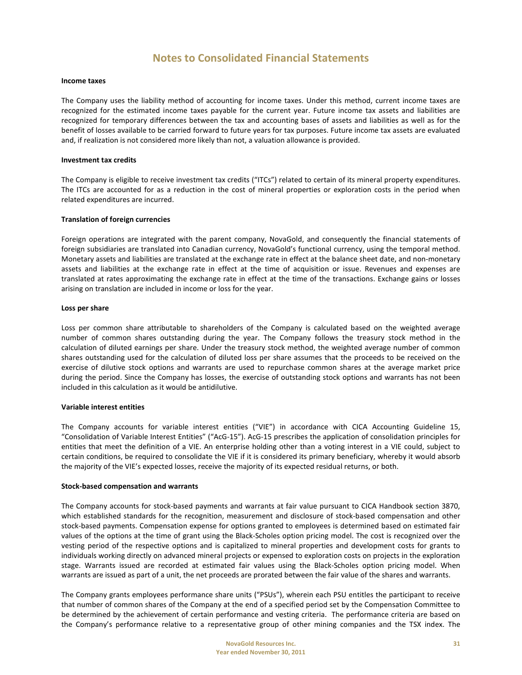#### Income taxes

The Company uses the liability method of accounting for income taxes. Under this method, current income taxes are recognized for the estimated income taxes payable for the current year. Future income tax assets and liabilities are recognized for temporary differences between the tax and accounting bases of assets and liabilities as well as for the benefit of losses available to be carried forward to future years for tax purposes. Future income tax assets are evaluated and, if realization is not considered more likely than not, a valuation allowance is provided.

#### Investment tax credits

The Company is eligible to receive investment tax credits ("ITCs") related to certain of its mineral property expenditures. The ITCs are accounted for as a reduction in the cost of mineral properties or exploration costs in the period when related expenditures are incurred.

#### Translation of foreign currencies

Foreign operations are integrated with the parent company, NovaGold, and consequently the financial statements of foreign subsidiaries are translated into Canadian currency, NovaGold's functional currency, using the temporal method. Monetary assets and liabilities are translated at the exchange rate in effect at the balance sheet date, and non-monetary assets and liabilities at the exchange rate in effect at the time of acquisition or issue. Revenues and expenses are translated at rates approximating the exchange rate in effect at the time of the transactions. Exchange gains or losses arising on translation are included in income or loss for the year.

#### Loss per share

Loss per common share attributable to shareholders of the Company is calculated based on the weighted average number of common shares outstanding during the year. The Company follows the treasury stock method in the calculation of diluted earnings per share. Under the treasury stock method, the weighted average number of common shares outstanding used for the calculation of diluted loss per share assumes that the proceeds to be received on the exercise of dilutive stock options and warrants are used to repurchase common shares at the average market price during the period. Since the Company has losses, the exercise of outstanding stock options and warrants has not been included in this calculation as it would be antidilutive.

#### Variable interest entities

The Company accounts for variable interest entities ("VIE") in accordance with CICA Accounting Guideline 15, "Consolidation of Variable Interest Entities" ("AcG-15"). AcG-15 prescribes the application of consolidation principles for entities that meet the definition of a VIE. An enterprise holding other than a voting interest in a VIE could, subject to certain conditions, be required to consolidate the VIE if it is considered its primary beneficiary, whereby it would absorb the majority of the VIE's expected losses, receive the majority of its expected residual returns, or both.

#### Stock-based compensation and warrants

The Company accounts for stock-based payments and warrants at fair value pursuant to CICA Handbook section 3870, which established standards for the recognition, measurement and disclosure of stock-based compensation and other stock-based payments. Compensation expense for options granted to employees is determined based on estimated fair values of the options at the time of grant using the Black-Scholes option pricing model. The cost is recognized over the vesting period of the respective options and is capitalized to mineral properties and development costs for grants to individuals working directly on advanced mineral projects or expensed to exploration costs on projects in the exploration stage. Warrants issued are recorded at estimated fair values using the Black-Scholes option pricing model. When warrants are issued as part of a unit, the net proceeds are prorated between the fair value of the shares and warrants.

The Company grants employees performance share units ("PSUs"), wherein each PSU entitles the participant to receive that number of common shares of the Company at the end of a specified period set by the Compensation Committee to be determined by the achievement of certain performance and vesting criteria. The performance criteria are based on the Company's performance relative to a representative group of other mining companies and the TSX index. The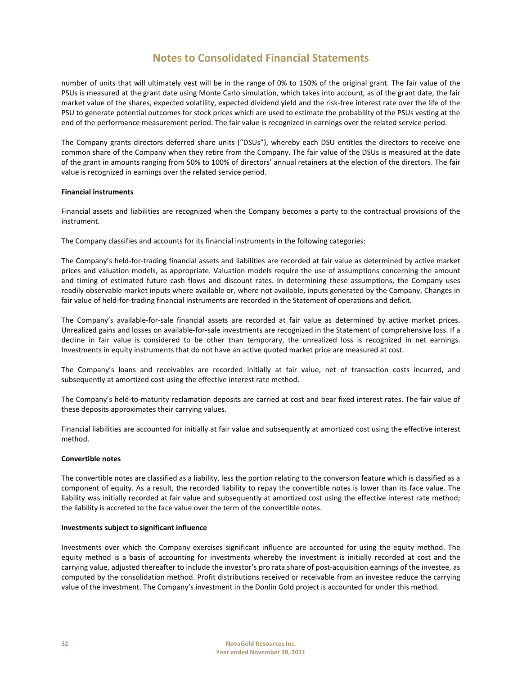number of units that will ultimately vest will be in the range of 0% to 150% of the original grant. The fair value of the PSUs is measured at the grant date using Monte Carlo simulation, which takes into account, as of the grant date, the fair market value of the shares, expected volatility, expected dividend yield and the risk-free interest rate over the life of the PSU to generate potential outcomes for stock prices which are used to estimate the probability of the PSUs vesting at the end of the performance measurement period. The fair value is recognized in earnings over the related service period.

The Company grants directors deferred share units ("DSUs"), whereby each DSU entitles the directors to receive one common share of the Company when they retire from the Company. The fair value of the DSUs is measured at the date of the grant in amounts ranging from 50% to 100% of directors' annual retainers at the election of the directors. The fair value is recognized in earnings over the related service period.

### Financial instruments

Financial assets and liabilities are recognized when the Company becomes a party to the contractual provisions of the instrument.

The Company classifies and accounts for its financial instruments in the following categories:

The Company's held-for-trading financial assets and liabilities are recorded at fair value as determined by active market prices and valuation models, as appropriate. Valuation models require the use of assumptions concerning the amount and timing of estimated future cash flows and discount rates. In determining these assumptions, the Company uses readily observable market inputs where available or, where not available, inputs generated by the Company. Changes in fair value of held-for-trading financial instruments are recorded in the Statement of operations and deficit.

The Company's available-for-sale financial assets are recorded at fair value as determined by active market prices. Unrealized gains and losses on available-for-sale investments are recognized in the Statement of comprehensive loss. If a decline in fair value is considered to be other than temporary, the unrealized loss is recognized in net earnings. Investments in equity instruments that do not have an active quoted market price are measured at cost.

The Company's loans and receivables are recorded initially at fair value, net of transaction costs incurred, and subsequently at amortized cost using the effective interest rate method.

The Company's held-to-maturity reclamation deposits are carried at cost and bear fixed interest rates. The fair value of these deposits approximates their carrying values.

Financial liabilities are accounted for initially at fair value and subsequently at amortized cost using the effective interest method.

#### Convertible notes

The convertible notes are classified as a liability, less the portion relating to the conversion feature which is classified as a component of equity. As a result, the recorded liability to repay the convertible notes is lower than its face value. The liability was initially recorded at fair value and subsequently at amortized cost using the effective interest rate method; the liability is accreted to the face value over the term of the convertible notes.

#### Investments subject to significant influence

Investments over which the Company exercises significant influence are accounted for using the equity method. The equity method is a basis of accounting for investments whereby the investment is initially recorded at cost and the carrying value, adjusted thereafter to include the investor's pro rata share of post-acquisition earnings of the investee, as computed by the consolidation method. Profit distributions received or receivable from an investee reduce the carrying value of the investment. The Company's investment in the Donlin Gold project is accounted for under this method.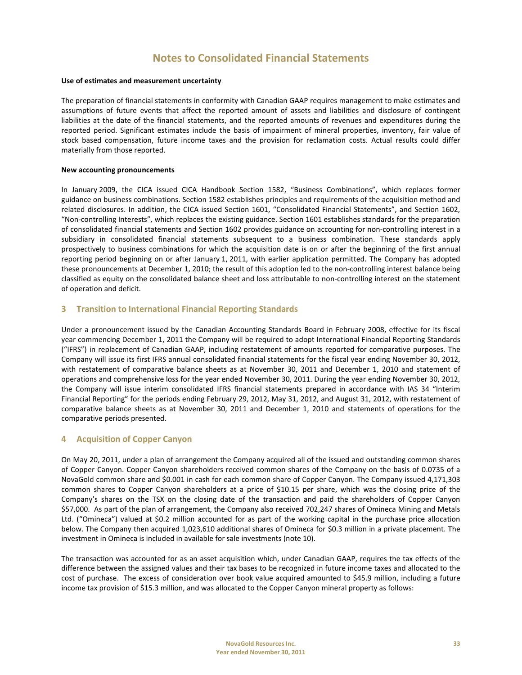#### Use of estimates and measurement uncertainty

The preparation of financial statements in conformity with Canadian GAAP requires management to make estimates and assumptions of future events that affect the reported amount of assets and liabilities and disclosure of contingent liabilities at the date of the financial statements, and the reported amounts of revenues and expenditures during the reported period. Significant estimates include the basis of impairment of mineral properties, inventory, fair value of stock based compensation, future income taxes and the provision for reclamation costs. Actual results could differ materially from those reported.

### New accounting pronouncements

In January 2009, the CICA issued CICA Handbook Section 1582, "Business Combinations", which replaces former guidance on business combinations. Section 1582 establishes principles and requirements of the acquisition method and related disclosures. In addition, the CICA issued Section 1601, "Consolidated Financial Statements", and Section 1602, "Non-controlling Interests", which replaces the existing guidance. Section 1601 establishes standards for the preparation of consolidated financial statements and Section 1602 provides guidance on accounting for non-controlling interest in a subsidiary in consolidated financial statements subsequent to a business combination. These standards apply prospectively to business combinations for which the acquisition date is on or after the beginning of the first annual reporting period beginning on or after January 1, 2011, with earlier application permitted. The Company has adopted these pronouncements at December 1, 2010; the result of this adoption led to the non-controlling interest balance being classified as equity on the consolidated balance sheet and loss attributable to non-controlling interest on the statement of operation and deficit.

## 3 Transition to International Financial Reporting Standards

Under a pronouncement issued by the Canadian Accounting Standards Board in February 2008, effective for its fiscal year commencing December 1, 2011 the Company will be required to adopt International Financial Reporting Standards ("IFRS") in replacement of Canadian GAAP, including restatement of amounts reported for comparative purposes. The Company will issue its first IFRS annual consolidated financial statements for the fiscal year ending November 30, 2012, with restatement of comparative balance sheets as at November 30, 2011 and December 1, 2010 and statement of operations and comprehensive loss for the year ended November 30, 2011. During the year ending November 30, 2012, the Company will issue interim consolidated IFRS financial statements prepared in accordance with IAS 34 "Interim Financial Reporting" for the periods ending February 29, 2012, May 31, 2012, and August 31, 2012, with restatement of comparative balance sheets as at November 30, 2011 and December 1, 2010 and statements of operations for the comparative periods presented.

### 4 Acquisition of Copper Canyon

On May 20, 2011, under a plan of arrangement the Company acquired all of the issued and outstanding common shares of Copper Canyon. Copper Canyon shareholders received common shares of the Company on the basis of 0.0735 of a NovaGold common share and \$0.001 in cash for each common share of Copper Canyon. The Company issued 4,171,303 common shares to Copper Canyon shareholders at a price of \$10.15 per share, which was the closing price of the Company's shares on the TSX on the closing date of the transaction and paid the shareholders of Copper Canyon \$57,000. As part of the plan of arrangement, the Company also received 702,247 shares of Omineca Mining and Metals Ltd. ("Omineca") valued at \$0.2 million accounted for as part of the working capital in the purchase price allocation below. The Company then acquired 1,023,610 additional shares of Omineca for \$0.3 million in a private placement. The investment in Omineca is included in available for sale investments (note 10).

The transaction was accounted for as an asset acquisition which, under Canadian GAAP, requires the tax effects of the difference between the assigned values and their tax bases to be recognized in future income taxes and allocated to the cost of purchase. The excess of consideration over book value acquired amounted to \$45.9 million, including a future income tax provision of \$15.3 million, and was allocated to the Copper Canyon mineral property as follows: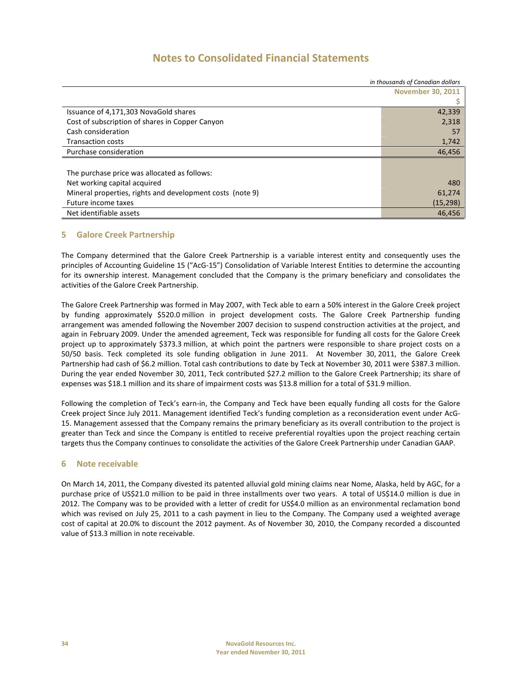|                                                           | in thousands of Canadian dollars |
|-----------------------------------------------------------|----------------------------------|
|                                                           | <b>November 30, 2011</b>         |
|                                                           |                                  |
| Issuance of 4,171,303 NovaGold shares                     | 42,339                           |
| Cost of subscription of shares in Copper Canyon           | 2,318                            |
| Cash consideration                                        | 57                               |
| <b>Transaction costs</b>                                  | 1,742                            |
| Purchase consideration                                    | 46,456                           |
|                                                           |                                  |
| The purchase price was allocated as follows:              |                                  |
| Net working capital acquired                              | 480                              |
| Mineral properties, rights and development costs (note 9) | 61,274                           |
| Future income taxes                                       | (15, 298)                        |
| Net identifiable assets                                   | 46.456                           |

## 5 Galore Creek Partnership

The Company determined that the Galore Creek Partnership is a variable interest entity and consequently uses the principles of Accounting Guideline 15 ("AcG-15") Consolidation of Variable Interest Entities to determine the accounting for its ownership interest. Management concluded that the Company is the primary beneficiary and consolidates the activities of the Galore Creek Partnership.

The Galore Creek Partnership was formed in May 2007, with Teck able to earn a 50% interest in the Galore Creek project by funding approximately \$520.0 million in project development costs. The Galore Creek Partnership funding arrangement was amended following the November 2007 decision to suspend construction activities at the project, and again in February 2009. Under the amended agreement, Teck was responsible for funding all costs for the Galore Creek project up to approximately \$373.3 million, at which point the partners were responsible to share project costs on a 50/50 basis. Teck completed its sole funding obligation in June 2011. At November 30, 2011, the Galore Creek Partnership had cash of \$6.2 million. Total cash contributions to date by Teck at November 30, 2011 were \$387.3 million. During the year ended November 30, 2011, Teck contributed \$27.2 million to the Galore Creek Partnership; its share of expenses was \$18.1 million and its share of impairment costs was \$13.8 million for a total of \$31.9 million.

Following the completion of Teck's earn-in, the Company and Teck have been equally funding all costs for the Galore Creek project Since July 2011. Management identified Teck's funding completion as a reconsideration event under AcG-15. Management assessed that the Company remains the primary beneficiary as its overall contribution to the project is greater than Teck and since the Company is entitled to receive preferential royalties upon the project reaching certain targets thus the Company continues to consolidate the activities of the Galore Creek Partnership under Canadian GAAP.

### 6 Note receivable

On March 14, 2011, the Company divested its patented alluvial gold mining claims near Nome, Alaska, held by AGC, for a purchase price of US\$21.0 million to be paid in three installments over two years. A total of US\$14.0 million is due in 2012. The Company was to be provided with a letter of credit for US\$4.0 million as an environmental reclamation bond which was revised on July 25, 2011 to a cash payment in lieu to the Company. The Company used a weighted average cost of capital at 20.0% to discount the 2012 payment. As of November 30, 2010, the Company recorded a discounted value of \$13.3 million in note receivable.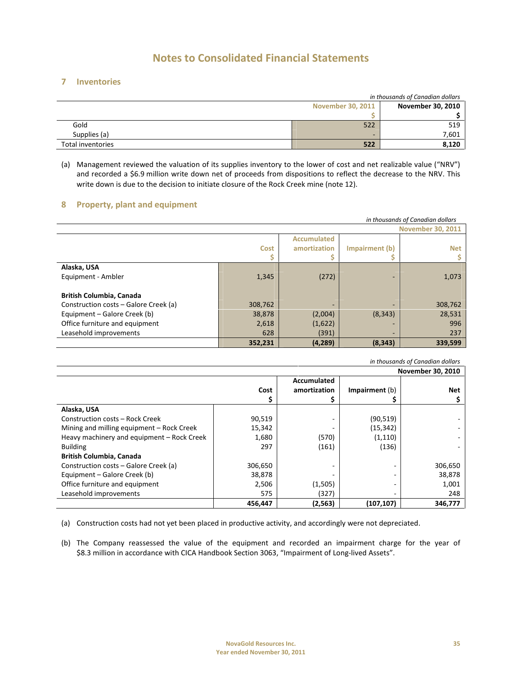## 7 Inventories

| in thousands of Canadian dollars |                          |                   |
|----------------------------------|--------------------------|-------------------|
|                                  | <b>November 30, 2011</b> | November 30, 2010 |
|                                  |                          |                   |
| Gold                             | 522                      | 519               |
| Supplies (a)                     | -                        | 7,601             |
| Total inventories                | 522                      | 8,120             |

(a) Management reviewed the valuation of its supplies inventory to the lower of cost and net realizable value ("NRV") and recorded a \$6.9 million write down net of proceeds from dispositions to reflect the decrease to the NRV. This write down is due to the decision to initiate closure of the Rock Creek mine (note 12).

## 8 Property, plant and equipment

| in thousands of Canadian dollars      |             |                                    |                |                          |
|---------------------------------------|-------------|------------------------------------|----------------|--------------------------|
|                                       |             |                                    |                | <b>November 30, 2011</b> |
|                                       | <b>Cost</b> | <b>Accumulated</b><br>amortization | Impairment (b) | <b>Net</b>               |
| Alaska, USA                           |             |                                    |                |                          |
| Equipment - Ambler                    | 1,345       | (272)                              |                | 1,073                    |
| <b>British Columbia, Canada</b>       |             |                                    |                |                          |
| Construction costs – Galore Creek (a) | 308,762     |                                    |                | 308,762                  |
| Equipment - Galore Creek (b)          | 38,878      | (2,004)                            | (8, 343)       | 28,531                   |
| Office furniture and equipment        | 2,618       | (1,622)                            |                | 996                      |
| Leasehold improvements                | 628         | (391)                              | -              | 237                      |
|                                       | 352,231     | (4, 289)                           | (8, 343)       | 339,599                  |

|                                            |         |              |                  | <u>III choasanas of canadian aoilais</u> |
|--------------------------------------------|---------|--------------|------------------|------------------------------------------|
|                                            |         |              |                  | November 30, 2010                        |
|                                            |         | Accumulated  |                  |                                          |
|                                            | Cost    | amortization | Impairment $(b)$ | Net                                      |
|                                            |         |              |                  |                                          |
| Alaska, USA                                |         |              |                  |                                          |
| Construction costs - Rock Creek            | 90,519  |              | (90, 519)        |                                          |
| Mining and milling equipment – Rock Creek  | 15,342  |              | (15, 342)        |                                          |
| Heavy machinery and equipment - Rock Creek | 1,680   | (570)        | (1, 110)         |                                          |
| <b>Building</b>                            | 297     | (161)        | (136)            |                                          |
| British Columbia, Canada                   |         |              |                  |                                          |
| Construction costs – Galore Creek (a)      | 306,650 |              |                  | 306,650                                  |
| Equipment - Galore Creek (b)               | 38,878  |              |                  | 38,878                                   |
| Office furniture and equipment             | 2,506   | (1,505)      |                  | 1,001                                    |
| Leasehold improvements                     | 575     | (327)        |                  | 248                                      |
|                                            | 456,447 | (2, 563)     | (107,107)        | 346.777                                  |

(a) Construction costs had not yet been placed in productive activity, and accordingly were not depreciated.

(b) The Company reassessed the value of the equipment and recorded an impairment charge for the year of \$8.3 million in accordance with CICA Handbook Section 3063, "Impairment of Long-lived Assets".

in thousands of Canadian dollars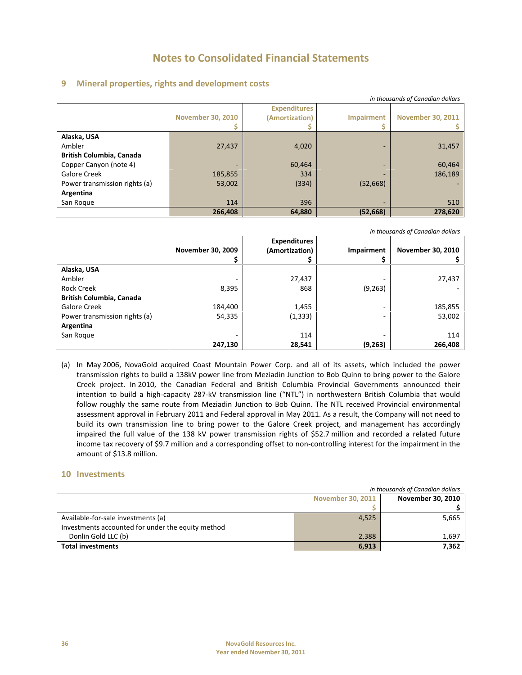## 9 Mineral properties, rights and development costs

|                                 | in thousands of Canadian dollars |                                       |                   |                          |
|---------------------------------|----------------------------------|---------------------------------------|-------------------|--------------------------|
|                                 | <b>November 30, 2010</b>         | <b>Expenditures</b><br>(Amortization) | <b>Impairment</b> | <b>November 30, 2011</b> |
| Alaska, USA                     |                                  |                                       |                   |                          |
| Ambler                          | 27,437                           | 4,020                                 | ۰                 | 31,457                   |
| <b>British Columbia, Canada</b> |                                  |                                       |                   |                          |
| Copper Canyon (note 4)          |                                  | 60,464                                | -                 | 60,464                   |
| Galore Creek                    | 185,855                          | 334                                   |                   | 186,189                  |
| Power transmission rights (a)   | 53,002                           | (334)                                 | (52, 668)         |                          |
| Argentina                       |                                  |                                       |                   |                          |
| San Roque                       | 114                              | 396                                   |                   | 510                      |
|                                 | 266,408                          | 64,880                                | (52, 668)         | 278,620                  |

in thousands of Canadian dollars

|                               | November 30, 2009 | <b>Expenditures</b><br>(Amortization) | Impairment | <b>November 30, 2010</b> |
|-------------------------------|-------------------|---------------------------------------|------------|--------------------------|
| Alaska, USA                   |                   |                                       |            |                          |
| Ambler                        |                   | 27,437                                |            | 27,437                   |
| <b>Rock Creek</b>             | 8,395             | 868                                   | (9, 263)   |                          |
| British Columbia, Canada      |                   |                                       |            |                          |
| Galore Creek                  | 184,400           | 1,455                                 |            | 185,855                  |
| Power transmission rights (a) | 54,335            | (1, 333)                              |            | 53,002                   |
| Argentina                     |                   |                                       |            |                          |
| San Roque                     |                   | 114                                   |            | 114                      |
|                               | 247,130           | 28,541                                | (9, 263)   | 266,408                  |

(a) In May 2006, NovaGold acquired Coast Mountain Power Corp. and all of its assets, which included the power transmission rights to build a 138kV power line from Meziadin Junction to Bob Quinn to bring power to the Galore Creek project. In 2010, the Canadian Federal and British Columbia Provincial Governments announced their intention to build a high-capacity 287-kV transmission line ("NTL") in northwestern British Columbia that would follow roughly the same route from Meziadin Junction to Bob Quinn. The NTL received Provincial environmental assessment approval in February 2011 and Federal approval in May 2011. As a result, the Company will not need to build its own transmission line to bring power to the Galore Creek project, and management has accordingly impaired the full value of the 138 kV power transmission rights of \$52.7 million and recorded a related future income tax recovery of \$9.7 million and a corresponding offset to non-controlling interest for the impairment in the amount of \$13.8 million.

#### 10 Investments

| in thousands of Canadian dollars                  |       |                          |
|---------------------------------------------------|-------|--------------------------|
| <b>November 30, 2011</b>                          |       | <b>November 30, 2010</b> |
|                                                   |       |                          |
| Available-for-sale investments (a)                | 4,525 | 5,665                    |
| Investments accounted for under the equity method |       |                          |
| Donlin Gold LLC (b)                               | 2,388 | 1,697                    |
| <b>Total investments</b>                          | 6,913 | 7,362                    |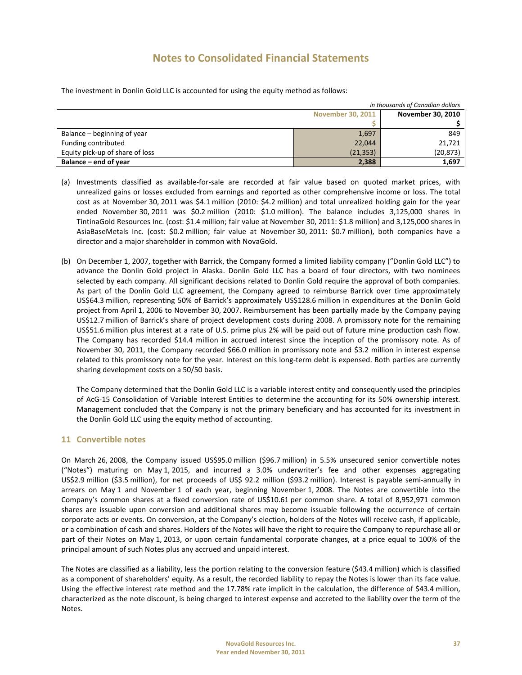| in thousands of Canadian dollars |                          |                   |
|----------------------------------|--------------------------|-------------------|
|                                  | <b>November 30, 2011</b> | November 30, 2010 |
|                                  |                          |                   |
| Balance – beginning of year      | 1,697                    | 849               |
| Funding contributed              | 22,044                   | 21,721            |
| Equity pick-up of share of loss  | (21, 353)                | (20, 873)         |
| Balance – end of year            | 2,388                    | 1.697             |

The investment in Donlin Gold LLC is accounted for using the equity method as follows:

- (a) Investments classified as available-for-sale are recorded at fair value based on quoted market prices, with unrealized gains or losses excluded from earnings and reported as other comprehensive income or loss. The total cost as at November 30, 2011 was \$4.1 million (2010: \$4.2 million) and total unrealized holding gain for the year ended November 30, 2011 was \$0.2 million (2010: \$1.0 million). The balance includes 3,125,000 shares in TintinaGold Resources Inc. (cost: \$1.4 million; fair value at November 30, 2011: \$1.8 million) and 3,125,000 shares in AsiaBaseMetals Inc. (cost: \$0.2 million; fair value at November 30, 2011: \$0.7 million), both companies have a director and a major shareholder in common with NovaGold.
- (b) On December 1, 2007, together with Barrick, the Company formed a limited liability company ("Donlin Gold LLC") to advance the Donlin Gold project in Alaska. Donlin Gold LLC has a board of four directors, with two nominees selected by each company. All significant decisions related to Donlin Gold require the approval of both companies. As part of the Donlin Gold LLC agreement, the Company agreed to reimburse Barrick over time approximately US\$64.3 million, representing 50% of Barrick's approximately US\$128.6 million in expenditures at the Donlin Gold project from April 1, 2006 to November 30, 2007. Reimbursement has been partially made by the Company paying US\$12.7 million of Barrick's share of project development costs during 2008. A promissory note for the remaining US\$51.6 million plus interest at a rate of U.S. prime plus 2% will be paid out of future mine production cash flow. The Company has recorded \$14.4 million in accrued interest since the inception of the promissory note. As of November 30, 2011, the Company recorded \$66.0 million in promissory note and \$3.2 million in interest expense related to this promissory note for the year. Interest on this long-term debt is expensed. Both parties are currently sharing development costs on a 50/50 basis.

The Company determined that the Donlin Gold LLC is a variable interest entity and consequently used the principles of AcG-15 Consolidation of Variable Interest Entities to determine the accounting for its 50% ownership interest. Management concluded that the Company is not the primary beneficiary and has accounted for its investment in the Donlin Gold LLC using the equity method of accounting.

## 11 Convertible notes

On March 26, 2008, the Company issued US\$95.0 million (\$96.7 million) in 5.5% unsecured senior convertible notes ("Notes") maturing on May 1, 2015, and incurred a 3.0% underwriter's fee and other expenses aggregating US\$2.9 million (\$3.5 million), for net proceeds of US\$ 92.2 million (\$93.2 million). Interest is payable semi-annually in arrears on May 1 and November 1 of each year, beginning November 1, 2008. The Notes are convertible into the Company's common shares at a fixed conversion rate of US\$10.61 per common share. A total of 8,952,971 common shares are issuable upon conversion and additional shares may become issuable following the occurrence of certain corporate acts or events. On conversion, at the Company's election, holders of the Notes will receive cash, if applicable, or a combination of cash and shares. Holders of the Notes will have the right to require the Company to repurchase all or part of their Notes on May 1, 2013, or upon certain fundamental corporate changes, at a price equal to 100% of the principal amount of such Notes plus any accrued and unpaid interest.

The Notes are classified as a liability, less the portion relating to the conversion feature (\$43.4 million) which is classified as a component of shareholders' equity. As a result, the recorded liability to repay the Notes is lower than its face value. Using the effective interest rate method and the 17.78% rate implicit in the calculation, the difference of \$43.4 million, characterized as the note discount, is being charged to interest expense and accreted to the liability over the term of the Notes.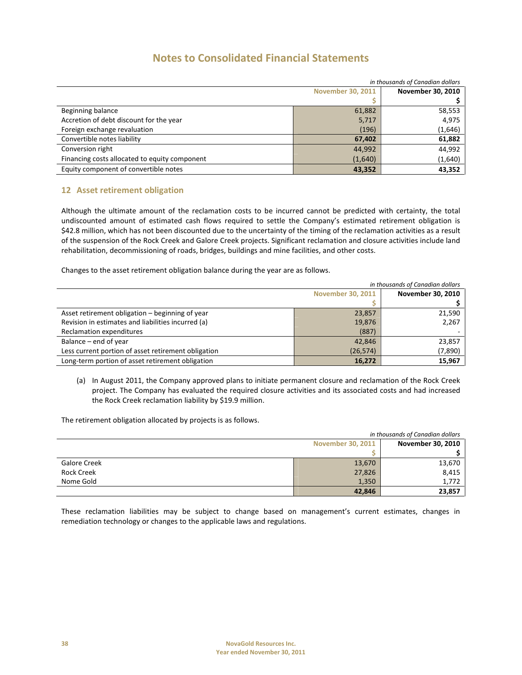| in thousands of Canadian dollars              |                          |                          |
|-----------------------------------------------|--------------------------|--------------------------|
|                                               | <b>November 30, 2011</b> | <b>November 30, 2010</b> |
|                                               |                          |                          |
| Beginning balance                             | 61,882                   | 58,553                   |
| Accretion of debt discount for the year       | 5,717                    | 4,975                    |
| Foreign exchange revaluation                  | (196)                    | (1,646)                  |
| Convertible notes liability                   | 67,402                   | 61,882                   |
| Conversion right                              | 44,992                   | 44,992                   |
| Financing costs allocated to equity component | (1,640)                  | (1,640)                  |
| Equity component of convertible notes         | 43,352                   | 43,352                   |

## 12 Asset retirement obligation

Although the ultimate amount of the reclamation costs to be incurred cannot be predicted with certainty, the total undiscounted amount of estimated cash flows required to settle the Company's estimated retirement obligation is \$42.8 million, which has not been discounted due to the uncertainty of the timing of the reclamation activities as a result of the suspension of the Rock Creek and Galore Creek projects. Significant reclamation and closure activities include land rehabilitation, decommissioning of roads, bridges, buildings and mine facilities, and other costs.

Changes to the asset retirement obligation balance during the year are as follows.

|                                                     |                          | in thousands of Canadian dollars |
|-----------------------------------------------------|--------------------------|----------------------------------|
|                                                     | <b>November 30, 2011</b> | <b>November 30, 2010</b>         |
|                                                     |                          |                                  |
| Asset retirement obligation – beginning of year     | 23,857                   | 21,590                           |
| Revision in estimates and liabilities incurred (a)  | 19,876                   | 2,267                            |
| <b>Reclamation expenditures</b>                     | (887)                    |                                  |
| Balance – end of year                               | 42,846                   | 23,857                           |
| Less current portion of asset retirement obligation | (26, 574)                | (7,890)                          |
| Long-term portion of asset retirement obligation    | 16,272                   | 15,967                           |

(a) In August 2011, the Company approved plans to initiate permanent closure and reclamation of the Rock Creek project. The Company has evaluated the required closure activities and its associated costs and had increased the Rock Creek reclamation liability by \$19.9 million.

The retirement obligation allocated by projects is as follows.

| in thousands of Canadian dollars |                          |                          |  |
|----------------------------------|--------------------------|--------------------------|--|
|                                  | <b>November 30, 2011</b> | <b>November 30, 2010</b> |  |
|                                  |                          |                          |  |
| <b>Galore Creek</b>              | 13,670                   | 13,670                   |  |
| Rock Creek                       | 27,826                   | 8,415                    |  |
| Nome Gold                        | 1,350                    | 1,772                    |  |
|                                  | 42,846                   | 23,857                   |  |

These reclamation liabilities may be subject to change based on management's current estimates, changes in remediation technology or changes to the applicable laws and regulations.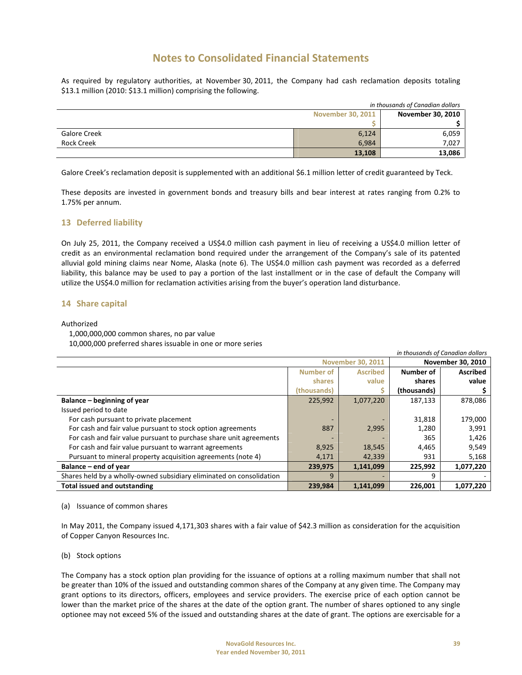As required by regulatory authorities, at November 30, 2011, the Company had cash reclamation deposits totaling \$13.1 million (2010: \$13.1 million) comprising the following.

| in thousands of Canadian dollars                     |        |        |  |
|------------------------------------------------------|--------|--------|--|
| <b>November 30, 2011</b><br><b>November 30, 2010</b> |        |        |  |
|                                                      |        |        |  |
| <b>Galore Creek</b>                                  | 6,124  | 6,059  |  |
| <b>Rock Creek</b>                                    | 6,984  | 7.027  |  |
|                                                      | 13,108 | 13,086 |  |

Galore Creek's reclamation deposit is supplemented with an additional \$6.1 million letter of credit guaranteed by Teck.

These deposits are invested in government bonds and treasury bills and bear interest at rates ranging from 0.2% to 1.75% per annum.

## 13 Deferred liability

On July 25, 2011, the Company received a US\$4.0 million cash payment in lieu of receiving a US\$4.0 million letter of credit as an environmental reclamation bond required under the arrangement of the Company's sale of its patented alluvial gold mining claims near Nome, Alaska (note 6). The US\$4.0 million cash payment was recorded as a deferred liability, this balance may be used to pay a portion of the last installment or in the case of default the Company will utilize the US\$4.0 million for reclamation activities arising from the buyer's operation land disturbance.

## 14 Share capital

Authorized

10,000,000 preferred shares issuable in one or more series

| in thousands of Canadian dollars                                     |               |                          |             |                          |  |
|----------------------------------------------------------------------|---------------|--------------------------|-------------|--------------------------|--|
|                                                                      |               | <b>November 30, 2011</b> |             | <b>November 30, 2010</b> |  |
|                                                                      | Number of     | <b>Ascribed</b>          | Number of   | <b>Ascribed</b>          |  |
|                                                                      | <b>shares</b> | value                    | shares      | value                    |  |
|                                                                      | (thousands)   |                          | (thousands) |                          |  |
| Balance - beginning of year                                          | 225.992       | 1,077,220                | 187.133     | 878.086                  |  |
| Issued period to date                                                |               |                          |             |                          |  |
| For cash pursuant to private placement                               |               |                          | 31,818      | 179,000                  |  |
| For cash and fair value pursuant to stock option agreements          | 887           | 2,995                    | 1,280       | 3,991                    |  |
| For cash and fair value pursuant to purchase share unit agreements   |               |                          | 365         | 1,426                    |  |
| For cash and fair value pursuant to warrant agreements               | 8,925         | 18,545                   | 4,465       | 9,549                    |  |
| Pursuant to mineral property acquisition agreements (note 4)         | 4,171         | 42,339                   | 931         | 5,168                    |  |
| Balance – end of year                                                | 239,975       | 1,141,099                | 225.992     | 1,077,220                |  |
| Shares held by a wholly-owned subsidiary eliminated on consolidation | 9             |                          | q           |                          |  |
| <b>Total issued and outstanding</b>                                  | 239,984       | 1,141,099                | 226,001     | 1,077,220                |  |

#### (a) Issuance of common shares

In May 2011, the Company issued 4,171,303 shares with a fair value of \$42.3 million as consideration for the acquisition of Copper Canyon Resources Inc.

#### (b) Stock options

The Company has a stock option plan providing for the issuance of options at a rolling maximum number that shall not be greater than 10% of the issued and outstanding common shares of the Company at any given time. The Company may grant options to its directors, officers, employees and service providers. The exercise price of each option cannot be lower than the market price of the shares at the date of the option grant. The number of shares optioned to any single optionee may not exceed 5% of the issued and outstanding shares at the date of grant. The options are exercisable for a

<sup>1,000,000,000</sup> common shares, no par value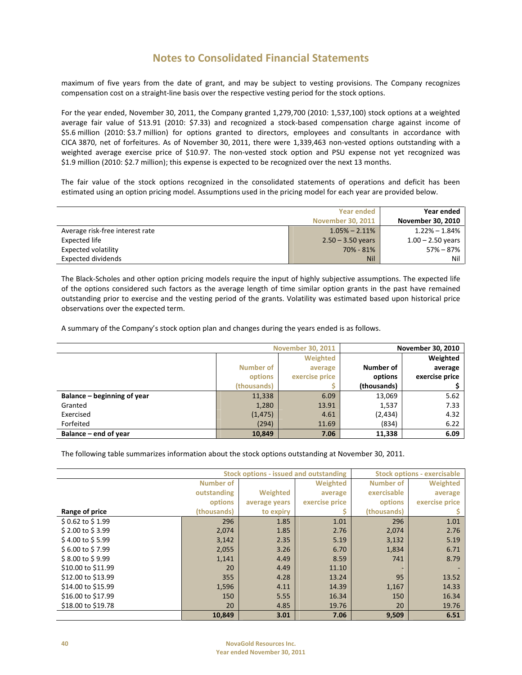maximum of five years from the date of grant, and may be subject to vesting provisions. The Company recognizes compensation cost on a straight-line basis over the respective vesting period for the stock options.

For the year ended, November 30, 2011, the Company granted 1,279,700 (2010: 1,537,100) stock options at a weighted average fair value of \$13.91 (2010: \$7.33) and recognized a stock-based compensation charge against income of \$5.6 million (2010: \$3.7 million) for options granted to directors, employees and consultants in accordance with CICA 3870, net of forfeitures. As of November 30, 2011, there were 1,339,463 non-vested options outstanding with a weighted average exercise price of \$10.97. The non-vested stock option and PSU expense not yet recognized was \$1.9 million (2010: \$2.7 million); this expense is expected to be recognized over the next 13 months.

The fair value of the stock options recognized in the consolidated statements of operations and deficit has been estimated using an option pricing model. Assumptions used in the pricing model for each year are provided below.

|                                 | Year ended               |                     |
|---------------------------------|--------------------------|---------------------|
|                                 | <b>November 30, 2011</b> | November 30, 2010   |
| Average risk-free interest rate | $1.05\% - 2.11\%$        | $1.22\% - 1.84\%$   |
| Expected life                   | $2.50 - 3.50$ years      | $1.00 - 2.50$ years |
| Expected volatility             | 70% - 81%                | $57\% - 87\%$       |
| <b>Expected dividends</b>       | <b>Nil</b>               | Nil                 |

The Black-Scholes and other option pricing models require the input of highly subjective assumptions. The expected life of the options considered such factors as the average length of time similar option grants in the past have remained outstanding prior to exercise and the vesting period of the grants. Volatility was estimated based upon historical price observations over the expected term.

A summary of the Company's stock option plan and changes during the years ended is as follows.

| <b>November 30, 2011</b>    |             |                |             | November 30, 2010 |
|-----------------------------|-------------|----------------|-------------|-------------------|
|                             |             | Weighted       |             | Weighted          |
|                             | Number of   | average        | Number of   | average           |
|                             | options     | exercise price | options     | exercise price    |
|                             | (thousands) |                | (thousands) |                   |
| Balance – beginning of year | 11,338      | 6.09           | 13,069      | 5.62              |
| Granted                     | 1,280       | 13.91          | 1,537       | 7.33              |
| Exercised                   | (1, 475)    | 4.61           | (2, 434)    | 4.32              |
| Forfeited                   | (294)       | 11.69          | (834)       | 6.22              |
| Balance – end of year       | 10,849      | 7.06           | 11,338      | 6.09              |

The following table summarizes information about the stock options outstanding at November 30, 2011.

|                    |                  | <b>Stock options - issued and outstanding</b> |                | <b>Stock options - exercisable</b> |                |
|--------------------|------------------|-----------------------------------------------|----------------|------------------------------------|----------------|
|                    | <b>Number of</b> |                                               | Weighted       | <b>Number of</b>                   | Weighted       |
|                    | outstanding      | Weighted                                      | average        | exercisable                        | average        |
|                    | options          | average years                                 | exercise price | options                            | exercise price |
| Range of price     | (thousands)      | to expiry                                     |                | (thousands)                        |                |
| \$0.62 to \$1.99   | 296              | 1.85                                          | 1.01           | 296                                | 1.01           |
| $$2.00$ to $$3.99$ | 2,074            | 1.85                                          | 2.76           | 2,074                              | 2.76           |
| \$4.00 to \$5.99   | 3,142            | 2.35                                          | 5.19           | 3,132                              | 5.19           |
| \$6.00 to \$7.99   | 2,055            | 3.26                                          | 6.70           | 1,834                              | 6.71           |
| \$8.00 to \$9.99   | 1,141            | 4.49                                          | 8.59           | 741                                | 8.79           |
| \$10.00 to \$11.99 | 20               | 4.49                                          | 11.10          |                                    |                |
| \$12.00 to \$13.99 | 355              | 4.28                                          | 13.24          | 95                                 | 13.52          |
| \$14.00 to \$15.99 | 1,596            | 4.11                                          | 14.39          | 1,167                              | 14.33          |
| \$16.00 to \$17.99 | 150              | 5.55                                          | 16.34          | 150                                | 16.34          |
| \$18.00 to \$19.78 | 20               | 4.85                                          | 19.76          | 20                                 | 19.76          |
|                    | 10,849           | 3.01                                          | 7.06           | 9,509                              | 6.51           |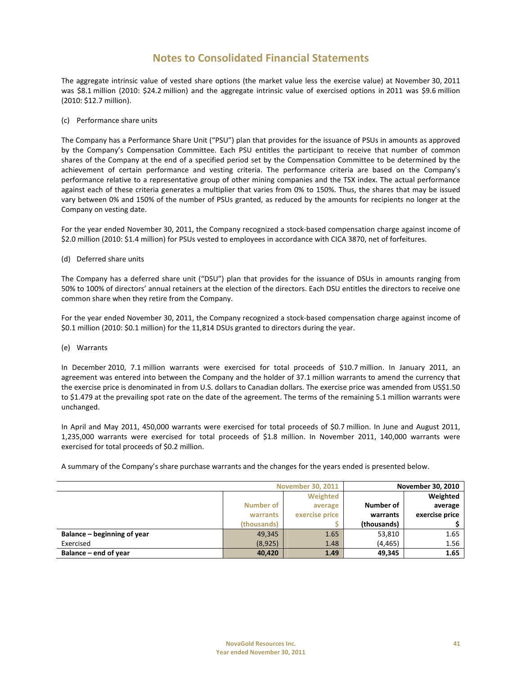The aggregate intrinsic value of vested share options (the market value less the exercise value) at November 30, 2011 was \$8.1 million (2010: \$24.2 million) and the aggregate intrinsic value of exercised options in 2011 was \$9.6 million (2010: \$12.7 million).

### (c) Performance share units

The Company has a Performance Share Unit ("PSU") plan that provides for the issuance of PSUs in amounts as approved by the Company's Compensation Committee. Each PSU entitles the participant to receive that number of common shares of the Company at the end of a specified period set by the Compensation Committee to be determined by the achievement of certain performance and vesting criteria. The performance criteria are based on the Company's performance relative to a representative group of other mining companies and the TSX index. The actual performance against each of these criteria generates a multiplier that varies from 0% to 150%. Thus, the shares that may be issued vary between 0% and 150% of the number of PSUs granted, as reduced by the amounts for recipients no longer at the Company on vesting date.

For the year ended November 30, 2011, the Company recognized a stock-based compensation charge against income of \$2.0 million (2010: \$1.4 million) for PSUs vested to employees in accordance with CICA 3870, net of forfeitures.

(d) Deferred share units

The Company has a deferred share unit ("DSU") plan that provides for the issuance of DSUs in amounts ranging from 50% to 100% of directors' annual retainers at the election of the directors. Each DSU entitles the directors to receive one common share when they retire from the Company.

For the year ended November 30, 2011, the Company recognized a stock-based compensation charge against income of \$0.1 million (2010: \$0.1 million) for the 11,814 DSUs granted to directors during the year.

### (e) Warrants

In December 2010, 7.1 million warrants were exercised for total proceeds of \$10.7 million. In January 2011, an agreement was entered into between the Company and the holder of 37.1 million warrants to amend the currency that the exercise price is denominated in from U.S. dollars to Canadian dollars. The exercise price was amended from US\$1.50 to \$1.479 at the prevailing spot rate on the date of the agreement. The terms of the remaining 5.1 million warrants were unchanged.

In April and May 2011, 450,000 warrants were exercised for total proceeds of \$0.7 million. In June and August 2011, 1,235,000 warrants were exercised for total proceeds of \$1.8 million. In November 2011, 140,000 warrants were exercised for total proceeds of \$0.2 million.

A summary of the Company's share purchase warrants and the changes for the years ended is presented below.

|                             |             | November 30, 2010 |             |          |
|-----------------------------|-------------|-------------------|-------------|----------|
|                             |             | Weighted          |             | Weighted |
|                             | Number of   | average           | Number of   | average  |
|                             | warrants    | exercise price    |             |          |
|                             | (thousands) |                   | (thousands) |          |
| Balance – beginning of year | 49.345      | 1.65              | 53,810      | 1.65     |
| Exercised                   | (8, 925)    | 1.48              | (4, 465)    | 1.56     |
| Balance – end of year       | 40.420      | 1.49              | 49.345      | 1.65     |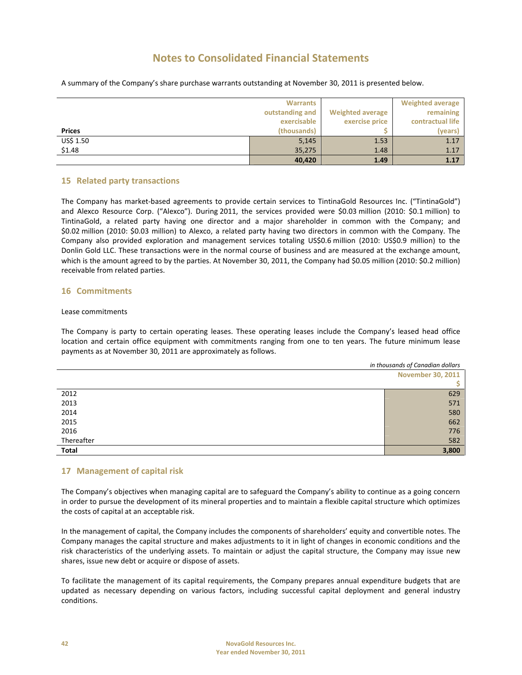A summary of the Company's share purchase warrants outstanding at November 30, 2011 is presented below.

|               | <b>Warrants</b> |                         | <b>Weighted average</b> |
|---------------|-----------------|-------------------------|-------------------------|
|               | outstanding and | <b>Weighted average</b> | remaining               |
|               | exercisable     | exercise price          | contractual life        |
| <b>Prices</b> | (thousands)     |                         | (years)                 |
| US\$ 1.50     | 5,145           | 1.53                    | 1.17                    |
| \$1.48        | 35,275          | 1.48                    | 1.17                    |
|               | 40,420          | 1.49                    | 1.17                    |

### 15 Related party transactions

The Company has market-based agreements to provide certain services to TintinaGold Resources Inc. ("TintinaGold") and Alexco Resource Corp. ("Alexco"). During 2011, the services provided were \$0.03 million (2010: \$0.1 million) to TintinaGold, a related party having one director and a major shareholder in common with the Company; and \$0.02 million (2010: \$0.03 million) to Alexco, a related party having two directors in common with the Company. The Company also provided exploration and management services totaling US\$0.6 million (2010: US\$0.9 million) to the Donlin Gold LLC. These transactions were in the normal course of business and are measured at the exchange amount, which is the amount agreed to by the parties. At November 30, 2011, the Company had \$0.05 million (2010: \$0.2 million) receivable from related parties.

## 16 Commitments

### Lease commitments

The Company is party to certain operating leases. These operating leases include the Company's leased head office location and certain office equipment with commitments ranging from one to ten years. The future minimum lease payments as at November 30, 2011 are approximately as follows.

| in thousands of Canadian dollars |                          |  |
|----------------------------------|--------------------------|--|
|                                  | <b>November 30, 2011</b> |  |
|                                  | S                        |  |
| 2012                             | 629                      |  |
| 2013                             | 571                      |  |
| 2014                             | 580                      |  |
| 2015                             | 662                      |  |
| 2016                             | 776                      |  |
| Thereafter                       |                          |  |
| Total                            |                          |  |

## 17 Management of capital risk

The Company's objectives when managing capital are to safeguard the Company's ability to continue as a going concern in order to pursue the development of its mineral properties and to maintain a flexible capital structure which optimizes the costs of capital at an acceptable risk.

In the management of capital, the Company includes the components of shareholders' equity and convertible notes. The Company manages the capital structure and makes adjustments to it in light of changes in economic conditions and the risk characteristics of the underlying assets. To maintain or adjust the capital structure, the Company may issue new shares, issue new debt or acquire or dispose of assets.

To facilitate the management of its capital requirements, the Company prepares annual expenditure budgets that are updated as necessary depending on various factors, including successful capital deployment and general industry conditions.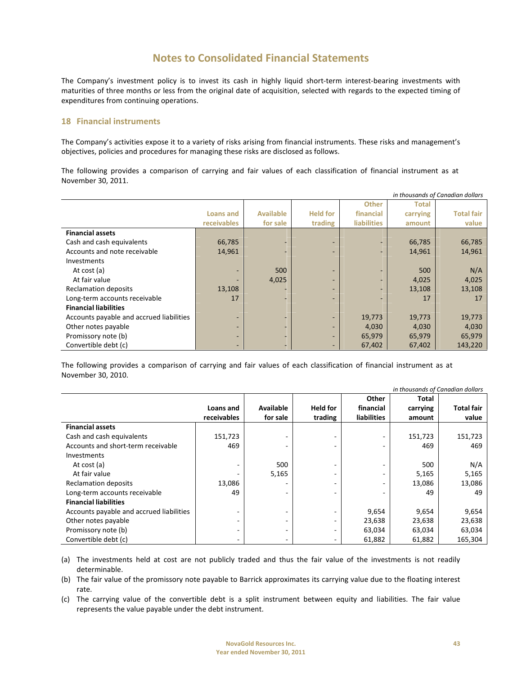The Company's investment policy is to invest its cash in highly liquid short-term interest-bearing investments with maturities of three months or less from the original date of acquisition, selected with regards to the expected timing of expenditures from continuing operations.

### 18 Financial instruments

The Company's activities expose it to a variety of risks arising from financial instruments. These risks and management's objectives, policies and procedures for managing these risks are disclosed as follows.

The following provides a comparison of carrying and fair values of each classification of financial instrument as at November 30, 2011.

| in thousands of Canadian dollars         |             |                  |                 |                    |              |                   |
|------------------------------------------|-------------|------------------|-----------------|--------------------|--------------|-------------------|
|                                          |             |                  |                 | <b>Other</b>       | <b>Total</b> |                   |
|                                          | Loans and   | <b>Available</b> | <b>Held for</b> | financial          | carrying     | <b>Total fair</b> |
|                                          | receivables | for sale         | trading         | <b>liabilities</b> | amount       | value             |
| <b>Financial assets</b>                  |             |                  |                 |                    |              |                   |
| Cash and cash equivalents                | 66,785      |                  | ۰               | -                  | 66,785       | 66,785            |
| Accounts and note receivable             | 14,961      |                  |                 |                    | 14,961       | 14,961            |
| Investments                              |             |                  |                 |                    |              |                   |
| At cost (a)                              |             | 500              |                 | -                  | 500          | N/A               |
| At fair value                            |             | 4,025            | ۰               | -1                 | 4,025        | 4,025             |
| <b>Reclamation deposits</b>              | 13,108      |                  | -               | -                  | 13,108       | 13,108            |
| Long-term accounts receivable            | 17          |                  |                 |                    | 17           | 17                |
| <b>Financial liabilities</b>             |             |                  |                 |                    |              |                   |
| Accounts payable and accrued liabilities | ۰           | -                | ۰.              | 19,773             | 19,773       | 19,773            |
| Other notes payable                      | ۰           |                  | ۰               | 4,030              | 4,030        | 4,030             |
| Promissory note (b)                      | -           |                  | -               | 65,979             | 65,979       | 65,979            |
| Convertible debt (c)                     | ۰           | -                | ۰               | 67,402             | 67,402       | 143,220           |

The following provides a comparison of carrying and fair values of each classification of financial instrument as at November 30, 2010.

|                                          |             |                          |                              |                    | in thousands of Canadian dollars |                   |
|------------------------------------------|-------------|--------------------------|------------------------------|--------------------|----------------------------------|-------------------|
|                                          |             |                          |                              | Other              | Total                            |                   |
|                                          | Loans and   | Available                | <b>Held for</b>              | financial          | carrying                         | <b>Total fair</b> |
|                                          | receivables | for sale                 | trading                      | <b>liabilities</b> | amount                           | value             |
| <b>Financial assets</b>                  |             |                          |                              |                    |                                  |                   |
| Cash and cash equivalents                | 151,723     |                          | ٠                            |                    | 151,723                          | 151,723           |
| Accounts and short-term receivable       | 469         |                          |                              |                    | 469                              | 469               |
| <b>Investments</b>                       |             |                          |                              |                    |                                  |                   |
| At cost (a)                              |             | 500                      | ۰                            |                    | 500                              | N/A               |
| At fair value                            |             | 5,165                    | ۰                            |                    | 5,165                            | 5,165             |
| <b>Reclamation deposits</b>              | 13,086      |                          | ۰                            |                    | 13,086                           | 13,086            |
| Long-term accounts receivable            | 49          |                          |                              |                    | 49                               | 49                |
| <b>Financial liabilities</b>             |             |                          |                              |                    |                                  |                   |
| Accounts payable and accrued liabilities |             |                          | $\qquad \qquad \blacksquare$ | 9,654              | 9,654                            | 9,654             |
| Other notes payable                      |             | $\overline{\phantom{a}}$ | ٠                            | 23,638             | 23,638                           | 23,638            |
| Promissory note (b)                      |             |                          | ۰                            | 63,034             | 63,034                           | 63,034            |
| Convertible debt (c)                     |             |                          | ۰                            | 61,882             | 61,882                           | 165,304           |

(a) The investments held at cost are not publicly traded and thus the fair value of the investments is not readily determinable.

(b) The fair value of the promissory note payable to Barrick approximates its carrying value due to the floating interest rate.

(c) The carrying value of the convertible debt is a split instrument between equity and liabilities. The fair value represents the value payable under the debt instrument.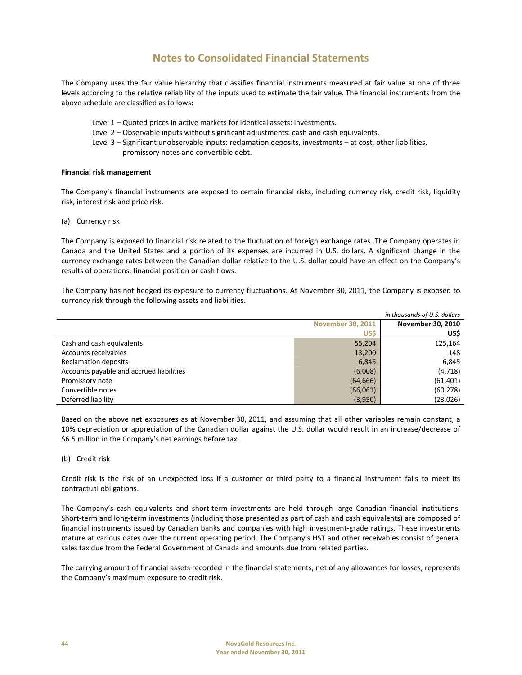The Company uses the fair value hierarchy that classifies financial instruments measured at fair value at one of three levels according to the relative reliability of the inputs used to estimate the fair value. The financial instruments from the above schedule are classified as follows:

- Level 1 Quoted prices in active markets for identical assets: investments.
- Level 2 Observable inputs without significant adjustments: cash and cash equivalents.
- Level 3 Significant unobservable inputs: reclamation deposits, investments at cost, other liabilities, promissory notes and convertible debt.

## Financial risk management

The Company's financial instruments are exposed to certain financial risks, including currency risk, credit risk, liquidity risk, interest risk and price risk.

(a) Currency risk

The Company is exposed to financial risk related to the fluctuation of foreign exchange rates. The Company operates in Canada and the United States and a portion of its expenses are incurred in U.S. dollars. A significant change in the currency exchange rates between the Canadian dollar relative to the U.S. dollar could have an effect on the Company's results of operations, financial position or cash flows.

The Company has not hedged its exposure to currency fluctuations. At November 30, 2011, the Company is exposed to currency risk through the following assets and liabilities.

|                                          |                          | in thousands of U.S. dollars |
|------------------------------------------|--------------------------|------------------------------|
|                                          | <b>November 30, 2011</b> | <b>November 30, 2010</b>     |
|                                          | <b>USS</b>               | US\$                         |
| Cash and cash equivalents                | 55,204                   | 125,164                      |
| Accounts receivables                     | 13,200                   | 148                          |
| Reclamation deposits                     | 6,845                    | 6,845                        |
| Accounts payable and accrued liabilities | (6,008)                  | (4, 718)                     |
| Promissory note                          | (64, 666)                | (61, 401)                    |
| Convertible notes                        | (66,061)                 | (60, 278)                    |
| Deferred liability                       | (3,950)                  | (23,026)                     |

Based on the above net exposures as at November 30, 2011, and assuming that all other variables remain constant, a 10% depreciation or appreciation of the Canadian dollar against the U.S. dollar would result in an increase/decrease of \$6.5 million in the Company's net earnings before tax.

### (b) Credit risk

Credit risk is the risk of an unexpected loss if a customer or third party to a financial instrument fails to meet its contractual obligations.

The Company's cash equivalents and short-term investments are held through large Canadian financial institutions. Short-term and long-term investments (including those presented as part of cash and cash equivalents) are composed of financial instruments issued by Canadian banks and companies with high investment-grade ratings. These investments mature at various dates over the current operating period. The Company's HST and other receivables consist of general sales tax due from the Federal Government of Canada and amounts due from related parties.

The carrying amount of financial assets recorded in the financial statements, net of any allowances for losses, represents the Company's maximum exposure to credit risk.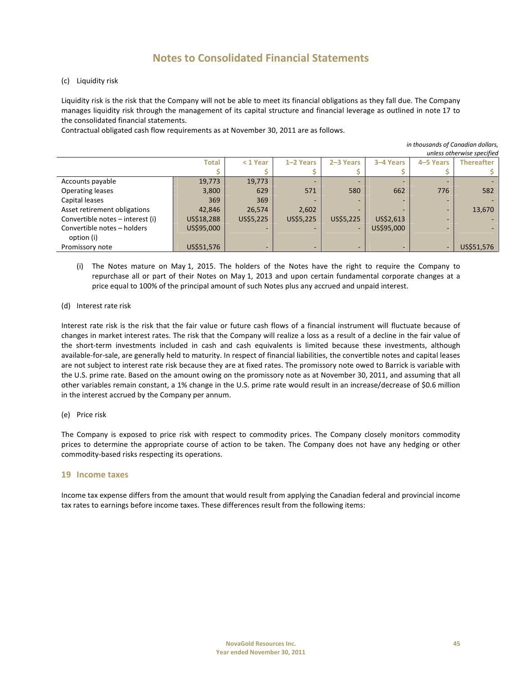### (c) Liquidity risk

Liquidity risk is the risk that the Company will not be able to meet its financial obligations as they fall due. The Company manages liquidity risk through the management of its capital structure and financial leverage as outlined in note 17 to the consolidated financial statements.

Contractual obligated cash flow requirements as at November 30, 2011 are as follows.

|                                  |              |            |           |           |            |           | unless otherwise specified |
|----------------------------------|--------------|------------|-----------|-----------|------------|-----------|----------------------------|
|                                  | <b>Total</b> | $<$ 1 Year | 1-2 Years | 2-3 Years | 3-4 Years  | 4-5 Years | <b>Thereafter</b>          |
|                                  |              |            |           |           |            |           |                            |
| Accounts payable                 | 19,773       | 19,773     |           |           |            |           |                            |
| Operating leases                 | 3,800        | 629        | 571       | 580       | 662        | 776       | 582                        |
| Capital leases                   | 369          | 369        |           |           | -          |           |                            |
| Asset retirement obligations     | 42,846       | 26,574     | 2,602     |           |            |           | 13,670                     |
| Convertible notes - interest (i) | US\$18,288   | US\$5,225  | US\$5,225 | US\$5,225 | US\$2,613  |           |                            |
| Convertible notes - holders      | US\$95,000   |            |           | ۰         | US\$95,000 |           |                            |
| option (i)                       |              |            |           |           |            |           |                            |
| Promissory note                  | US\$51,576   |            | -         |           | -          |           | US\$51,576                 |

(i) The Notes mature on May 1, 2015. The holders of the Notes have the right to require the Company to repurchase all or part of their Notes on May 1, 2013 and upon certain fundamental corporate changes at a price equal to 100% of the principal amount of such Notes plus any accrued and unpaid interest.

### (d) Interest rate risk

Interest rate risk is the risk that the fair value or future cash flows of a financial instrument will fluctuate because of changes in market interest rates. The risk that the Company will realize a loss as a result of a decline in the fair value of the short-term investments included in cash and cash equivalents is limited because these investments, although available-for-sale, are generally held to maturity. In respect of financial liabilities, the convertible notes and capital leases are not subject to interest rate risk because they are at fixed rates. The promissory note owed to Barrick is variable with the U.S. prime rate. Based on the amount owing on the promissory note as at November 30, 2011, and assuming that all other variables remain constant, a 1% change in the U.S. prime rate would result in an increase/decrease of \$0.6 million in the interest accrued by the Company per annum.

(e) Price risk

The Company is exposed to price risk with respect to commodity prices. The Company closely monitors commodity prices to determine the appropriate course of action to be taken. The Company does not have any hedging or other commodity-based risks respecting its operations.

### 19 Income taxes

Income tax expense differs from the amount that would result from applying the Canadian federal and provincial income tax rates to earnings before income taxes. These differences result from the following items:

in thousands of Canadian dollars,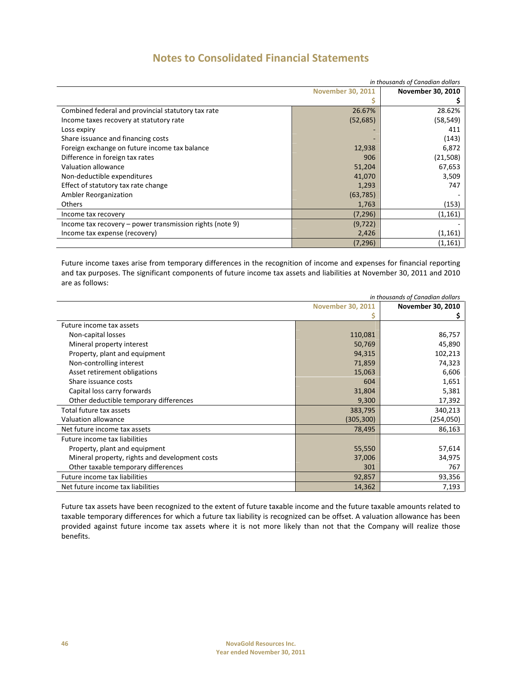| in thousands of Canadian dollars                         |                          |                   |  |  |
|----------------------------------------------------------|--------------------------|-------------------|--|--|
|                                                          | <b>November 30, 2011</b> | November 30, 2010 |  |  |
|                                                          |                          |                   |  |  |
| Combined federal and provincial statutory tax rate       | 26.67%                   | 28.62%            |  |  |
| Income taxes recovery at statutory rate                  | (52, 685)                | (58, 549)         |  |  |
| Loss expiry                                              |                          | 411               |  |  |
| Share issuance and financing costs                       |                          | (143)             |  |  |
| Foreign exchange on future income tax balance            | 12,938                   | 6,872             |  |  |
| Difference in foreign tax rates                          | 906                      | (21,508)          |  |  |
| Valuation allowance                                      | 51,204                   | 67,653            |  |  |
| Non-deductible expenditures                              | 41,070                   | 3,509             |  |  |
| Effect of statutory tax rate change                      | 1,293                    | 747               |  |  |
| Ambler Reorganization                                    | (63, 785)                |                   |  |  |
| <b>Others</b>                                            | 1,763                    | (153)             |  |  |
| Income tax recovery                                      | (7, 296)                 | (1, 161)          |  |  |
| Income tax recovery – power transmission rights (note 9) | (9, 722)                 |                   |  |  |
| Income tax expense (recovery)                            | 2,426                    | (1, 161)          |  |  |
|                                                          | (7, 296)                 | (1, 161)          |  |  |

Future income taxes arise from temporary differences in the recognition of income and expenses for financial reporting and tax purposes. The significant components of future income tax assets and liabilities at November 30, 2011 and 2010 are as follows:

| in thousands of Canadian dollars               |                          |                   |  |  |
|------------------------------------------------|--------------------------|-------------------|--|--|
|                                                | <b>November 30, 2011</b> | November 30, 2010 |  |  |
|                                                |                          | Ş.                |  |  |
| Future income tax assets                       |                          |                   |  |  |
| Non-capital losses                             | 110,081                  | 86,757            |  |  |
| Mineral property interest                      | 50,769                   | 45,890            |  |  |
| Property, plant and equipment                  | 94,315                   | 102,213           |  |  |
| Non-controlling interest                       | 71,859                   | 74,323            |  |  |
| Asset retirement obligations                   | 15,063                   | 6,606             |  |  |
| Share issuance costs                           | 604                      | 1,651             |  |  |
| Capital loss carry forwards                    | 31,804                   | 5,381             |  |  |
| Other deductible temporary differences         | 9,300                    | 17,392            |  |  |
| Total future tax assets                        | 383,795                  | 340,213           |  |  |
| Valuation allowance                            | (305, 300)               | (254,050)         |  |  |
| Net future income tax assets                   | 78,495                   | 86,163            |  |  |
| Future income tax liabilities                  |                          |                   |  |  |
| Property, plant and equipment                  | 55,550                   | 57,614            |  |  |
| Mineral property, rights and development costs | 37,006                   | 34,975            |  |  |
| Other taxable temporary differences            | 301                      | 767               |  |  |
| Future income tax liabilities                  | 92,857                   | 93,356            |  |  |
| Net future income tax liabilities              | 14,362                   | 7,193             |  |  |

Future tax assets have been recognized to the extent of future taxable income and the future taxable amounts related to taxable temporary differences for which a future tax liability is recognized can be offset. A valuation allowance has been provided against future income tax assets where it is not more likely than not that the Company will realize those benefits.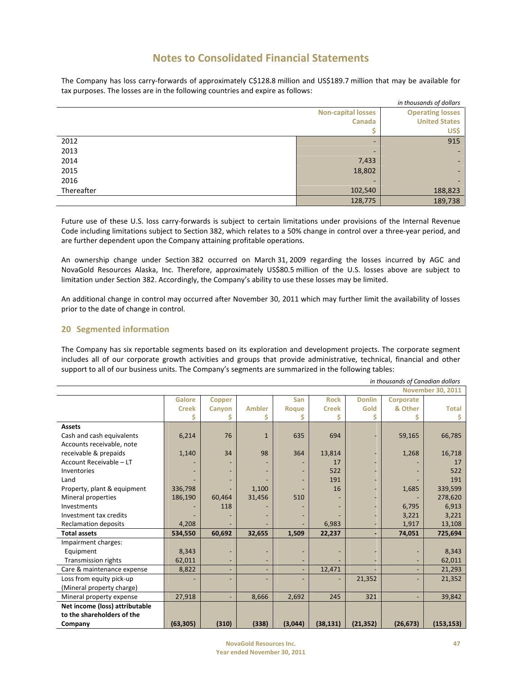The Company has loss carry-forwards of approximately C\$128.8 million and US\$189.7 million that may be available for tax purposes. The losses are in the following countries and expire as follows:

|            |                           | in thousands of dollars  |
|------------|---------------------------|--------------------------|
|            | <b>Non-capital losses</b> | <b>Operating losses</b>  |
|            | Canada                    | <b>United States</b>     |
|            | S                         | US\$                     |
| 2012       | ۰                         | 915                      |
| 2013       | ۰.                        | $\overline{\phantom{0}}$ |
| 2014       | 7,433                     | $\overline{\phantom{a}}$ |
| 2015       | 18,802                    | ÷                        |
| 2016       | -                         | $\overline{\phantom{a}}$ |
| Thereafter | 102,540                   | 188,823                  |
|            | 128,775                   | 189,738                  |

Future use of these U.S. loss carry-forwards is subject to certain limitations under provisions of the Internal Revenue Code including limitations subject to Section 382, which relates to a 50% change in control over a three-year period, and are further dependent upon the Company attaining profitable operations.

An ownership change under Section 382 occurred on March 31, 2009 regarding the losses incurred by AGC and NovaGold Resources Alaska, Inc. Therefore, approximately US\$80.5 million of the U.S. losses above are subject to limitation under Section 382. Accordingly, the Company's ability to use these losses may be limited.

An additional change in control may occurred after November 30, 2011 which may further limit the availability of losses prior to the date of change in control.

## 20 Segmented information

The Company has six reportable segments based on its exploration and development projects. The corporate segment includes all of our corporate growth activities and groups that provide administrative, technical, financial and other support to all of our business units. The Company's segments are summarized in the following tables:

|                                |               |               |                          |              |              |               | in thousands of Canadian dollars |                          |
|--------------------------------|---------------|---------------|--------------------------|--------------|--------------|---------------|----------------------------------|--------------------------|
|                                |               |               |                          |              |              |               |                                  | <b>November 30, 2011</b> |
|                                | <b>Galore</b> | <b>Copper</b> |                          | San          | <b>Rock</b>  | <b>Donlin</b> | <b>Corporate</b>                 |                          |
|                                | <b>Creek</b>  | Canyon        | <b>Ambler</b>            | <b>Roque</b> | <b>Creek</b> | Gold          | & Other                          | <b>Total</b>             |
|                                | Ś.            | Ś             | \$                       | Ś            | Ś            | \$            | Ś                                | \$.                      |
| <b>Assets</b>                  |               |               |                          |              |              |               |                                  |                          |
| Cash and cash equivalents      | 6,214         | 76            | $\mathbf{1}$             | 635          | 694          | ٠             | 59,165                           | 66,785                   |
| Accounts receivable, note      |               |               |                          |              |              |               |                                  |                          |
| receivable & prepaids          | 1,140         | 34            | 98                       | 364          | 13,814       | ٠             | 1,268                            | 16,718                   |
| Account Receivable - LT        |               |               |                          |              | 17           |               |                                  | 17                       |
| Inventories                    |               |               |                          |              | 522          | ٠             |                                  | 522                      |
| Land                           |               |               |                          |              | 191          |               |                                  | 191                      |
| Property, plant & equipment    | 336,798       |               | 1,100                    |              | 16           | ٠             | 1,685                            | 339,599                  |
| Mineral properties             | 186,190       | 60,464        | 31,456                   | 510          |              | ٠             |                                  | 278,620                  |
| Investments                    |               | 118           |                          |              |              |               | 6,795                            | 6,913                    |
| Investment tax credits         |               |               |                          |              |              | ٠             | 3,221                            | 3,221                    |
| <b>Reclamation deposits</b>    | 4,208         |               |                          |              | 6,983        | ٠             | 1,917                            | 13,108                   |
| <b>Total assets</b>            | 534,550       | 60,692        | 32,655                   | 1,509        | 22,237       | ٠             | 74,051                           | 725,694                  |
| Impairment charges:            |               |               |                          |              |              |               |                                  |                          |
| Equipment                      | 8,343         |               | $\overline{\phantom{0}}$ |              |              |               |                                  | 8,343                    |
| <b>Transmission rights</b>     | 62,011        |               | $\overline{\phantom{0}}$ |              |              |               | $\overline{\phantom{0}}$         | 62,011                   |
| Care & maintenance expense     | 8,822         | ٠             | $\overline{\phantom{a}}$ |              | 12,471       | ۰             | $\overline{\phantom{0}}$         | 21,293                   |
| Loss from equity pick-up       |               |               | $\overline{a}$           |              |              | 21,352        | $\overline{\phantom{0}}$         | 21,352                   |
| (Mineral property charge)      |               |               |                          |              |              |               |                                  |                          |
| Mineral property expense       | 27,918        |               | 8,666                    | 2,692        | 245          | 321           | $\overline{\phantom{a}}$         | 39,842                   |
| Net income (loss) attributable |               |               |                          |              |              |               |                                  |                          |
| to the shareholders of the     |               |               |                          |              |              |               |                                  |                          |
| Company                        | (63, 305)     | (310)         | (338)                    | (3,044)      | (38, 131)    | (21, 352)     | (26, 673)                        | (153, 153)               |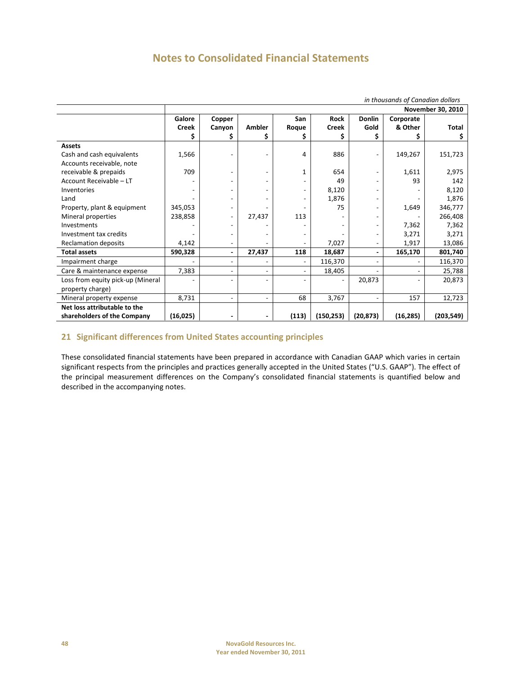|                                   |              |        |                          |       |              |               | in thousands of Canadian dollars |                   |
|-----------------------------------|--------------|--------|--------------------------|-------|--------------|---------------|----------------------------------|-------------------|
|                                   |              |        |                          |       |              |               |                                  | November 30, 2010 |
|                                   | Galore       | Copper |                          | San   | <b>Rock</b>  | <b>Donlin</b> | Corporate                        |                   |
|                                   | <b>Creek</b> | Canyon | Ambler                   | Roque | <b>Creek</b> | Gold          | & Other                          | <b>Total</b>      |
|                                   | \$           |        | \$                       |       |              | \$            |                                  |                   |
| <b>Assets</b>                     |              |        |                          |       |              |               |                                  |                   |
| Cash and cash equivalents         | 1,566        |        |                          | 4     | 886          |               | 149,267                          | 151,723           |
| Accounts receivable, note         |              |        |                          |       |              |               |                                  |                   |
| receivable & prepaids             | 709          |        |                          | 1     | 654          |               | 1,611                            | 2,975             |
| Account Receivable - LT           |              |        |                          |       | 49           |               | 93                               | 142               |
| Inventories                       |              |        |                          |       | 8,120        | ۰             |                                  | 8,120             |
| Land                              |              |        |                          |       | 1,876        |               |                                  | 1,876             |
| Property, plant & equipment       | 345,053      |        |                          |       | 75           |               | 1,649                            | 346,777           |
| Mineral properties                | 238,858      |        | 27,437                   | 113   |              |               |                                  | 266,408           |
| Investments                       |              |        |                          |       |              |               | 7,362                            | 7,362             |
| Investment tax credits            |              |        |                          |       |              |               | 3,271                            | 3,271             |
| <b>Reclamation deposits</b>       | 4,142        |        |                          |       | 7,027        |               | 1,917                            | 13,086            |
| <b>Total assets</b>               | 590,328      |        | 27,437                   | 118   | 18,687       |               | 165,170                          | 801,740           |
| Impairment charge                 |              |        |                          |       | 116,370      |               |                                  | 116,370           |
| Care & maintenance expense        | 7,383        |        |                          |       | 18,405       |               |                                  | 25,788            |
| Loss from equity pick-up (Mineral |              |        |                          |       |              | 20,873        |                                  | 20,873            |
| property charge)                  |              |        |                          |       |              |               |                                  |                   |
| Mineral property expense          | 8,731        |        | $\overline{\phantom{0}}$ | 68    | 3,767        |               | 157                              | 12,723            |
| Net loss attributable to the      |              |        |                          |       |              |               |                                  |                   |
| shareholders of the Company       | (16, 025)    |        |                          | (113) | (150, 253)   | (20, 873)     | (16, 285)                        | (203, 549)        |

## 21 Significant differences from United States accounting principles

These consolidated financial statements have been prepared in accordance with Canadian GAAP which varies in certain significant respects from the principles and practices generally accepted in the United States ("U.S. GAAP"). The effect of the principal measurement differences on the Company's consolidated financial statements is quantified below and described in the accompanying notes.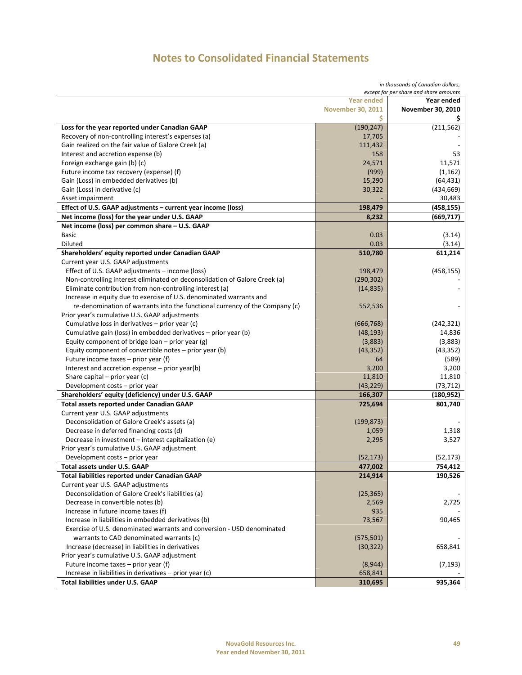|                                                                                                                |                               | in thousands of Canadian dollars,      |
|----------------------------------------------------------------------------------------------------------------|-------------------------------|----------------------------------------|
|                                                                                                                |                               | except for per share and share amounts |
|                                                                                                                | <b>Year ended</b>             | Year ended                             |
|                                                                                                                | <b>November 30, 2011</b><br>Ś | November 30, 2010                      |
| Loss for the year reported under Canadian GAAP                                                                 | (190, 247)                    | (211, 562)                             |
| Recovery of non-controlling interest's expenses (a)                                                            | 17,705                        |                                        |
| Gain realized on the fair value of Galore Creek (a)                                                            | 111,432                       |                                        |
| Interest and accretion expense (b)                                                                             | 158                           | 53                                     |
| Foreign exchange gain (b) (c)                                                                                  | 24,571                        | 11,571                                 |
| Future income tax recovery (expense) (f)                                                                       | (999)                         | (1, 162)                               |
| Gain (Loss) in embedded derivatives (b)                                                                        | 15,290                        | (64, 431)                              |
|                                                                                                                |                               |                                        |
| Gain (Loss) in derivative (c)                                                                                  | 30,322                        | (434, 669)                             |
| Asset impairment                                                                                               |                               | 30,483                                 |
| Effect of U.S. GAAP adjustments - current year income (loss)<br>Net income (loss) for the year under U.S. GAAP | 198,479<br>8,232              | (458, 155)<br>(669, 717)               |
| Net income (loss) per common share - U.S. GAAP                                                                 |                               |                                        |
| Basic                                                                                                          | 0.03                          | (3.14)                                 |
| Diluted                                                                                                        | 0.03                          | (3.14)                                 |
|                                                                                                                |                               |                                        |
| Shareholders' equity reported under Canadian GAAP                                                              | 510,780                       | 611,214                                |
| Current year U.S. GAAP adjustments                                                                             |                               |                                        |
| Effect of U.S. GAAP adjustments - income (loss)                                                                | 198,479                       | (458, 155)                             |
| Non-controlling interest eliminated on deconsolidation of Galore Creek (a)                                     | (290, 302)                    |                                        |
| Eliminate contribution from non-controlling interest (a)                                                       | (14, 835)                     |                                        |
| Increase in equity due to exercise of U.S. denominated warrants and                                            |                               |                                        |
| re-denomination of warrants into the functional currency of the Company (c)                                    | 552,536                       |                                        |
| Prior year's cumulative U.S. GAAP adjustments                                                                  |                               |                                        |
| Cumulative loss in derivatives - prior year (c)                                                                | (666, 768)                    | (242, 321)                             |
| Cumulative gain (loss) in embedded derivatives - prior year (b)                                                | (48, 193)                     | 14,836                                 |
| Equity component of bridge loan $-$ prior year (g)                                                             | (3,883)                       | (3,883)                                |
| Equity component of convertible notes $-$ prior year (b)                                                       | (43, 352)                     | (43, 352)                              |
| Future income taxes - prior year (f)                                                                           | 64                            | (589)                                  |
| Interest and accretion expense - prior year(b)                                                                 | 3,200                         | 3,200                                  |
| Share capital $-$ prior year (c)                                                                               | 11,810                        | 11,810                                 |
| Development costs - prior year                                                                                 | (43, 229)                     | (73, 712)                              |
| Shareholders' equity (deficiency) under U.S. GAAP                                                              | 166,307                       | (180, 952)                             |
| Total assets reported under Canadian GAAP                                                                      | 725,694                       | 801,740                                |
| Current year U.S. GAAP adjustments                                                                             |                               |                                        |
| Deconsolidation of Galore Creek's assets (a)                                                                   | (199, 873)                    |                                        |
| Decrease in deferred financing costs (d)                                                                       | 1,059                         | 1,318                                  |
| Decrease in investment - interest capitalization (e)                                                           | 2,295                         | 3,527                                  |
| Prior year's cumulative U.S. GAAP adjustment                                                                   |                               |                                        |
| Development costs – prior year                                                                                 | (52, 173)                     | (52, 173)                              |
| Total assets under U.S. GAAP                                                                                   | 477,002                       | 754,412                                |
| <b>Total liabilities reported under Canadian GAAP</b>                                                          | 214,914                       | 190,526                                |
| Current year U.S. GAAP adjustments                                                                             |                               |                                        |
| Deconsolidation of Galore Creek's liabilities (a)                                                              | (25, 365)                     |                                        |
| Decrease in convertible notes (b)                                                                              | 2,569                         | 2,725                                  |
| Increase in future income taxes (f)                                                                            | 935                           |                                        |
| Increase in liabilities in embedded derivatives (b)                                                            | 73,567                        | 90,465                                 |
| Exercise of U.S. denominated warrants and conversion - USD denominated                                         |                               |                                        |
| warrants to CAD denominated warrants (c)                                                                       | (575, 501)                    |                                        |
| Increase (decrease) in liabilities in derivatives                                                              | (30, 322)                     | 658,841                                |
| Prior year's cumulative U.S. GAAP adjustment                                                                   |                               |                                        |
| Future income taxes - prior year (f)                                                                           | (8,944)                       | (7, 193)                               |
| Increase in liabilities in derivatives – prior year (c)                                                        | 658,841                       |                                        |
| <b>Total liabilities under U.S. GAAP</b>                                                                       | 310,695                       | 935,364                                |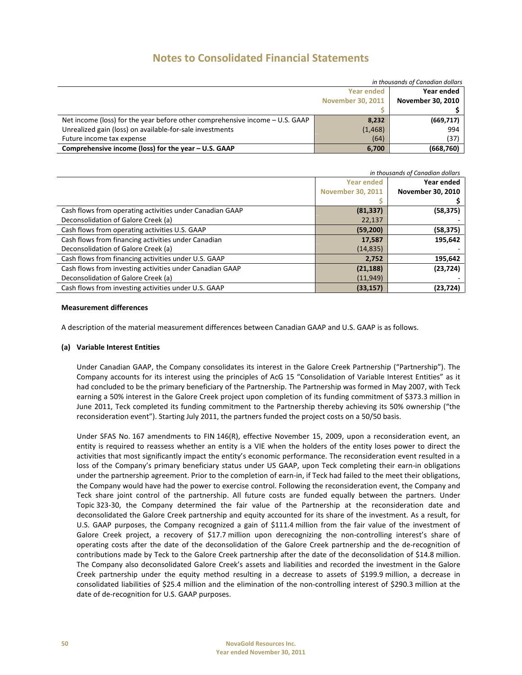|                                                                              |                          | in thousands of Canadian dollars |
|------------------------------------------------------------------------------|--------------------------|----------------------------------|
|                                                                              | <b>Year ended</b>        | Year ended                       |
|                                                                              | <b>November 30, 2011</b> | <b>November 30, 2010</b>         |
|                                                                              |                          |                                  |
| Net income (loss) for the year before other comprehensive income - U.S. GAAP | 8,232                    | (669, 717)                       |
| Unrealized gain (loss) on available-for-sale investments                     | (1, 468)                 | 994                              |
| Future income tax expense                                                    | (64)                     | (37)                             |
| Comprehensive income (loss) for the year - U.S. GAAP                         | 6,700                    | (668,760)                        |

|                                                          |                          | in thousands of Canadian dollars |
|----------------------------------------------------------|--------------------------|----------------------------------|
|                                                          | <b>Year ended</b>        | Year ended                       |
|                                                          | <b>November 30, 2011</b> | <b>November 30, 2010</b>         |
|                                                          |                          |                                  |
| Cash flows from operating activities under Canadian GAAP | (81, 337)                | (58, 375)                        |
| Deconsolidation of Galore Creek (a)                      | 22,137                   |                                  |
| Cash flows from operating activities U.S. GAAP           | (59, 200)                | (58, 375)                        |
| Cash flows from financing activities under Canadian      | 17,587                   | 195.642                          |
| Deconsolidation of Galore Creek (a)                      | (14, 835)                |                                  |
| Cash flows from financing activities under U.S. GAAP     | 2.752                    | 195,642                          |
| Cash flows from investing activities under Canadian GAAP | (21, 188)                | (23, 724)                        |
| Deconsolidation of Galore Creek (a)                      | (11, 949)                |                                  |
| Cash flows from investing activities under U.S. GAAP     | (33, 157)                | (23, 724)                        |

## Measurement differences

A description of the material measurement differences between Canadian GAAP and U.S. GAAP is as follows.

### (a) Variable Interest Entities

Under Canadian GAAP, the Company consolidates its interest in the Galore Creek Partnership ("Partnership"). The Company accounts for its interest using the principles of AcG 15 "Consolidation of Variable Interest Entities" as it had concluded to be the primary beneficiary of the Partnership. The Partnership was formed in May 2007, with Teck earning a 50% interest in the Galore Creek project upon completion of its funding commitment of \$373.3 million in June 2011, Teck completed its funding commitment to the Partnership thereby achieving its 50% ownership ("the reconsideration event"). Starting July 2011, the partners funded the project costs on a 50/50 basis.

Under SFAS No. 167 amendments to FIN 146(R), effective November 15, 2009, upon a reconsideration event, an entity is required to reassess whether an entity is a VIE when the holders of the entity loses power to direct the activities that most significantly impact the entity's economic performance. The reconsideration event resulted in a loss of the Company's primary beneficiary status under US GAAP, upon Teck completing their earn-in obligations under the partnership agreement. Prior to the completion of earn-in, if Teck had failed to the meet their obligations, the Company would have had the power to exercise control. Following the reconsideration event, the Company and Teck share joint control of the partnership. All future costs are funded equally between the partners. Under Topic 323-30, the Company determined the fair value of the Partnership at the reconsideration date and deconsolidated the Galore Creek partnership and equity accounted for its share of the investment. As a result, for U.S. GAAP purposes, the Company recognized a gain of \$111.4 million from the fair value of the investment of Galore Creek project, a recovery of \$17.7 million upon derecognizing the non-controlling interest's share of operating costs after the date of the deconsolidation of the Galore Creek partnership and the de-recognition of contributions made by Teck to the Galore Creek partnership after the date of the deconsolidation of \$14.8 million. The Company also deconsolidated Galore Creek's assets and liabilities and recorded the investment in the Galore Creek partnership under the equity method resulting in a decrease to assets of \$199.9 million, a decrease in consolidated liabilities of \$25.4 million and the elimination of the non-controlling interest of \$290.3 million at the date of de-recognition for U.S. GAAP purposes.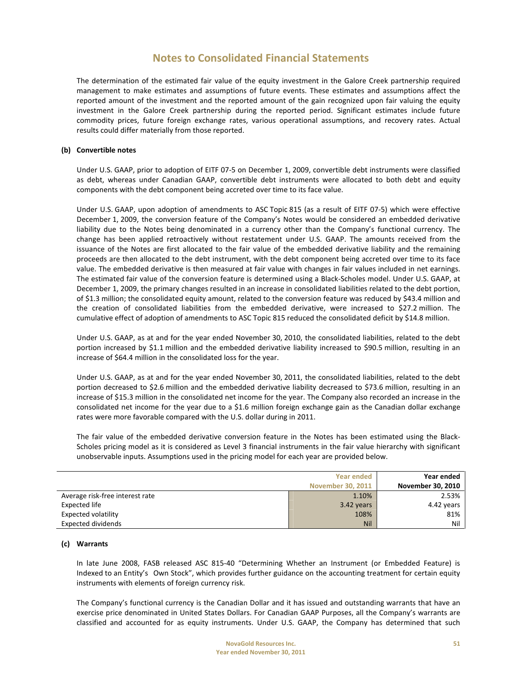The determination of the estimated fair value of the equity investment in the Galore Creek partnership required management to make estimates and assumptions of future events. These estimates and assumptions affect the reported amount of the investment and the reported amount of the gain recognized upon fair valuing the equity investment in the Galore Creek partnership during the reported period. Significant estimates include future commodity prices, future foreign exchange rates, various operational assumptions, and recovery rates. Actual results could differ materially from those reported.

### (b) Convertible notes

Under U.S. GAAP, prior to adoption of EITF 07-5 on December 1, 2009, convertible debt instruments were classified as debt, whereas under Canadian GAAP, convertible debt instruments were allocated to both debt and equity components with the debt component being accreted over time to its face value.

Under U.S. GAAP, upon adoption of amendments to ASC Topic 815 (as a result of EITF 07-5) which were effective December 1, 2009, the conversion feature of the Company's Notes would be considered an embedded derivative liability due to the Notes being denominated in a currency other than the Company's functional currency. The change has been applied retroactively without restatement under U.S. GAAP. The amounts received from the issuance of the Notes are first allocated to the fair value of the embedded derivative liability and the remaining proceeds are then allocated to the debt instrument, with the debt component being accreted over time to its face value. The embedded derivative is then measured at fair value with changes in fair values included in net earnings. The estimated fair value of the conversion feature is determined using a Black-Scholes model. Under U.S. GAAP, at December 1, 2009, the primary changes resulted in an increase in consolidated liabilities related to the debt portion, of \$1.3 million; the consolidated equity amount, related to the conversion feature was reduced by \$43.4 million and the creation of consolidated liabilities from the embedded derivative, were increased to \$27.2 million. The cumulative effect of adoption of amendments to ASC Topic 815 reduced the consolidated deficit by \$14.8 million.

Under U.S. GAAP, as at and for the year ended November 30, 2010, the consolidated liabilities, related to the debt portion increased by \$1.1 million and the embedded derivative liability increased to \$90.5 million, resulting in an increase of \$64.4 million in the consolidated loss for the year.

Under U.S. GAAP, as at and for the year ended November 30, 2011, the consolidated liabilities, related to the debt portion decreased to \$2.6 million and the embedded derivative liability decreased to \$73.6 million, resulting in an increase of \$15.3 million in the consolidated net income for the year. The Company also recorded an increase in the consolidated net income for the year due to a \$1.6 million foreign exchange gain as the Canadian dollar exchange rates were more favorable compared with the U.S. dollar during in 2011.

The fair value of the embedded derivative conversion feature in the Notes has been estimated using the Black-Scholes pricing model as it is considered as Level 3 financial instruments in the fair value hierarchy with significant unobservable inputs. Assumptions used in the pricing model for each year are provided below.

|                                 | Year ended               |                   |
|---------------------------------|--------------------------|-------------------|
|                                 | <b>November 30, 2011</b> | November 30, 2010 |
| Average risk-free interest rate | 1.10%                    | 2.53%             |
| Expected life                   | 3.42 years               | 4.42 years        |
| Expected volatility             | 108%                     | 81%               |
| <b>Expected dividends</b>       | <b>Nil</b>               | Nil               |

### (c) Warrants

In late June 2008, FASB released ASC 815-40 "Determining Whether an Instrument (or Embedded Feature) is Indexed to an Entity's Own Stock", which provides further guidance on the accounting treatment for certain equity instruments with elements of foreign currency risk.

The Company's functional currency is the Canadian Dollar and it has issued and outstanding warrants that have an exercise price denominated in United States Dollars. For Canadian GAAP Purposes, all the Company's warrants are classified and accounted for as equity instruments. Under U.S. GAAP, the Company has determined that such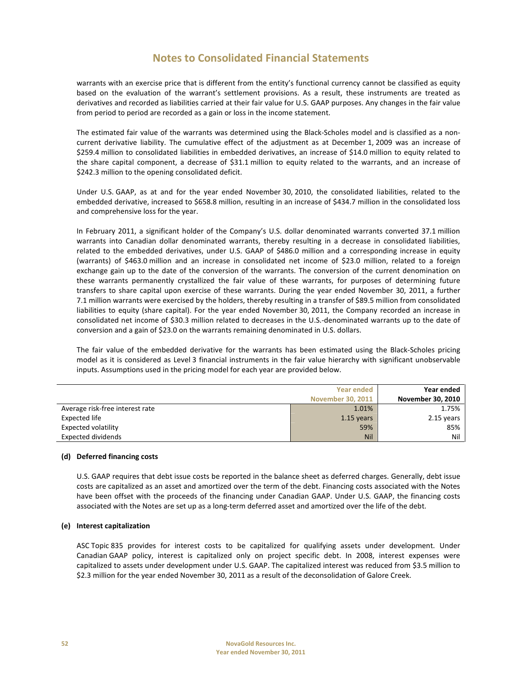warrants with an exercise price that is different from the entity's functional currency cannot be classified as equity based on the evaluation of the warrant's settlement provisions. As a result, these instruments are treated as derivatives and recorded as liabilities carried at their fair value for U.S. GAAP purposes. Any changes in the fair value from period to period are recorded as a gain or loss in the income statement.

The estimated fair value of the warrants was determined using the Black-Scholes model and is classified as a noncurrent derivative liability. The cumulative effect of the adjustment as at December 1, 2009 was an increase of \$259.4 million to consolidated liabilities in embedded derivatives, an increase of \$14.0 million to equity related to the share capital component, a decrease of \$31.1 million to equity related to the warrants, and an increase of \$242.3 million to the opening consolidated deficit.

Under U.S. GAAP, as at and for the year ended November 30, 2010, the consolidated liabilities, related to the embedded derivative, increased to \$658.8 million, resulting in an increase of \$434.7 million in the consolidated loss and comprehensive loss for the year.

In February 2011, a significant holder of the Company's U.S. dollar denominated warrants converted 37.1 million warrants into Canadian dollar denominated warrants, thereby resulting in a decrease in consolidated liabilities, related to the embedded derivatives, under U.S. GAAP of \$486.0 million and a corresponding increase in equity (warrants) of \$463.0 million and an increase in consolidated net income of \$23.0 million, related to a foreign exchange gain up to the date of the conversion of the warrants. The conversion of the current denomination on these warrants permanently crystallized the fair value of these warrants, for purposes of determining future transfers to share capital upon exercise of these warrants. During the year ended November 30, 2011, a further 7.1 million warrants were exercised by the holders, thereby resulting in a transfer of \$89.5 million from consolidated liabilities to equity (share capital). For the year ended November 30, 2011, the Company recorded an increase in consolidated net income of \$30.3 million related to decreases in the U.S.-denominated warrants up to the date of conversion and a gain of \$23.0 on the warrants remaining denominated in U.S. dollars.

The fair value of the embedded derivative for the warrants has been estimated using the Black-Scholes pricing model as it is considered as Level 3 financial instruments in the fair value hierarchy with significant unobservable inputs. Assumptions used in the pricing model for each year are provided below.

|                                 | Year ended               |                   |
|---------------------------------|--------------------------|-------------------|
|                                 | <b>November 30, 2011</b> | November 30, 2010 |
| Average risk-free interest rate | 1.01%                    | 1.75%             |
| Expected life                   | $1.15$ years             | 2.15 years        |
| Expected volatility             | 59%                      | 85%               |
| <b>Expected dividends</b>       | <b>Nil</b>               | Nil               |

### (d) Deferred financing costs

U.S. GAAP requires that debt issue costs be reported in the balance sheet as deferred charges. Generally, debt issue costs are capitalized as an asset and amortized over the term of the debt. Financing costs associated with the Notes have been offset with the proceeds of the financing under Canadian GAAP. Under U.S. GAAP, the financing costs associated with the Notes are set up as a long-term deferred asset and amortized over the life of the debt.

### (e) Interest capitalization

ASC Topic 835 provides for interest costs to be capitalized for qualifying assets under development. Under Canadian GAAP policy, interest is capitalized only on project specific debt. In 2008, interest expenses were capitalized to assets under development under U.S. GAAP. The capitalized interest was reduced from \$3.5 million to \$2.3 million for the year ended November 30, 2011 as a result of the deconsolidation of Galore Creek.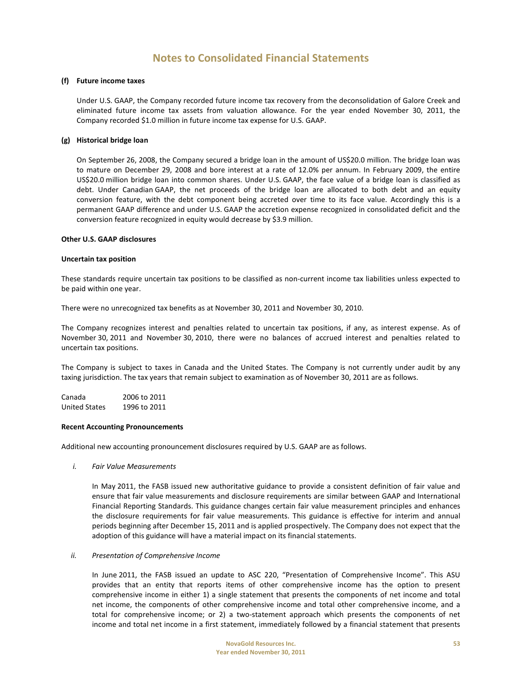### (f) Future income taxes

Under U.S. GAAP, the Company recorded future income tax recovery from the deconsolidation of Galore Creek and eliminated future income tax assets from valuation allowance. For the year ended November 30, 2011, the Company recorded \$1.0 million in future income tax expense for U.S. GAAP.

### (g) Historical bridge loan

On September 26, 2008, the Company secured a bridge loan in the amount of US\$20.0 million. The bridge loan was to mature on December 29, 2008 and bore interest at a rate of 12.0% per annum. In February 2009, the entire US\$20.0 million bridge loan into common shares. Under U.S. GAAP, the face value of a bridge loan is classified as debt. Under Canadian GAAP, the net proceeds of the bridge loan are allocated to both debt and an equity conversion feature, with the debt component being accreted over time to its face value. Accordingly this is a permanent GAAP difference and under U.S. GAAP the accretion expense recognized in consolidated deficit and the conversion feature recognized in equity would decrease by \$3.9 million.

#### Other U.S. GAAP disclosures

#### Uncertain tax position

These standards require uncertain tax positions to be classified as non-current income tax liabilities unless expected to be paid within one year.

There were no unrecognized tax benefits as at November 30, 2011 and November 30, 2010.

The Company recognizes interest and penalties related to uncertain tax positions, if any, as interest expense. As of November 30, 2011 and November 30, 2010, there were no balances of accrued interest and penalties related to uncertain tax positions.

The Company is subject to taxes in Canada and the United States. The Company is not currently under audit by any taxing jurisdiction. The tax years that remain subject to examination as of November 30, 2011 are as follows.

| Canada               | 2006 to 2011 |
|----------------------|--------------|
| <b>United States</b> | 1996 to 2011 |

#### Recent Accounting Pronouncements

Additional new accounting pronouncement disclosures required by U.S. GAAP are as follows.

#### i. Fair Value Measurements

In May 2011, the FASB issued new authoritative guidance to provide a consistent definition of fair value and ensure that fair value measurements and disclosure requirements are similar between GAAP and International Financial Reporting Standards. This guidance changes certain fair value measurement principles and enhances the disclosure requirements for fair value measurements. This guidance is effective for interim and annual periods beginning after December 15, 2011 and is applied prospectively. The Company does not expect that the adoption of this guidance will have a material impact on its financial statements.

#### ii. Presentation of Comprehensive Income

In June 2011, the FASB issued an update to ASC 220, "Presentation of Comprehensive Income". This ASU provides that an entity that reports items of other comprehensive income has the option to present comprehensive income in either 1) a single statement that presents the components of net income and total net income, the components of other comprehensive income and total other comprehensive income, and a total for comprehensive income; or 2) a two-statement approach which presents the components of net income and total net income in a first statement, immediately followed by a financial statement that presents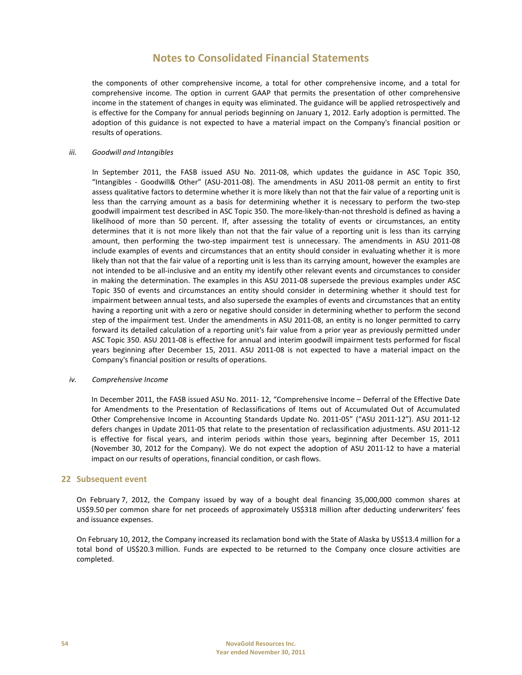the components of other comprehensive income, a total for other comprehensive income, and a total for comprehensive income. The option in current GAAP that permits the presentation of other comprehensive income in the statement of changes in equity was eliminated. The guidance will be applied retrospectively and is effective for the Company for annual periods beginning on January 1, 2012. Early adoption is permitted. The adoption of this guidance is not expected to have a material impact on the Company's financial position or results of operations.

### iii. Goodwill and Intangibles

In September 2011, the FASB issued ASU No. 2011-08, which updates the guidance in ASC Topic 350, "Intangibles - Goodwill& Other" (ASU-2011-08). The amendments in ASU 2011-08 permit an entity to first assess qualitative factors to determine whether it is more likely than not that the fair value of a reporting unit is less than the carrying amount as a basis for determining whether it is necessary to perform the two-step goodwill impairment test described in ASC Topic 350. The more-likely-than-not threshold is defined as having a likelihood of more than 50 percent. If, after assessing the totality of events or circumstances, an entity determines that it is not more likely than not that the fair value of a reporting unit is less than its carrying amount, then performing the two-step impairment test is unnecessary. The amendments in ASU 2011-08 include examples of events and circumstances that an entity should consider in evaluating whether it is more likely than not that the fair value of a reporting unit is less than its carrying amount, however the examples are not intended to be all-inclusive and an entity my identify other relevant events and circumstances to consider in making the determination. The examples in this ASU 2011-08 supersede the previous examples under ASC Topic 350 of events and circumstances an entity should consider in determining whether it should test for impairment between annual tests, and also supersede the examples of events and circumstances that an entity having a reporting unit with a zero or negative should consider in determining whether to perform the second step of the impairment test. Under the amendments in ASU 2011-08, an entity is no longer permitted to carry forward its detailed calculation of a reporting unit's fair value from a prior year as previously permitted under ASC Topic 350. ASU 2011-08 is effective for annual and interim goodwill impairment tests performed for fiscal years beginning after December 15, 2011. ASU 2011-08 is not expected to have a material impact on the Company's financial position or results of operations.

#### iv. Comprehensive Income

In December 2011, the FASB issued ASU No. 2011- 12, "Comprehensive Income – Deferral of the Effective Date for Amendments to the Presentation of Reclassifications of Items out of Accumulated Out of Accumulated Other Comprehensive Income in Accounting Standards Update No. 2011-05" ("ASU 2011-12"). ASU 2011-12 defers changes in Update 2011-05 that relate to the presentation of reclassification adjustments. ASU 2011-12 is effective for fiscal years, and interim periods within those years, beginning after December 15, 2011 (November 30, 2012 for the Company). We do not expect the adoption of ASU 2011-12 to have a material impact on our results of operations, financial condition, or cash flows.

### 22 Subsequent event

On February 7, 2012, the Company issued by way of a bought deal financing 35,000,000 common shares at US\$9.50 per common share for net proceeds of approximately US\$318 million after deducting underwriters' fees and issuance expenses.

On February 10, 2012, the Company increased its reclamation bond with the State of Alaska by US\$13.4 million for a total bond of US\$20.3 million. Funds are expected to be returned to the Company once closure activities are completed.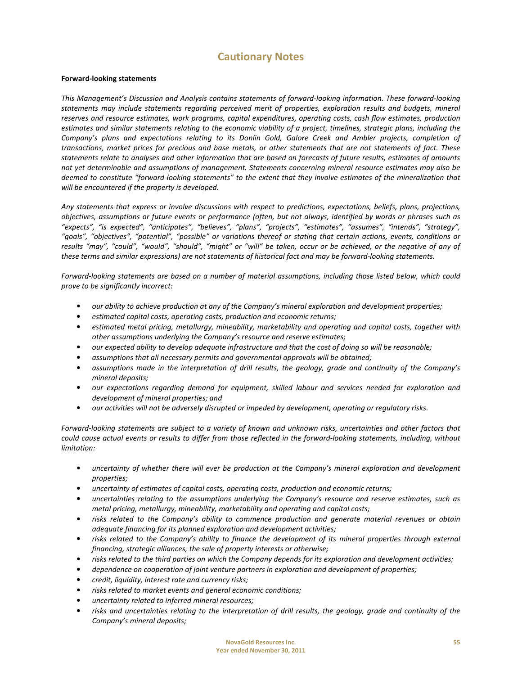## Cautionary Notes

### Forward-looking statements

This Management's Discussion and Analysis contains statements of forward-looking information. These forward-looking statements may include statements regarding perceived merit of properties, exploration results and budgets, mineral reserves and resource estimates, work programs, capital expenditures, operating costs, cash flow estimates, production estimates and similar statements relating to the economic viability of a project, timelines, strategic plans, including the Company's plans and expectations relating to its Donlin Gold, Galore Creek and Ambler projects, completion of transactions, market prices for precious and base metals, or other statements that are not statements of fact. These statements relate to analyses and other information that are based on forecasts of future results, estimates of amounts not yet determinable and assumptions of management. Statements concerning mineral resource estimates may also be deemed to constitute "forward-looking statements" to the extent that they involve estimates of the mineralization that will be encountered if the property is developed.

Any statements that express or involve discussions with respect to predictions, expectations, beliefs, plans, projections, objectives, assumptions or future events or performance (often, but not always, identified by words or phrases such as "expects", "is expected", "anticipates", "believes", "plans", "projects", "estimates", "assumes", "intends", "strategy", "goals", "objectives", "potential", "possible" or variations thereof or stating that certain actions, events, conditions or results "may", "could", "would", "should", "might" or "will" be taken, occur or be achieved, or the negative of any of these terms and similar expressions) are not statements of historical fact and may be forward-looking statements.

Forward-looking statements are based on a number of material assumptions, including those listed below, which could prove to be significantly incorrect:

- our ability to achieve production at any of the Company's mineral exploration and development properties;
- estimated capital costs, operating costs, production and economic returns;
- estimated metal pricing, metallurgy, mineability, marketability and operating and capital costs, together with other assumptions underlying the Company's resource and reserve estimates;
- our expected ability to develop adequate infrastructure and that the cost of doing so will be reasonable;
- assumptions that all necessary permits and governmental approvals will be obtained;
- assumptions made in the interpretation of drill results, the geology, grade and continuity of the Company's mineral deposits;
- our expectations regarding demand for equipment, skilled labour and services needed for exploration and development of mineral properties; and
- our activities will not be adversely disrupted or impeded by development, operating or regulatory risks.

Forward-looking statements are subject to a variety of known and unknown risks, uncertainties and other factors that could cause actual events or results to differ from those reflected in the forward-looking statements, including, without limitation:

- uncertainty of whether there will ever be production at the Company's mineral exploration and development properties;
- uncertainty of estimates of capital costs, operating costs, production and economic returns;
- uncertainties relating to the assumptions underlying the Company's resource and reserve estimates, such as metal pricing, metallurgy, mineability, marketability and operating and capital costs;
- risks related to the Company's ability to commence production and generate material revenues or obtain adequate financing for its planned exploration and development activities;
- risks related to the Company's ability to finance the development of its mineral properties through external financing, strategic alliances, the sale of property interests or otherwise;
- risks related to the third parties on which the Company depends for its exploration and development activities;
- dependence on cooperation of joint venture partners in exploration and development of properties;
- credit, liquidity, interest rate and currency risks;
- risks related to market events and general economic conditions;
- uncertainty related to inferred mineral resources;
- risks and uncertainties relating to the interpretation of drill results, the geology, grade and continuity of the Company's mineral deposits;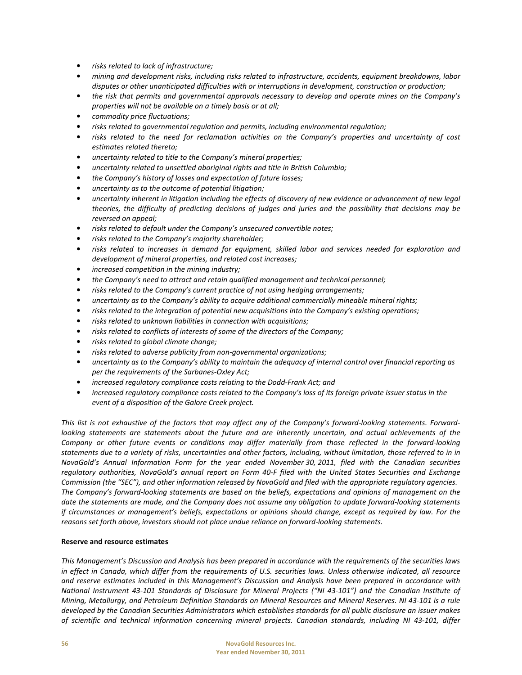- risks related to lack of infrastructure;
- mining and development risks, including risks related to infrastructure, accidents, equipment breakdowns, labor disputes or other unanticipated difficulties with or interruptions in development, construction or production;
- the risk that permits and governmental approvals necessary to develop and operate mines on the Company's properties will not be available on a timely basis or at all;
- commodity price fluctuations;
- risks related to governmental regulation and permits, including environmental regulation;
- risks related to the need for reclamation activities on the Company's properties and uncertainty of cost estimates related thereto;
- uncertainty related to title to the Company's mineral properties;
- uncertainty related to unsettled aboriginal rights and title in British Columbia;
- the Company's history of losses and expectation of future losses;
- uncertainty as to the outcome of potential litigation;
- uncertainty inherent in litigation including the effects of discovery of new evidence or advancement of new legal theories, the difficulty of predicting decisions of judges and juries and the possibility that decisions may be reversed on appeal;
- risks related to default under the Company's unsecured convertible notes;
- risks related to the Company's majority shareholder;
- risks related to increases in demand for equipment, skilled labor and services needed for exploration and development of mineral properties, and related cost increases;
- increased competition in the mining industry;
- the Company's need to attract and retain qualified management and technical personnel;
- risks related to the Company's current practice of not using hedging arrangements;
- uncertainty as to the Company's ability to acquire additional commercially mineable mineral rights;
- risks related to the integration of potential new acquisitions into the Company's existing operations;
- risks related to unknown liabilities in connection with acquisitions;
- risks related to conflicts of interests of some of the directors of the Company;
- risks related to global climate change;
- risks related to adverse publicity from non-governmental organizations;
- uncertainty as to the Company's ability to maintain the adequacy of internal control over financial reporting as per the requirements of the Sarbanes-Oxley Act;
- increased regulatory compliance costs relating to the Dodd-Frank Act; and
- increased regulatory compliance costs related to the Company's loss of its foreign private issuer status in the event of a disposition of the Galore Creek project.

This list is not exhaustive of the factors that may affect any of the Company's forward-looking statements. Forwardlooking statements are statements about the future and are inherently uncertain, and actual achievements of the Company or other future events or conditions may differ materially from those reflected in the forward-looking statements due to a variety of risks, uncertainties and other factors, including, without limitation, those referred to in in NovaGold's Annual Information Form for the year ended November 30, 2011, filed with the Canadian securities regulatory authorities, NovaGold's annual report on Form 40-F filed with the United States Securities and Exchange Commission (the "SEC"), and other information released by NovaGold and filed with the appropriate regulatory agencies. The Company's forward-looking statements are based on the beliefs, expectations and opinions of management on the date the statements are made, and the Company does not assume any obligation to update forward-looking statements if circumstances or management's beliefs, expectations or opinions should change, except as required by law. For the reasons set forth above, investors should not place undue reliance on forward-looking statements.

### Reserve and resource estimates

This Management's Discussion and Analysis has been prepared in accordance with the requirements of the securities laws in effect in Canada, which differ from the requirements of U.S. securities laws. Unless otherwise indicated, all resource and reserve estimates included in this Management's Discussion and Analysis have been prepared in accordance with National Instrument 43-101 Standards of Disclosure for Mineral Projects ("NI 43-101") and the Canadian Institute of Mining, Metallurgy, and Petroleum Definition Standards on Mineral Resources and Mineral Reserves. NI 43-101 is a rule developed by the Canadian Securities Administrators which establishes standards for all public disclosure an issuer makes of scientific and technical information concerning mineral projects. Canadian standards, including NI 43-101, differ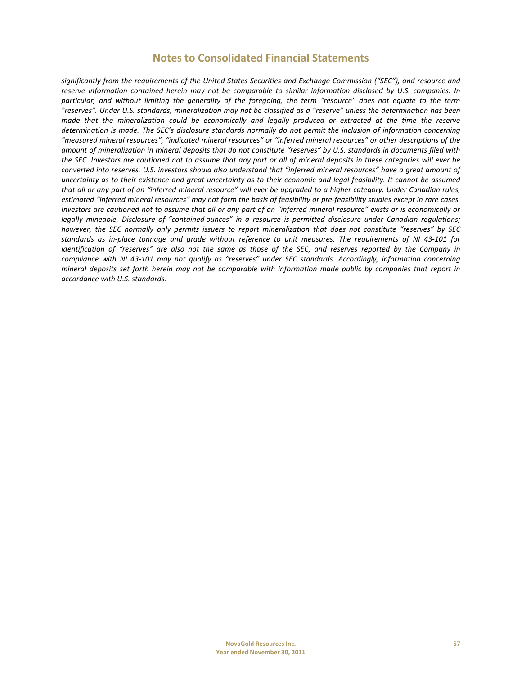significantly from the requirements of the United States Securities and Exchange Commission ("SEC"), and resource and reserve information contained herein may not be comparable to similar information disclosed by U.S. companies. In particular, and without limiting the generality of the foregoing, the term "resource" does not equate to the term "reserves". Under U.S. standards, mineralization may not be classified as a "reserve" unless the determination has been made that the mineralization could be economically and legally produced or extracted at the time the reserve determination is made. The SEC's disclosure standards normally do not permit the inclusion of information concerning "measured mineral resources", "indicated mineral resources" or "inferred mineral resources" or other descriptions of the amount of mineralization in mineral deposits that do not constitute "reserves" by U.S. standards in documents filed with the SEC. Investors are cautioned not to assume that any part or all of mineral deposits in these categories will ever be converted into reserves. U.S. investors should also understand that "inferred mineral resources" have a great amount of uncertainty as to their existence and great uncertainty as to their economic and legal feasibility. It cannot be assumed that all or any part of an "inferred mineral resource" will ever be upgraded to a higher category. Under Canadian rules, estimated "inferred mineral resources" may not form the basis of feasibility or pre-feasibility studies except in rare cases. Investors are cautioned not to assume that all or any part of an "inferred mineral resource" exists or is economically or legally mineable. Disclosure of "contained ounces" in a resource is permitted disclosure under Canadian regulations; however, the SEC normally only permits issuers to report mineralization that does not constitute "reserves" by SEC standards as in-place tonnage and grade without reference to unit measures. The requirements of NI 43-101 for identification of "reserves" are also not the same as those of the SEC, and reserves reported by the Company in compliance with NI 43-101 may not qualify as "reserves" under SEC standards. Accordingly, information concerning mineral deposits set forth herein may not be comparable with information made public by companies that report in accordance with U.S. standards.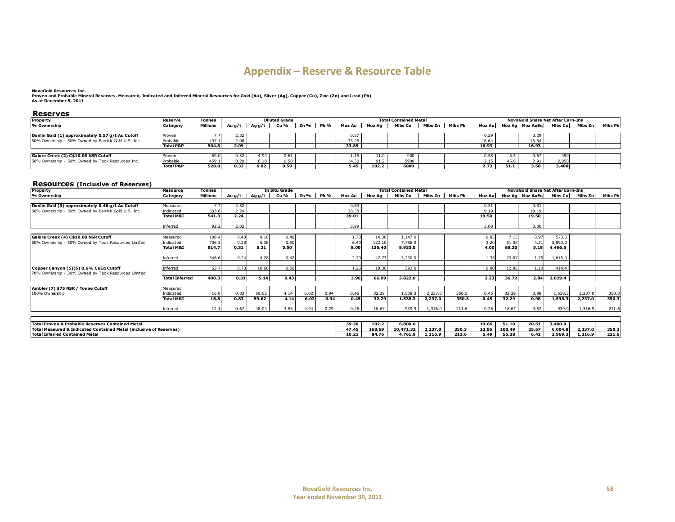# Appendix – Reserve & Resource Table

NovaGold Resources Inc.<br>Proven and Probable Mineral Reserves, Measured, Indicated and Inferred Mineral Resources for Gold (Au), Silver (Ag), Copper (Cu), Zinc (Zn) and Lead (Pb) As at December 5, 2011

| <b>Reserves</b>                                     |                      |            |                      |        |      |      |                              |                                          |              |         |           |         |        |      |                  |         |         |                |
|-----------------------------------------------------|----------------------|------------|----------------------|--------|------|------|------------------------------|------------------------------------------|--------------|---------|-----------|---------|--------|------|------------------|---------|---------|----------------|
| Property                                            | Reserve              | Tonnes     | <b>Diluted Grade</b> |        |      |      | <b>Total Contained Metal</b> | <b>NovaGold Share Net After Earn-Ins</b> |              |         |           |         |        |      |                  |         |         |                |
| % Ownership                                         | Category             | Millions   | Au a/t               | Aa a/t | Cu % | Zn % | <b>Pb</b> %                  | Moz Au                                   | Moz Ag       | Mlbs Cu | Mibs Zn I | Mlbs Pb | Moz Au |      | Moz Ag Moz AuEgl | Mibs Cu | Mibs Zn | <b>Mibs Pb</b> |
|                                                     |                      |            |                      |        |      |      |                              |                                          |              |         |           |         |        |      |                  |         |         |                |
| Donlin Gold (1) approximately 0.57 g/t Au Cutoff    | Proven               | $\sqrt{1}$ | 2.32                 |        |      |      |                              | 0.57                                     |              |         |           |         | 0.29   |      | 0.29             |         |         |                |
| 50% Ownership - 50% Owned by Barrick Gold U.S. Inc. | Probable             | 497.1      | 2.08                 |        |      |      |                              | 33.28                                    |              |         |           |         | 16.64  |      | 16.64            |         |         |                |
|                                                     | <b>Total P&amp;P</b> | 504.8      | 2.09                 |        |      |      |                              | 33.85                                    |              |         |           |         | 16.93  |      | 16.93            |         |         |                |
|                                                     |                      |            |                      |        |      |      |                              |                                          |              |         |           |         |        |      |                  |         |         |                |
| Galore Creek (2) C\$10.08 NSR Cutoff                | Proven               | 69.0       | 0.52                 | 4.94   | 0.61 |      |                              | 1.15                                     |              | 900     |           |         | 0.58   |      | 0.67             | 450     |         |                |
| 50% Ownership - 50% Owned by Teck Resources Inc.    | Probable             | 459.1      | 0.29                 | 6.18   | 0.58 |      |                              | 4.30                                     | 11.0<br>91.2 | 5900    |           |         | 2.15   | 45.6 | 2.91             | 2,950   |         |                |
|                                                     | <b>Total P&amp;P</b> | 528.0      | 0.32                 | 6.02   | 0.59 |      |                              | 5.45                                     | 102.2        | 6800    |           |         | 2.73   | 51.1 | 3.58             | 3,400   |         |                |
|                                                     |                      |            |                      |        |      |      |                              |                                          |              |         |           |         |        |      |                  |         |         |                |

#### Resources (Inclusive of Reserves)

| Property                                                                                                               | <b>Resource</b>       | Tonnes          |        |       | In Situ Grade |              |      | <b>Total Contained Metal</b> |                 |                      |                    |                |               | <b>NovaGold Share Net After Earn-Ins</b> |                 |                    |                    |                |  |
|------------------------------------------------------------------------------------------------------------------------|-----------------------|-----------------|--------|-------|---------------|--------------|------|------------------------------|-----------------|----------------------|--------------------|----------------|---------------|------------------------------------------|-----------------|--------------------|--------------------|----------------|--|
| % Ownership                                                                                                            | Category              | <b>Millions</b> | Au g/t | Agg/t | Cu %          | $Zn \%$ Pb % |      | Moz Au                       | Moz Ag          | Mlbs Cu              | Mibs Zn I          | Mibs Pb        | Moz Au        |                                          | Moz Ag Moz AuEg | Mlbs Cu            | Mibs Zn            | <b>Mibs Pb</b> |  |
|                                                                                                                        |                       |                 |        |       |               |              |      |                              |                 |                      |                    |                |               |                                          |                 |                    |                    |                |  |
| Donlin Gold (3) approximately 0.46 g/t Au Cutoff                                                                       | Measured              | 7.7             | 2.52   |       |               |              |      | 0.63                         |                 |                      |                    |                | 0.31          |                                          | 0.31            |                    |                    |                |  |
| 50% Ownership - 50% Owned by Barrick Gold U.S. Inc.                                                                    | Indicated             | 533.6           | 2.24   |       |               |              |      | 38.38                        |                 |                      |                    |                | 19.19         |                                          | 19.19           |                    |                    |                |  |
|                                                                                                                        | <b>Total M&amp;I</b>  | 541.3           | 2.24   |       |               |              |      | 39.01                        |                 |                      |                    |                | 19.50         |                                          | 19.50           |                    |                    |                |  |
|                                                                                                                        | Inferred              | 92.2            | 2.02   |       |               |              |      | 5.99                         |                 |                      |                    |                | 3.00          |                                          | 3.00            |                    |                    |                |  |
|                                                                                                                        |                       |                 |        |       |               |              |      |                              |                 |                      |                    |                |               |                                          |                 |                    |                    |                |  |
| Galore Creek (4) C\$10.08 NSR Cutoff                                                                                   | Measured              | 108.4           | 0.48   | 4.10  | 0.48          |              |      | 1.70                         | 14.30           | 1,147.0              |                    |                | 0.85          | 7.15                                     | 0.97            | 573.5              |                    |                |  |
| 50% Ownership - 50% Owned by Teck Resources Limited                                                                    | Indicated             | 706.3           | 0.28   | 5.38  | 0.50          |              |      | 6.40                         | 122.10          | 7,786.0              |                    |                | 3.20          | 61.05                                    | 4.21            | 3,893.0            |                    |                |  |
|                                                                                                                        | <b>Total M&amp;I</b>  | 814.7           | 0.31   | 5.21  | 0.50          |              |      | 8.00                         | 136.40          | 8,933.0              |                    |                | 4.00          | 68.20                                    | 5.18            | 4,466.5            |                    |                |  |
|                                                                                                                        | Inferred              | 346.6           | 0.24   | 4.28  | 0.42          |              |      | 2.70                         | 47.73           | 3,230.0              |                    |                | 1.35          | 23.87                                    | 1.75            | 1,615.0            |                    |                |  |
|                                                                                                                        |                       |                 |        |       |               |              |      |                              |                 |                      |                    |                |               |                                          |                 |                    |                    |                |  |
| Copper Canyon (5)(6) 0.6% CuEq Cutoff                                                                                  | Inferred              | 53.7            | 0.73   | 10.60 | 0.50          |              |      | 1.26                         | 18.36           | 592.0                |                    |                | 0.88          | 12.85                                    | 1.10            | 414.4              |                    |                |  |
| 70% Ownership - 30% Owned by Teck Resources Limited                                                                    |                       |                 |        |       |               |              |      |                              |                 |                      |                    |                |               |                                          |                 |                    |                    |                |  |
|                                                                                                                        | <b>Total Inferred</b> | 400.3           | 0.31   | 5.14  | 0.43          |              |      | 3.96                         | 66.09           | 3,822.0              |                    |                | 2.23          | 36.72                                    | 2.84            | 2,029.4            |                    |                |  |
|                                                                                                                        |                       |                 |        |       |               |              |      |                              |                 |                      |                    |                |               |                                          |                 |                    |                    |                |  |
| Ambler (7) \$75 NSR / Tonne Cutoff                                                                                     | Measured              |                 |        |       |               |              |      |                              |                 |                      |                    |                |               |                                          |                 |                    |                    |                |  |
| 100% Ownership                                                                                                         | Indicated             | 16.8            | 0.83   | 59.62 | 4.14          | 6.02         | 0.94 | 0.45                         | 32.29           | 1,538.3              | 2,237.0            | 350.3          | 0.45          | 32.29                                    | 0.98            | 1,538.3            | 2,237.0            | 350.3          |  |
|                                                                                                                        | <b>Total M&amp;I</b>  | 16.8            | 0.83   | 59.62 | 4.14          | 6.02         | 0.94 | 0.45                         | 32.29           | 1,538.3              | 2,237.0            | 350.3          | 0.45          | 32.29                                    | 0.98            | 1,538.3            | 2,237.0            | 350.3          |  |
|                                                                                                                        | Inferred              | 12.1            | 0.67   | 48.04 | 3.53          | 4.94         | 0.79 | 0.26                         | 18.67           | 939.9                | 1,316.9            | 211.6          | 0.26          | 18.67                                    | 0.57            | 939.9              | 1,316.9            | 211.6          |  |
|                                                                                                                        |                       |                 |        |       |               |              |      |                              |                 |                      |                    |                |               |                                          |                 |                    |                    |                |  |
| <b>Total Proven &amp; Probable Reserves Contained Metal</b>                                                            |                       |                 |        |       |               |              |      | 39.30                        |                 |                      |                    |                |               |                                          |                 | 3,400.0            |                    |                |  |
|                                                                                                                        |                       |                 |        |       |               |              |      |                              | 102.2           | 6,800.0              |                    |                | 19.66         | 51.10                                    | 20.51           |                    |                    |                |  |
| <b>Total Measured &amp; Indicated Contained Metal (inclusive of Reserves)</b><br><b>Total Inferred Contained Metal</b> |                       |                 |        |       |               |              |      | 47.45<br>10.21               | 168.69<br>84.76 | 10,471.32<br>4,761.9 | 2,237.0<br>1,316.9 | 350.3<br>211.6 | 23.95<br>5.49 | 100.49<br>55.38                          | 25.67<br>6.41   | 6,004.8<br>2,969.3 | 2,237.0<br>1,316.9 | 350.3<br>211.6 |  |
|                                                                                                                        |                       |                 |        |       |               |              |      |                              |                 |                      |                    |                |               |                                          |                 |                    |                    |                |  |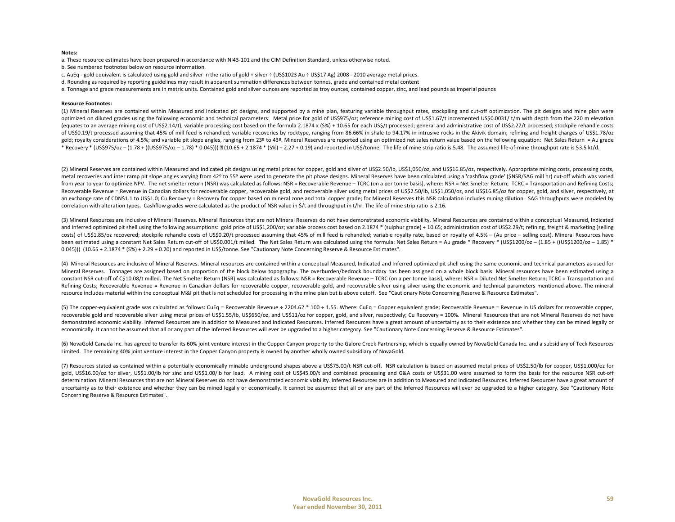#### Notes:

a. These resource estimates have been prepared in accordance with NI43-101 and the CIM Definition Standard, unless otherwise noted.

b. See numbered footnotes below on resource information.

- c. AuEq gold equivalent is calculated using gold and silver in the ratio of gold + silver ÷ (US\$1023 Au ÷ US\$17 Ag) 2008 2010 average metal prices.
- d. Rounding as required by reporting guidelines may result in apparent summation differences between tonnes, grade and contained metal content
- e. Tonnage and grade measurements are in metric units. Contained gold and silver ounces are reported as troy ounces, contained copper, zinc, and lead pounds as imperial pounds

#### Resource Footnotes:

(1) Mineral Reserves are contained within Measured and Indicated pit designs, and supported by a mine plan, featuring variable throughput rates, stockpiling and cut-off optimization. The pit designs and mine plan were optimized on diluted grades using the following economic and technical parameters: Metal price for gold of US\$975/oz; reference mining cost of US\$1.67/t incremented US\$0.0031/ t/m with depth from the 220 m elevation (equates to an average mining cost of US\$2.14/t), variable processing cost based on the formula 2.1874 x (S%) + 10.65 for each US\$/t processed; general and administrative cost of US\$2.27/t processed; stockpile rehandle costs of US\$0.19/t processed assuming that 45% of mill feed is rehandled; variable recoveries by rocktype, ranging from 86.66% in shale to 94.17% in intrusive rocks in the Akivik domain; refining and freight charges of US\$1.78/oz gold; royalty considerations of 4.5%; and variable pit slope angles, ranging from 23º to 43º. Mineral Reserves are reported using an optimized net sales return value based on the following equation: Net Sales Return = Au g \* Recovery \* (US\$975/oz – (1.78 + ((US\$975/oz – 1.78) \* 0.045)))  $\mathbb{B}$  (10.65 + 2.1874 \* (S%) + 2.27 + 0.19) and reported in US\$/tonne. The life of mine strip ratio is 5.48. The assumed life-of-mine throughput rate is

(2) Mineral Reserves are contained within Measured and Indicated pit designs using metal prices for copper, gold and silver of US\$2.50/lb, US\$1,050/oz, and US\$16.85/oz, respectively. Appropriate mining costs, processing co metal recoveries and inter ramp pit slope angles varying from 42º to 55º were used to generate the pit phase designs. Mineral Reserves have been calculated using a 'cashflow grade' (\$NSR/SAG mill hr) cut-off which was vari from year to year to optimize NPV. The net smelter return (NSR) was calculated as follows: NSR = Recoverable Revenue – TCRC (on a per tonne basis), where: NSR = Net Smelter Return; TCRC = Transportation and Refining Costs; Recoverable Revenue = Revenue in Canadian dollars for recoverable copper, recoverable gold, and recoverable silver using metal prices of US\$2.50/lb, US\$1,050/oz, and US\$16.85/oz for copper, gold, and silver, respectively, an exchange rate of CDN\$1.1 to US\$1.0; Cu Recovery = Recovery for copper based on mineral zone and total copper grade; for Mineral Reserves this NSR calculation includes mining dilution. SAG throughputs were modeled by correlation with alteration types. Cashflow grades were calculated as the product of NSR value in \$/t and throughput in t/hr. The life of mine strip ratio is 2.16.

(3) Mineral Resources are inclusive of Mineral Reserves. Mineral Resources that are not Mineral Reserves do not have demonstrated economic viability. Mineral Resources are contained within a conceptual Measured, Indicated and Inferred optimized pit shell using the following assumptions: gold price of US\$1,200/oz; variable process cost based on 2.1874 \* (sulphur grade) + 10.65; administration cost of US\$2.29/t; refining, freight & marketing costs) of US\$1.85/oz recovered; stockpile rehandle costs of US\$0.20/t processed assuming that 45% of mill feed is rehandled; variable royalty rate, based on royalty of 4.5% – (Au price – selling cost). Mineral Resources ha been estimated using a constant Net Sales Return cut-off of US\$0.001/t milled. The Net Sales Return was calculated using the formula: Net Sales Return = Au grade \* Recovery \* (US\$1200/oz – (1.85 + ((US\$1200/oz – 1.85) \* 0.045))) (10.65 + 2.1874 \* (S%) + 2.29 + 0.20) and reported in US\$/tonne. See "Cautionary Note Concerning Reserve & Resource Estimates".

(4) Mineral Resources are inclusive of Mineral Reserves. Mineral resources are contained within a conceptual Measured, Indicated and Inferred optimized pit shell using the same economic and technical parameters as used for Mineral Reserves. Tonnages are assigned based on proportion of the block below topography. The overburden/bedrock boundary has been assigned on a whole block basis. Mineral resources have been estimated using a constant NSR cut-off of C\$10.08/t milled. The Net Smelter Return (NSR) was calculated as follows: NSR = Recoverable Revenue – TCRC (on a per tonne basis), where: NSR = Diluted Net Smelter Return; TCRC = Transportation and Refining Costs; Recoverable Revenue = Revenue in Canadian dollars for recoverable copper, recoverable gold, and recoverable silver using silver using the economic and technical parameters mentioned above. The mineral resource includes material within the conceptual M&I pit that is not scheduled for processing in the mine plan but is above cutoff. See "Cautionary Note Concerning Reserve & Resource Estimates".

(5) The copper-equivalent grade was calculated as follows: CuEq = Recoverable Revenue ÷ 2204.62 \* 100 ÷ 1.55. Where: CuEq = Copper equivalent grade; Recoverable Revenue = Revenue in US dollars for recoverable copper, recoverable gold and recoverable silver using metal prices of US\$1.55/lb, US\$650/oz, and US\$11/oz for copper, gold, and silver, respectively; Cu Recovery = 100%. Mineral Resources that are not Mineral Reserves do not have demonstrated economic viability. Inferred Resources are in addition to Measured and Indicated Resources. Inferred Resources have a great amount of uncertainty as to their existence and whether they can be mined legally or economically. It cannot be assumed that all or any part of the Inferred Resources will ever be upgraded to a higher category. See "Cautionary Note Concerning Reserve & Resource Estimates".

(6) NovaGold Canada Inc. has agreed to transfer its 60% joint venture interest in the Copper Canyon property to the Galore Creek Partnership, which is equally owned by NovaGold Canada Inc. and a subsidiary of Teck Resources Limited. The remaining 40% joint venture interest in the Copper Canyon property is owned by another wholly owned subsidiary of NovaGold.

(7) Resources stated as contained within a potentially economically minable underground shapes above a US\$75.00/t NSR cut-off. NSR calculation is based on assumed metal prices of US\$2.50/lb for copper, US\$1,000/oz for gold, US\$16.00/oz for silver, US\$1.00/lb for zinc and US\$1.00/lb for lead. A mining cost of US\$45.00/t and combined processing and G&A costs of US\$31.00 were assumed to form the basis for the resource NSR cut-off determination. Mineral Resources that are not Mineral Reserves do not have demonstrated economic viability. Inferred Resources are in addition to Measured and Indicated Resources. Inferred Resources have a great amount of uncertainty as to their existence and whether they can be mined legally or economically. It cannot be assumed that all or any part of the Inferred Resources will ever be upgraded to a higher category. See "Cautionary Note Concerning Reserve & Resource Estimates".